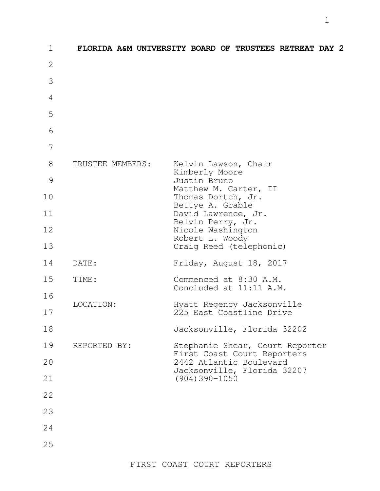| $\mathbf 1$  |                  | FLORIDA A&M UNIVERSITY BOARD OF TRUSTEES RETREAT DAY 2                                                                                                                                                        |
|--------------|------------------|---------------------------------------------------------------------------------------------------------------------------------------------------------------------------------------------------------------|
| $\mathbf{2}$ |                  |                                                                                                                                                                                                               |
| 3            |                  |                                                                                                                                                                                                               |
| 4            |                  |                                                                                                                                                                                                               |
| 5            |                  |                                                                                                                                                                                                               |
| 6            |                  |                                                                                                                                                                                                               |
| 7            |                  |                                                                                                                                                                                                               |
| 8            | TRUSTEE MEMBERS: | Kelvin Lawson, Chair<br>Kimberly Moore<br>Justin Bruno<br>Matthew M. Carter, II<br>Thomas Dortch, Jr.<br>Bettye A. Grable<br>David Lawrence, Jr.<br>Belvin Perry, Jr.<br>Nicole Washington<br>Robert L. Woody |
| 9            |                  |                                                                                                                                                                                                               |
| 10           |                  |                                                                                                                                                                                                               |
| 11           |                  |                                                                                                                                                                                                               |
| 12           |                  |                                                                                                                                                                                                               |
| 13           |                  | Craig Reed (telephonic)                                                                                                                                                                                       |
| 14           | DATE:            | Friday, August 18, 2017                                                                                                                                                                                       |
| 15<br>16     | TIME:            | Commenced at 8:30 A.M.<br>Concluded at 11:11 A.M.                                                                                                                                                             |
| 17           | LOCATION:        | Hyatt Regency Jacksonville<br>225 East Coastline Drive                                                                                                                                                        |
|              |                  |                                                                                                                                                                                                               |
| 18           | REPORTED BY:     | Jacksonville, Florida 32202                                                                                                                                                                                   |
| 19           |                  | Stephanie Shear, Court Reporter<br>First Coast Court Reporters<br>2442 Atlantic Boulevard<br>Jacksonville, Florida 32207                                                                                      |
| 20           |                  |                                                                                                                                                                                                               |
| 21           |                  | $(904)390 - 1050$                                                                                                                                                                                             |
| 22           |                  |                                                                                                                                                                                                               |
| 23           |                  |                                                                                                                                                                                                               |
| 24           |                  |                                                                                                                                                                                                               |
| 25           |                  |                                                                                                                                                                                                               |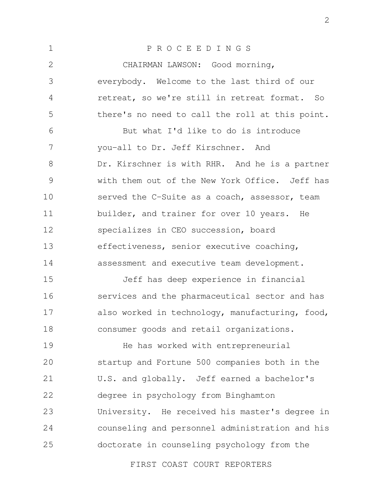1 2 3 4 5 6 7 8 9 10 11 12 13 14 15 16 17 18 19 20 21 22 23 24 25 P R O C E E D I N G S CHAIRMAN LAWSON: Good morning, everybody. Welcome to the last third of our retreat, so we're still in retreat format. So there's no need to call the roll at this point. But what I'd like to do is introduce you-all to Dr. Jeff Kirschner. And Dr. Kirschner is with RHR. And he is a partner with them out of the New York Office. Jeff has served the C-Suite as a coach, assessor, team builder, and trainer for over 10 years. He specializes in CEO succession, board effectiveness, senior executive coaching, assessment and executive team development. Jeff has deep experience in financial services and the pharmaceutical sector and has also worked in technology, manufacturing, food, consumer goods and retail organizations. He has worked with entrepreneurial startup and Fortune 500 companies both in the U.S. and globally. Jeff earned a bachelor's degree in psychology from Binghamton University. He received his master's degree in counseling and personnel administration and his doctorate in counseling psychology from the

FIRST COAST COURT REPORTERS

2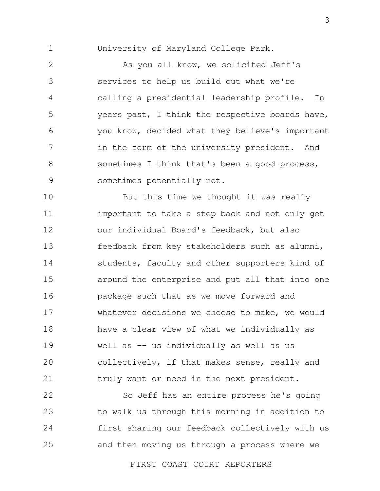1

University of Maryland College Park.

2 3 4 5 6 7 8 9 As you all know, we solicited Jeff's services to help us build out what we're calling a presidential leadership profile. In years past, I think the respective boards have, you know, decided what they believe's important in the form of the university president. And sometimes I think that's been a good process, sometimes potentially not.

10 11 12 13 14 15 16 17 18 19 20 21 But this time we thought it was really important to take a step back and not only get our individual Board's feedback, but also feedback from key stakeholders such as alumni, students, faculty and other supporters kind of around the enterprise and put all that into one package such that as we move forward and whatever decisions we choose to make, we would have a clear view of what we individually as well as -- us individually as well as us collectively, if that makes sense, really and truly want or need in the next president.

22 23 24 25 So Jeff has an entire process he's going to walk us through this morning in addition to first sharing our feedback collectively with us and then moving us through a process where we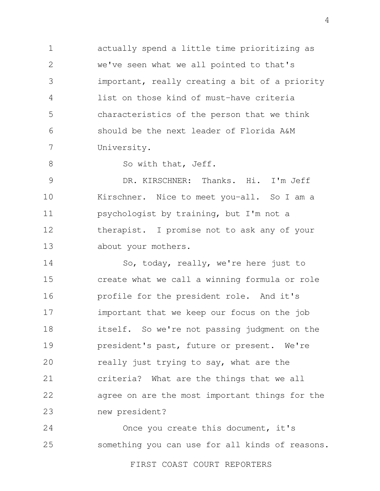1 2 3 4 5 6 7 actually spend a little time prioritizing as we've seen what we all pointed to that's important, really creating a bit of a priority list on those kind of must-have criteria characteristics of the person that we think should be the next leader of Florida A&M University.

So with that, Jeff.

8

9 10 11 12 13 DR. KIRSCHNER: Thanks. Hi. I'm Jeff Kirschner. Nice to meet you-all. So I am a psychologist by training, but I'm not a therapist. I promise not to ask any of your about your mothers.

14 15 16 17 18 19 20 21 22 23 So, today, really, we're here just to create what we call a winning formula or role profile for the president role. And it's important that we keep our focus on the job itself. So we're not passing judgment on the president's past, future or present. We're really just trying to say, what are the criteria? What are the things that we all agree on are the most important things for the new president?

24 25 Once you create this document, it's something you can use for all kinds of reasons.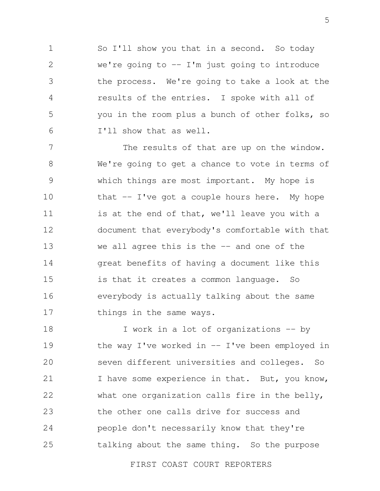1 2 3 4 5 6 So I'll show you that in a second. So today we're going to  $-$  I'm just going to introduce the process. We're going to take a look at the results of the entries. I spoke with all of you in the room plus a bunch of other folks, so I'll show that as well.

7 8 9 10 11 12 13 14 15 16 17 The results of that are up on the window. We're going to get a chance to vote in terms of which things are most important. My hope is that  $-$  I've got a couple hours here. My hope is at the end of that, we'll leave you with a document that everybody's comfortable with that we all agree this is the  $-$  and one of the great benefits of having a document like this is that it creates a common language. So everybody is actually talking about the same things in the same ways.

18 19 20 21 22 23 24 25 I work in a lot of organizations -- by the way I've worked in  $-$  I've been employed in seven different universities and colleges. So I have some experience in that. But, you know, what one organization calls fire in the belly, the other one calls drive for success and people don't necessarily know that they're talking about the same thing. So the purpose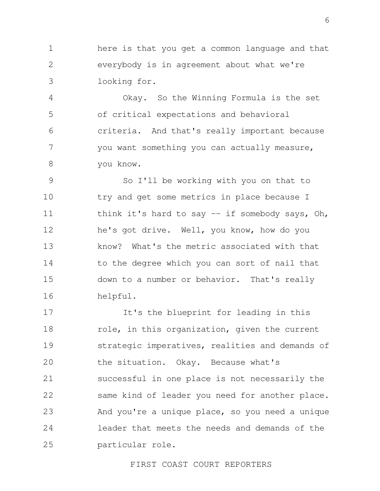1 2 3 here is that you get a common language and that everybody is in agreement about what we're looking for.

4 5 6 7 8 Okay. So the Winning Formula is the set of critical expectations and behavioral criteria. And that's really important because you want something you can actually measure, you know.

9 10 11 12 13 14 15 16 So I'll be working with you on that to try and get some metrics in place because I think it's hard to say -- if somebody says, Oh, he's got drive. Well, you know, how do you know? What's the metric associated with that to the degree which you can sort of nail that down to a number or behavior. That's really helpful.

17 18 19 20 21 22 23 24 25 It's the blueprint for leading in this role, in this organization, given the current strategic imperatives, realities and demands of the situation. Okay. Because what's successful in one place is not necessarily the same kind of leader you need for another place. And you're a unique place, so you need a unique leader that meets the needs and demands of the particular role.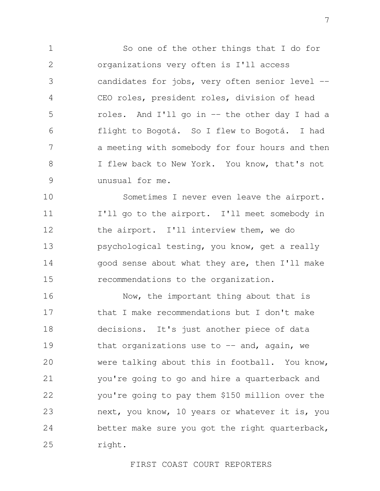1 2 3 4 5 6 7 8 9 So one of the other things that I do for organizations very often is I'll access candidates for jobs, very often senior level -- CEO roles, president roles, division of head roles. And I'll go in -- the other day I had a flight to Bogotá. So I flew to Bogotá. I had a meeting with somebody for four hours and then I flew back to New York. You know, that's not unusual for me.

10 11 12 13 14 15 Sometimes I never even leave the airport. I'll go to the airport. I'll meet somebody in the airport. I'll interview them, we do psychological testing, you know, get a really good sense about what they are, then I'll make recommendations to the organization.

16 17 18 19 20 21 22 23 24 25 Now, the important thing about that is that I make recommendations but I don't make decisions. It's just another piece of data that organizations use to  $-$  and, again, we were talking about this in football. You know, you're going to go and hire a quarterback and you're going to pay them \$150 million over the next, you know, 10 years or whatever it is, you better make sure you got the right quarterback, right.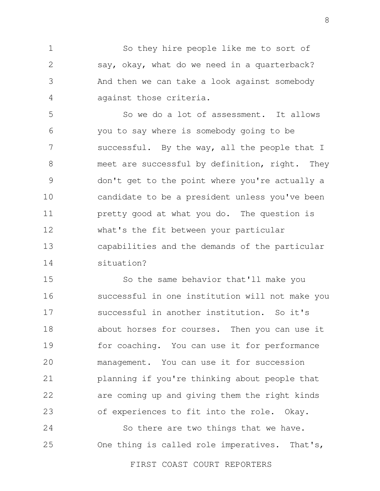1 2 3 4 So they hire people like me to sort of say, okay, what do we need in a quarterback? And then we can take a look against somebody against those criteria.

5 6 7 8 9 10 11 12 13 14 So we do a lot of assessment. It allows you to say where is somebody going to be successful. By the way, all the people that I meet are successful by definition, right. They don't get to the point where you're actually a candidate to be a president unless you've been pretty good at what you do. The question is what's the fit between your particular capabilities and the demands of the particular situation?

15 16 17 18 19 20 21 22 23 So the same behavior that'll make you successful in one institution will not make you successful in another institution. So it's about horses for courses. Then you can use it for coaching. You can use it for performance management. You can use it for succession planning if you're thinking about people that are coming up and giving them the right kinds of experiences to fit into the role. Okay.

24 25 So there are two things that we have. One thing is called role imperatives. That's,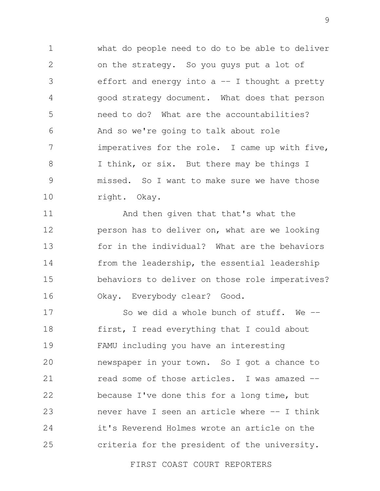1 2 3 4 5 6 7 8 9 10 what do people need to do to be able to deliver on the strategy. So you guys put a lot of effort and energy into  $a$  -- I thought a pretty good strategy document. What does that person need to do? What are the accountabilities? And so we're going to talk about role imperatives for the role. I came up with five, I think, or six. But there may be things I missed. So I want to make sure we have those right. Okay.

11 12 13 14 15 16 And then given that that's what the person has to deliver on, what are we looking for in the individual? What are the behaviors from the leadership, the essential leadership behaviors to deliver on those role imperatives? Okay. Everybody clear? Good.

17 18 19 20 21 22 23 24 25 So we did a whole bunch of stuff. We -first, I read everything that I could about FAMU including you have an interesting newspaper in your town. So I got a chance to read some of those articles. I was amazed - because I've done this for a long time, but never have I seen an article where -- I think it's Reverend Holmes wrote an article on the criteria for the president of the university.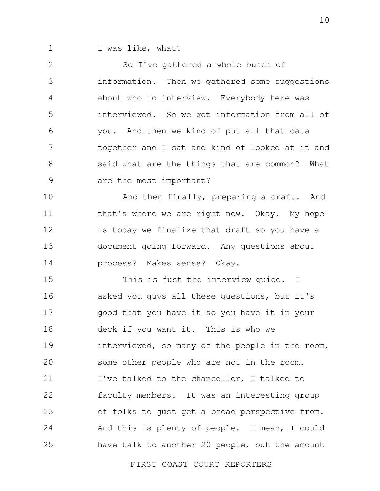1

I was like, what?

2 3 4 5 6 7 8 9 So I've gathered a whole bunch of information. Then we gathered some suggestions about who to interview. Everybody here was interviewed. So we got information from all of you. And then we kind of put all that data together and I sat and kind of looked at it and said what are the things that are common? What are the most important?

10 11 12 13 14 And then finally, preparing a draft. And that's where we are right now. Okay. My hope is today we finalize that draft so you have a document going forward. Any questions about process? Makes sense? Okay.

15 16 17 18 19 20 21 22 23 24 25 This is just the interview guide. I asked you guys all these questions, but it's good that you have it so you have it in your deck if you want it. This is who we interviewed, so many of the people in the room, some other people who are not in the room. I've talked to the chancellor, I talked to faculty members. It was an interesting group of folks to just get a broad perspective from. And this is plenty of people. I mean, I could have talk to another 20 people, but the amount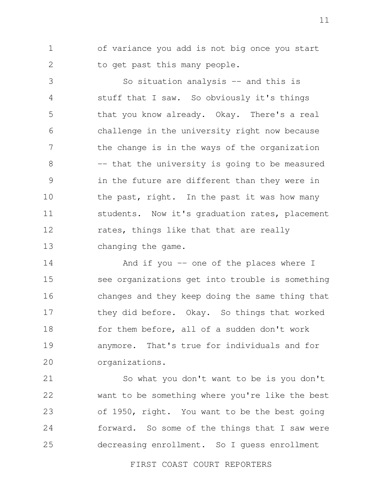1 2 of variance you add is not big once you start to get past this many people.

3 4 5 6 7 8 9 10 11 12 13 So situation analysis -- and this is stuff that I saw. So obviously it's things that you know already. Okay. There's a real challenge in the university right now because the change is in the ways of the organization -- that the university is going to be measured in the future are different than they were in the past, right. In the past it was how many students. Now it's graduation rates, placement rates, things like that that are really changing the game.

14 15 16 17 18 19 20 And if you -- one of the places where I see organizations get into trouble is something changes and they keep doing the same thing that they did before. Okay. So things that worked for them before, all of a sudden don't work anymore. That's true for individuals and for organizations.

21 22 23 24 25 So what you don't want to be is you don't want to be something where you're like the best of 1950, right. You want to be the best going forward. So some of the things that I saw were decreasing enrollment. So I guess enrollment

FIRST COAST COURT REPORTERS

11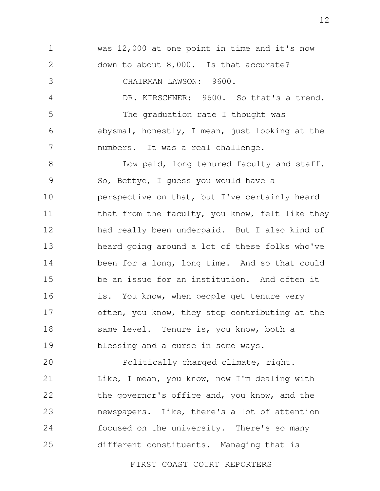1 2 3 4 5 6 7 8 9 10 11 12 13 14 15 16 17 18 19 20 was 12,000 at one point in time and it's now down to about 8,000. Is that accurate? CHAIRMAN LAWSON: 9600. DR. KIRSCHNER: 9600. So that's a trend. The graduation rate I thought was abysmal, honestly, I mean, just looking at the numbers. It was a real challenge. Low-paid, long tenured faculty and staff. So, Bettye, I guess you would have a perspective on that, but I've certainly heard that from the faculty, you know, felt like they had really been underpaid. But I also kind of heard going around a lot of these folks who've been for a long, long time. And so that could be an issue for an institution. And often it is. You know, when people get tenure very often, you know, they stop contributing at the same level. Tenure is, you know, both a blessing and a curse in some ways. Politically charged climate, right.

21 22 23 24 25 Like, I mean, you know, now I'm dealing with the governor's office and, you know, and the newspapers. Like, there's a lot of attention focused on the university. There's so many different constituents. Managing that is

FIRST COAST COURT REPORTERS

12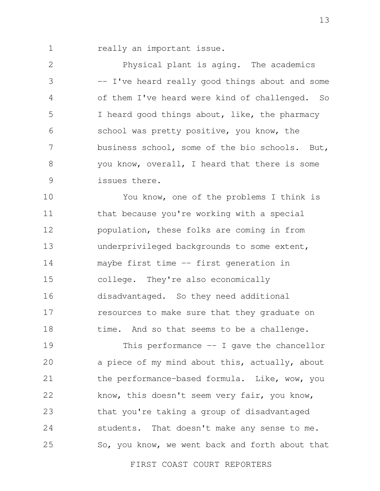1

really an important issue.

2 3 4 5 6 7 8 9 Physical plant is aging. The academics -- I've heard really good things about and some of them I've heard were kind of challenged. So I heard good things about, like, the pharmacy school was pretty positive, you know, the business school, some of the bio schools. But, you know, overall, I heard that there is some issues there.

10 11 12 13 14 15 16 17 18 You know, one of the problems I think is that because you're working with a special population, these folks are coming in from underprivileged backgrounds to some extent, maybe first time -- first generation in college. They're also economically disadvantaged. So they need additional resources to make sure that they graduate on time. And so that seems to be a challenge.

19 20 21 22 23 24 25 This performance  $-$  I gave the chancellor a piece of my mind about this, actually, about the performance-based formula. Like, wow, you know, this doesn't seem very fair, you know, that you're taking a group of disadvantaged students. That doesn't make any sense to me. So, you know, we went back and forth about that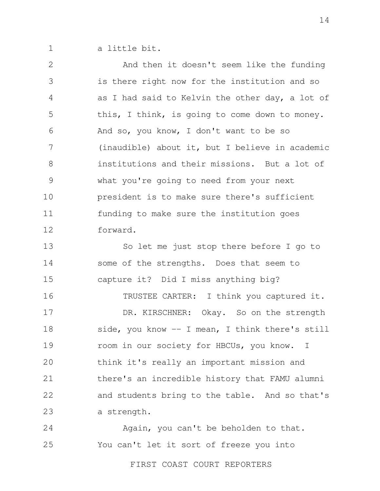1 a little bit.

2 3 4 5 6 7 8 9 10 11 12 And then it doesn't seem like the funding is there right now for the institution and so as I had said to Kelvin the other day, a lot of this, I think, is going to come down to money. And so, you know, I don't want to be so (inaudible) about it, but I believe in academic institutions and their missions. But a lot of what you're going to need from your next president is to make sure there's sufficient funding to make sure the institution goes forward.

13 14 15 So let me just stop there before I go to some of the strengths. Does that seem to capture it? Did I miss anything big?

16 17 18 19 20 21 22 23 TRUSTEE CARTER: I think you captured it. DR. KIRSCHNER: Okay. So on the strength side, you know -- I mean, I think there's still room in our society for HBCUs, you know. I think it's really an important mission and there's an incredible history that FAMU alumni and students bring to the table. And so that's a strength.

24 25 Again, you can't be beholden to that. You can't let it sort of freeze you into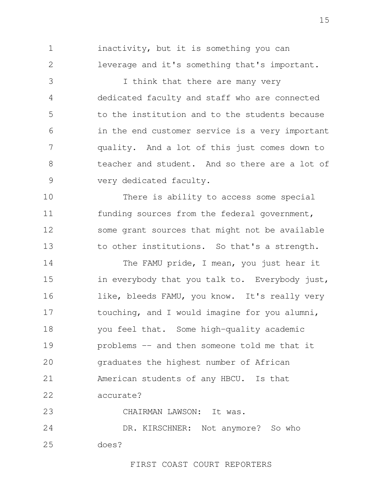1 2 inactivity, but it is something you can leverage and it's something that's important.

3 4 5 6 7 8 9 I think that there are many very dedicated faculty and staff who are connected to the institution and to the students because in the end customer service is a very important quality. And a lot of this just comes down to teacher and student. And so there are a lot of very dedicated faculty.

10 11 12 13 There is ability to access some special funding sources from the federal government, some grant sources that might not be available to other institutions. So that's a strength.

14 15 16 17 18 19  $20$ 21 22 The FAMU pride, I mean, you just hear it in everybody that you talk to. Everybody just, like, bleeds FAMU, you know. It's really very touching, and I would imagine for you alumni, you feel that. Some high-quality academic problems -- and then someone told me that it graduates the highest number of African American students of any HBCU. Is that accurate?

23 CHAIRMAN LAWSON: It was.

24 25 DR. KIRSCHNER: Not anymore? So who does?

FIRST COAST COURT REPORTERS

15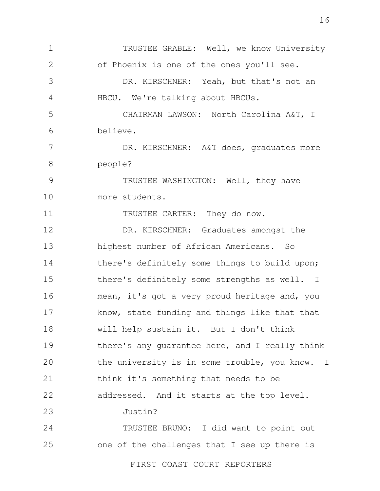1 2 3 4 5 6 7 8 9 10 11 12 13 14 15 16 17 18 19 20 21 22 23 24 25 TRUSTEE GRABLE: Well, we know University of Phoenix is one of the ones you'll see. DR. KIRSCHNER: Yeah, but that's not an HBCU. We're talking about HBCUs. CHAIRMAN LAWSON: North Carolina A&T, I believe. DR. KIRSCHNER: A&T does, graduates more people? TRUSTEE WASHINGTON: Well, they have more students. TRUSTEE CARTER: They do now. DR. KIRSCHNER: Graduates amongst the highest number of African Americans. So there's definitely some things to build upon; there's definitely some strengths as well. I mean, it's got a very proud heritage and, you know, state funding and things like that that will help sustain it. But I don't think there's any guarantee here, and I really think the university is in some trouble, you know. I think it's something that needs to be addressed. And it starts at the top level. Justin? TRUSTEE BRUNO: I did want to point out one of the challenges that I see up there is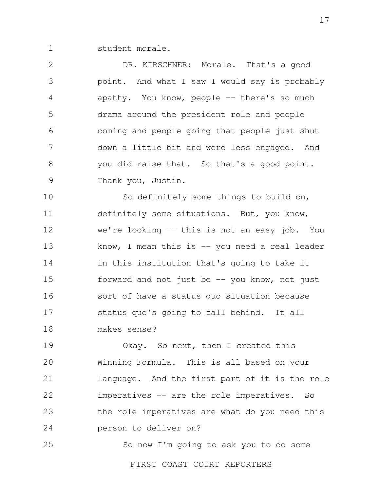1 student morale.

2 3 4 5 6 7 8 9 DR. KIRSCHNER: Morale. That's a good point. And what I saw I would say is probably apathy. You know, people -- there's so much drama around the president role and people coming and people going that people just shut down a little bit and were less engaged. And you did raise that. So that's a good point. Thank you, Justin.

10 11 12 13 14 15 16 17 18 So definitely some things to build on, definitely some situations. But, you know, we're looking -- this is not an easy job. You know, I mean this is  $-$  you need a real leader in this institution that's going to take it forward and not just be  $-$  you know, not just sort of have a status quo situation because status quo's going to fall behind. It all makes sense?

19 20 21 22 23 24 Okay. So next, then I created this Winning Formula. This is all based on your language. And the first part of it is the role imperatives -- are the role imperatives. So the role imperatives are what do you need this person to deliver on?

25 So now I'm going to ask you to do some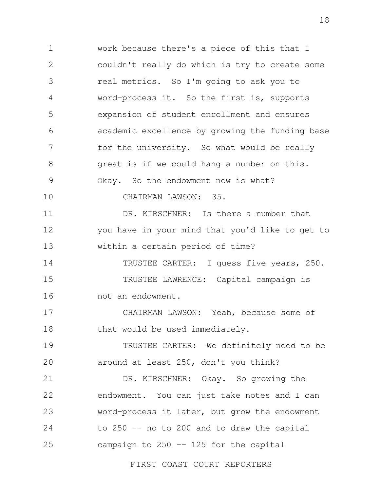1 2 3 4 5 6 7 8 9 10 11 12 13 14 15 16 17 18 19 20 21 22 23 24 work because there's a piece of this that I couldn't really do which is try to create some real metrics. So I'm going to ask you to word-process it. So the first is, supports expansion of student enrollment and ensures academic excellence by growing the funding base for the university. So what would be really great is if we could hang a number on this. Okay. So the endowment now is what? CHAIRMAN LAWSON: 35. DR. KIRSCHNER: Is there a number that you have in your mind that you'd like to get to within a certain period of time? TRUSTEE CARTER: I guess five years, 250. TRUSTEE LAWRENCE: Capital campaign is not an endowment. CHAIRMAN LAWSON: Yeah, because some of that would be used immediately. TRUSTEE CARTER: We definitely need to be around at least 250, don't you think? DR. KIRSCHNER: Okay. So growing the endowment. You can just take notes and I can word-process it later, but grow the endowment to 250 -- no to 200 and to draw the capital

25 campaign to 250 -- 125 for the capital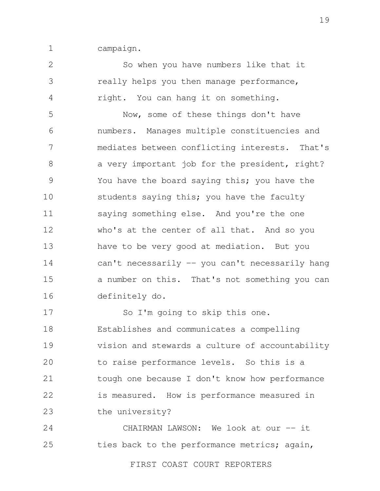1 campaign.

2

3

4

So when you have numbers like that it really helps you then manage performance, right. You can hang it on something.

5 6 7 8 9 10 11 12 13 14 15 16 Now, some of these things don't have numbers. Manages multiple constituencies and mediates between conflicting interests. That's a very important job for the president, right? You have the board saying this; you have the students saying this; you have the faculty saying something else. And you're the one who's at the center of all that. And so you have to be very good at mediation. But you can't necessarily -- you can't necessarily hang a number on this. That's not something you can definitely do.

17 18 19 20 21 22 23 So I'm going to skip this one. Establishes and communicates a compelling vision and stewards a culture of accountability to raise performance levels. So this is a tough one because I don't know how performance is measured. How is performance measured in the university?

24 25 CHAIRMAN LAWSON: We look at our -- it ties back to the performance metrics; again,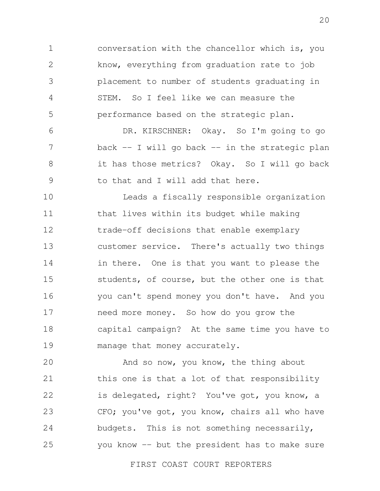1 2 3 4 5 conversation with the chancellor which is, you know, everything from graduation rate to job placement to number of students graduating in STEM. So I feel like we can measure the performance based on the strategic plan.

6 7 8 9 DR. KIRSCHNER: Okay. So I'm going to go back  $-$  I will go back  $-$  in the strategic plan it has those metrics? Okay. So I will go back to that and I will add that here.

10 11 12 13 14 15 16 17 18 19 Leads a fiscally responsible organization that lives within its budget while making trade-off decisions that enable exemplary customer service. There's actually two things in there. One is that you want to please the students, of course, but the other one is that you can't spend money you don't have. And you need more money. So how do you grow the capital campaign? At the same time you have to manage that money accurately.

20 21 22 23 24 25 And so now, you know, the thing about this one is that a lot of that responsibility is delegated, right? You've got, you know, a CFO; you've got, you know, chairs all who have budgets. This is not something necessarily, you know -- but the president has to make sure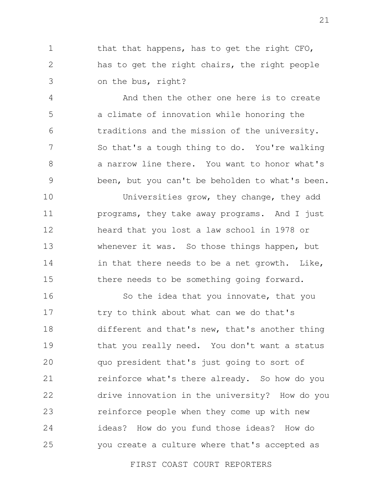1 2 3 that that happens, has to get the right CFO, has to get the right chairs, the right people on the bus, right?

4 5 6 7 8 9 And then the other one here is to create a climate of innovation while honoring the traditions and the mission of the university. So that's a tough thing to do. You're walking a narrow line there. You want to honor what's been, but you can't be beholden to what's been.

10 11 12 13 14 15 Universities grow, they change, they add programs, they take away programs. And I just heard that you lost a law school in 1978 or whenever it was. So those things happen, but in that there needs to be a net growth. Like, there needs to be something going forward.

16 17 18 19 20 21 22 23 24 25 So the idea that you innovate, that you try to think about what can we do that's different and that's new, that's another thing that you really need. You don't want a status quo president that's just going to sort of reinforce what's there already. So how do you drive innovation in the university? How do you reinforce people when they come up with new ideas? How do you fund those ideas? How do you create a culture where that's accepted as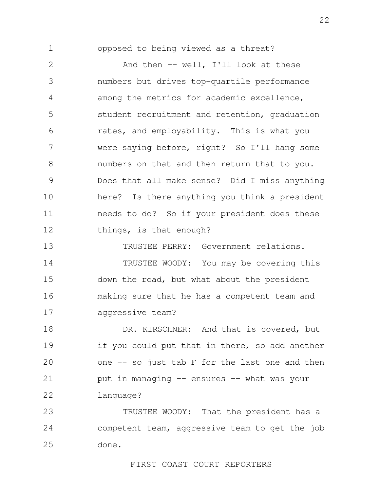1

opposed to being viewed as a threat?

2 3 4 5 6 7 8 9 10 11 12 And then -- well, I'll look at these numbers but drives top-quartile performance among the metrics for academic excellence, student recruitment and retention, graduation rates, and employability. This is what you were saying before, right? So I'll hang some numbers on that and then return that to you. Does that all make sense? Did I miss anything here? Is there anything you think a president needs to do? So if your president does these things, is that enough?

13 14 15 16 17 TRUSTEE PERRY: Government relations. TRUSTEE WOODY: You may be covering this down the road, but what about the president making sure that he has a competent team and aggressive team?

18 19 20 21 22 DR. KIRSCHNER: And that is covered, but if you could put that in there, so add another one  $-$  so just tab F for the last one and then put in managing -- ensures -- what was your language?

23 24 25 TRUSTEE WOODY: That the president has a competent team, aggressive team to get the job done.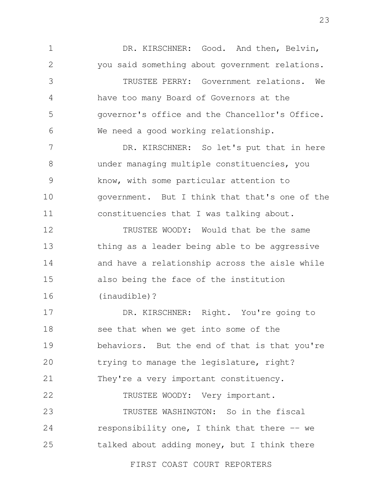1 2 3 4 5 6 7 8 9 10 11 12 DR. KIRSCHNER: Good. And then, Belvin, you said something about government relations. TRUSTEE PERRY: Government relations. We have too many Board of Governors at the governor's office and the Chancellor's Office. We need a good working relationship. DR. KIRSCHNER: So let's put that in here under managing multiple constituencies, you know, with some particular attention to government. But I think that that's one of the constituencies that I was talking about. TRUSTEE WOODY: Would that be the same

13 14 15 16 thing as a leader being able to be aggressive and have a relationship across the aisle while also being the face of the institution (inaudible)?

17 18 19  $20$ 21 22 DR. KIRSCHNER: Right. You're going to see that when we get into some of the behaviors. But the end of that is that you're trying to manage the legislature, right? They're a very important constituency. TRUSTEE WOODY: Very important.

23 24 25 TRUSTEE WASHINGTON: So in the fiscal responsibility one, I think that there  $-$  we talked about adding money, but I think there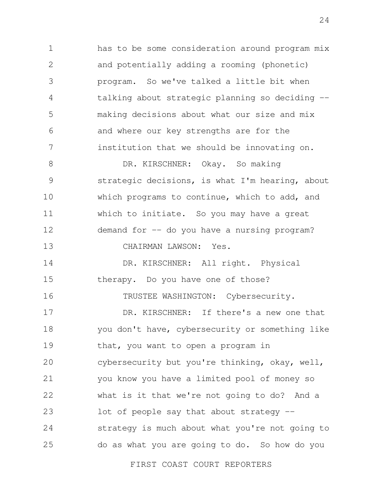1 2 3 4 5 6 7 has to be some consideration around program mix and potentially adding a rooming (phonetic) program. So we've talked a little bit when talking about strategic planning so deciding - making decisions about what our size and mix and where our key strengths are for the institution that we should be innovating on.

8 9 10 11 12 13 DR. KIRSCHNER: Okay. So making strategic decisions, is what I'm hearing, about which programs to continue, which to add, and which to initiate. So you may have a great demand for -- do you have a nursing program? CHAIRMAN LAWSON: Yes.

14 15 16 DR. KIRSCHNER: All right. Physical therapy. Do you have one of those? TRUSTEE WASHINGTON: Cybersecurity.

17 18 19 20 21 22 23 24 25 DR. KIRSCHNER: If there's a new one that you don't have, cybersecurity or something like that, you want to open a program in cybersecurity but you're thinking, okay, well, you know you have a limited pool of money so what is it that we're not going to do? And a lot of people say that about strategy - strategy is much about what you're not going to do as what you are going to do. So how do you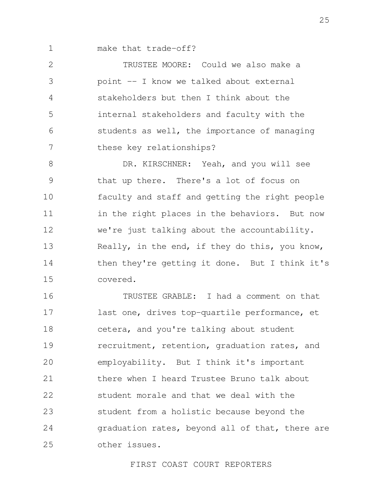1 make that trade-off?

2 3 4 5 6 7 TRUSTEE MOORE: Could we also make a point -- I know we talked about external stakeholders but then I think about the internal stakeholders and faculty with the students as well, the importance of managing these key relationships?

8 9 10 11 12 13 14 15 DR. KIRSCHNER: Yeah, and you will see that up there. There's a lot of focus on faculty and staff and getting the right people in the right places in the behaviors. But now we're just talking about the accountability. Really, in the end, if they do this, you know, then they're getting it done. But I think it's covered.

16 17 18 19 20 21 22 23 24 25 TRUSTEE GRABLE: I had a comment on that last one, drives top-quartile performance, et cetera, and you're talking about student recruitment, retention, graduation rates, and employability. But I think it's important there when I heard Trustee Bruno talk about student morale and that we deal with the student from a holistic because beyond the graduation rates, beyond all of that, there are other issues.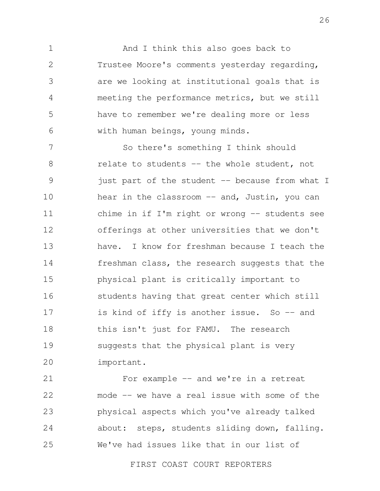1 2 3 4 5 6 And I think this also goes back to Trustee Moore's comments yesterday regarding, are we looking at institutional goals that is meeting the performance metrics, but we still have to remember we're dealing more or less with human beings, young minds.

7 8 9 10 11 12 13 14 15 16 17 18 19 20 So there's something I think should relate to students -- the whole student, not just part of the student -- because from what I hear in the classroom -- and, Justin, you can chime in if I'm right or wrong -- students see offerings at other universities that we don't have. I know for freshman because I teach the freshman class, the research suggests that the physical plant is critically important to students having that great center which still is kind of iffy is another issue. So -- and this isn't just for FAMU. The research suggests that the physical plant is very important.

21 22 23 24 25 For example -- and we're in a retreat mode -- we have a real issue with some of the physical aspects which you've already talked about: steps, students sliding down, falling. We've had issues like that in our list of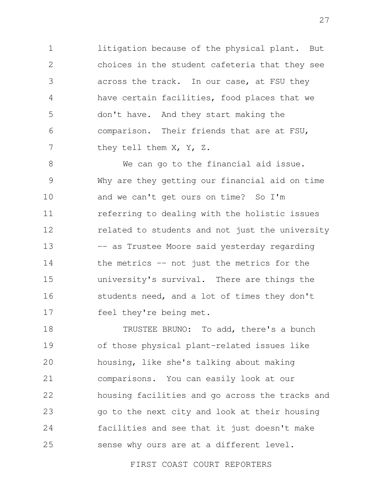1 2 3 4 5 6 7 litigation because of the physical plant. But choices in the student cafeteria that they see across the track. In our case, at FSU they have certain facilities, food places that we don't have. And they start making the comparison. Their friends that are at FSU, they tell them X, Y, Z.

8 9 10 11 12 13 14 15 16 17 We can go to the financial aid issue. Why are they getting our financial aid on time and we can't get ours on time? So I'm referring to dealing with the holistic issues related to students and not just the university -- as Trustee Moore said yesterday regarding the metrics -- not just the metrics for the university's survival. There are things the students need, and a lot of times they don't feel they're being met.

18 19 20 21 22 23 24 25 TRUSTEE BRUNO: To add, there's a bunch of those physical plant-related issues like housing, like she's talking about making comparisons. You can easily look at our housing facilities and go across the tracks and go to the next city and look at their housing facilities and see that it just doesn't make sense why ours are at a different level.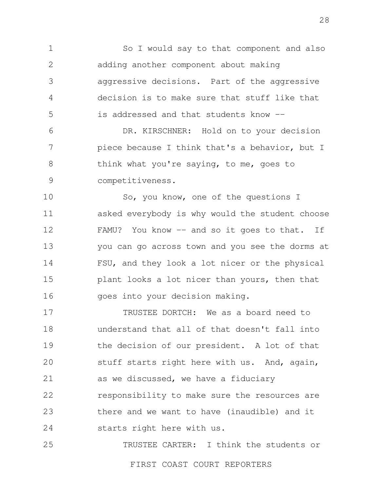1 2 3 4 5 So I would say to that component and also adding another component about making aggressive decisions. Part of the aggressive decision is to make sure that stuff like that is addressed and that students know --

6 7 8 9 DR. KIRSCHNER: Hold on to your decision piece because I think that's a behavior, but I think what you're saying, to me, goes to competitiveness.

10 11 12 13 14 15 16 So, you know, one of the questions I asked everybody is why would the student choose FAMU? You know -- and so it goes to that. If you can go across town and you see the dorms at FSU, and they look a lot nicer or the physical plant looks a lot nicer than yours, then that goes into your decision making.

17 18 19 20 21 22 23 24 TRUSTEE DORTCH: We as a board need to understand that all of that doesn't fall into the decision of our president. A lot of that stuff starts right here with us. And, again, as we discussed, we have a fiduciary responsibility to make sure the resources are there and we want to have (inaudible) and it starts right here with us.

25 TRUSTEE CARTER: I think the students or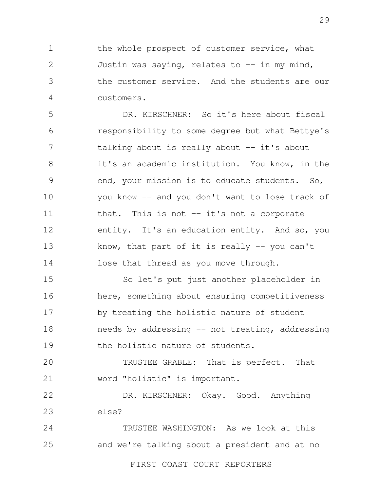1 2 3 4 the whole prospect of customer service, what Justin was saying, relates to  $-$  in my mind, the customer service. And the students are our customers.

5 6 7 8 9 10 11 12 13 14 DR. KIRSCHNER: So it's here about fiscal responsibility to some degree but what Bettye's talking about is really about  $-$  it's about it's an academic institution. You know, in the end, your mission is to educate students. So, you know -- and you don't want to lose track of that. This is not  $-$  it's not a corporate entity. It's an education entity. And so, you know, that part of it is really  $-$  you can't lose that thread as you move through.

15 16 17 18 19 So let's put just another placeholder in here, something about ensuring competitiveness by treating the holistic nature of student needs by addressing -- not treating, addressing the holistic nature of students.

20 21 TRUSTEE GRABLE: That is perfect. That word "holistic" is important.

22 23 DR. KIRSCHNER: Okay. Good. Anything else?

24 25 TRUSTEE WASHINGTON: As we look at this and we're talking about a president and at no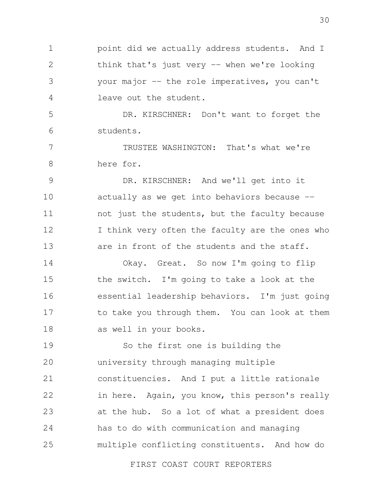1 2 3 4 point did we actually address students. And I think that's just very -- when we're looking your major -- the role imperatives, you can't leave out the student.

5 6 DR. KIRSCHNER: Don't want to forget the students.

7 8 TRUSTEE WASHINGTON: That's what we're here for.

9 10 11 12 13 DR. KIRSCHNER: And we'll get into it actually as we get into behaviors because - not just the students, but the faculty because I think very often the faculty are the ones who are in front of the students and the staff.

14 15 16 17 18 Okay. Great. So now I'm going to flip the switch. I'm going to take a look at the essential leadership behaviors. I'm just going to take you through them. You can look at them as well in your books.

19 20 21 22 23 24 25 So the first one is building the university through managing multiple constituencies. And I put a little rationale in here. Again, you know, this person's really at the hub. So a lot of what a president does has to do with communication and managing multiple conflicting constituents. And how do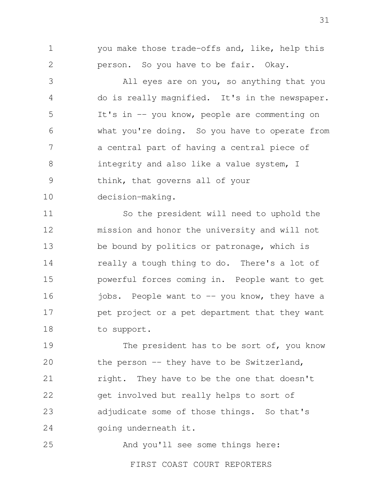you make those trade-offs and, like, help this person. So you have to be fair. Okay.

1

2

3 4 5 6 7 8 9 10 All eyes are on you, so anything that you do is really magnified. It's in the newspaper. It's in -- you know, people are commenting on what you're doing. So you have to operate from a central part of having a central piece of integrity and also like a value system, I think, that governs all of your decision-making.

11 12 13 14 15 16 17 18 So the president will need to uphold the mission and honor the university and will not be bound by politics or patronage, which is really a tough thing to do. There's a lot of powerful forces coming in. People want to get jobs. People want to -- you know, they have a pet project or a pet department that they want to support.

19 20 21 22 23 24 The president has to be sort of, you know the person -- they have to be Switzerland, right. They have to be the one that doesn't get involved but really helps to sort of adjudicate some of those things. So that's going underneath it.

25 And you'll see some things here: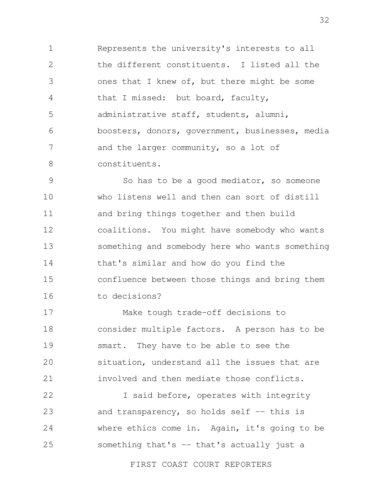1 2 3 4 5 6 7 8 Represents the university's interests to all the different constituents. I listed all the ones that I knew of, but there might be some that I missed: but board, faculty, administrative staff, students, alumni, boosters, donors, government, businesses, media and the larger community, so a lot of constituents.

9 10 11 12 13 14 15 16 So has to be a good mediator, so someone who listens well and then can sort of distill and bring things together and then build coalitions. You might have somebody who wants something and somebody here who wants something that's similar and how do you find the confluence between those things and bring them to decisions?

17 18 19  $20$ 21 Make tough trade-off decisions to consider multiple factors. A person has to be smart. They have to be able to see the situation, understand all the issues that are involved and then mediate those conflicts.

22 23 24 25 I said before, operates with integrity and transparency, so holds self  $-$ - this is where ethics come in. Again, it's going to be something that's  $-$  that's actually just a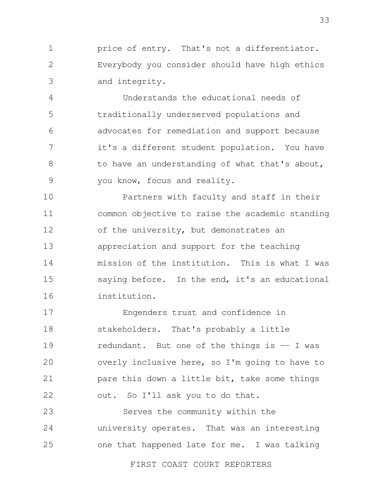1 2 3 price of entry. That's not a differentiator. Everybody you consider should have high ethics and integrity.

4 5 6 7 8 9 Understands the educational needs of traditionally underserved populations and advocates for remediation and support because it's a different student population. You have to have an understanding of what that's about, you know, focus and reality.

10 11 12 13 14 15 16 Partners with faculty and staff in their common objective to raise the academic standing of the university, but demonstrates an appreciation and support for the teaching mission of the institution. This is what I was saying before. In the end, it's an educational institution.

17 18 19  $20$ 21 22 Engenders trust and confidence in stakeholders. That's probably a little redundant. But one of the things is -- I was overly inclusive here, so I'm going to have to pare this down a little bit, take some things out. So I'll ask you to do that.

23 24 25 Serves the community within the university operates. That was an interesting one that happened late for me. I was talking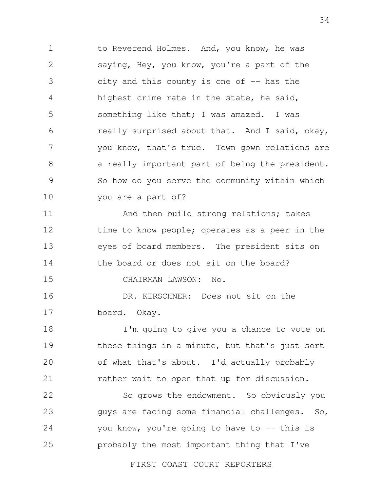1 2 3 4 5 6 7 8 9 10 to Reverend Holmes. And, you know, he was saying, Hey, you know, you're a part of the city and this county is one of  $-$  has the highest crime rate in the state, he said, something like that; I was amazed. I was really surprised about that. And I said, okay, you know, that's true. Town gown relations are a really important part of being the president. So how do you serve the community within which you are a part of?

11 12 13 14 And then build strong relations; takes time to know people; operates as a peer in the eyes of board members. The president sits on the board or does not sit on the board?

15 CHAIRMAN LAWSON: No.

16 17 DR. KIRSCHNER: Does not sit on the board. Okay.

18 19 20 21 I'm going to give you a chance to vote on these things in a minute, but that's just sort of what that's about. I'd actually probably rather wait to open that up for discussion.

22 23 24 25 So grows the endowment. So obviously you guys are facing some financial challenges. So, you know, you're going to have to -- this is probably the most important thing that I've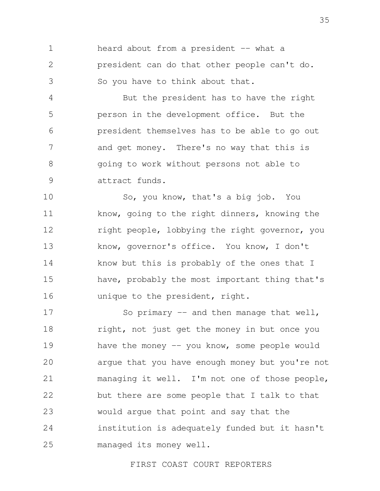1 2 3 heard about from a president -- what a president can do that other people can't do. So you have to think about that.

4 5 6 7 8 9 But the president has to have the right person in the development office. But the president themselves has to be able to go out and get money. There's no way that this is going to work without persons not able to attract funds.

10 11 12 13 14 15 16 So, you know, that's a big job. You know, going to the right dinners, knowing the right people, lobbying the right governor, you know, governor's office. You know, I don't know but this is probably of the ones that I have, probably the most important thing that's unique to the president, right.

17 18 19 20 21 22 23 24 25 So primary  $-$  and then manage that well, right, not just get the money in but once you have the money  $-$  you know, some people would argue that you have enough money but you're not managing it well. I'm not one of those people, but there are some people that I talk to that would argue that point and say that the institution is adequately funded but it hasn't managed its money well.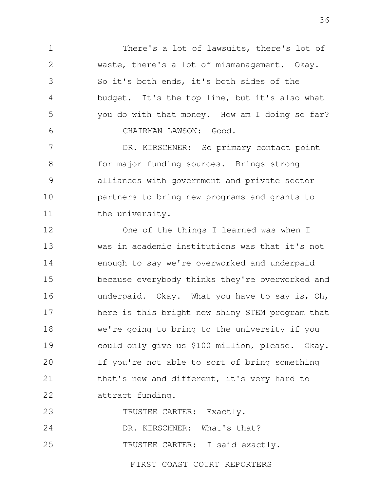1 2 3 4 5 6 There's a lot of lawsuits, there's lot of waste, there's a lot of mismanagement. Okay. So it's both ends, it's both sides of the budget. It's the top line, but it's also what you do with that money. How am I doing so far? CHAIRMAN LAWSON: Good.

7 8 9 10 11 DR. KIRSCHNER: So primary contact point for major funding sources. Brings strong alliances with government and private sector partners to bring new programs and grants to the university.

12 13 14 15 16 17 18 19 20 21 22 One of the things I learned was when I was in academic institutions was that it's not enough to say we're overworked and underpaid because everybody thinks they're overworked and underpaid. Okay. What you have to say is, Oh, here is this bright new shiny STEM program that we're going to bring to the university if you could only give us \$100 million, please. Okay. If you're not able to sort of bring something that's new and different, it's very hard to attract funding.

23 TRUSTEE CARTER: Exactly.

24 DR. KIRSCHNER: What's that?

25 TRUSTEE CARTER: I said exactly.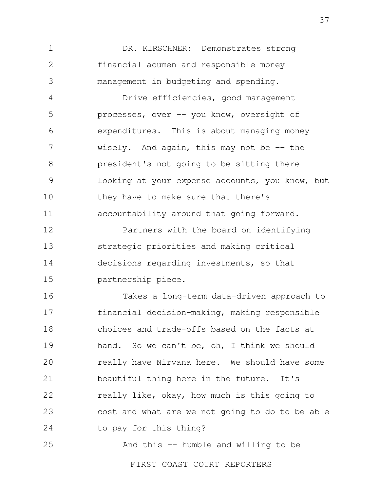1 2 3 DR. KIRSCHNER: Demonstrates strong financial acumen and responsible money management in budgeting and spending.

4 5 6 7 8 9 10 11 Drive efficiencies, good management processes, over -- you know, oversight of expenditures. This is about managing money wisely. And again, this may not be  $-$  the president's not going to be sitting there looking at your expense accounts, you know, but they have to make sure that there's accountability around that going forward.

12 13 14 15 Partners with the board on identifying strategic priorities and making critical decisions regarding investments, so that partnership piece.

16 17 18 19 20 21 22 23 24 Takes a long-term data-driven approach to financial decision-making, making responsible choices and trade-offs based on the facts at hand. So we can't be, oh, I think we should really have Nirvana here. We should have some beautiful thing here in the future. It's really like, okay, how much is this going to cost and what are we not going to do to be able to pay for this thing?

25 And this -- humble and willing to be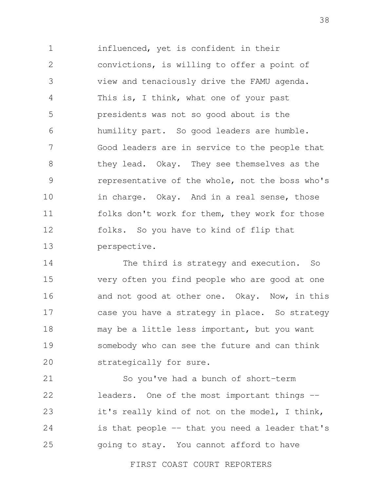1 2 3 4 5 6 7 8 9 10 11 12 13 influenced, yet is confident in their convictions, is willing to offer a point of view and tenaciously drive the FAMU agenda. This is, I think, what one of your past presidents was not so good about is the humility part. So good leaders are humble. Good leaders are in service to the people that they lead. Okay. They see themselves as the representative of the whole, not the boss who's in charge. Okay. And in a real sense, those folks don't work for them, they work for those folks. So you have to kind of flip that perspective.

14 15 16 17 18 19 20 The third is strategy and execution. So very often you find people who are good at one and not good at other one. Okay. Now, in this case you have a strategy in place. So strategy may be a little less important, but you want somebody who can see the future and can think strategically for sure.

21 22 23 24 25 So you've had a bunch of short-term leaders. One of the most important things - it's really kind of not on the model, I think, is that people -- that you need a leader that's going to stay. You cannot afford to have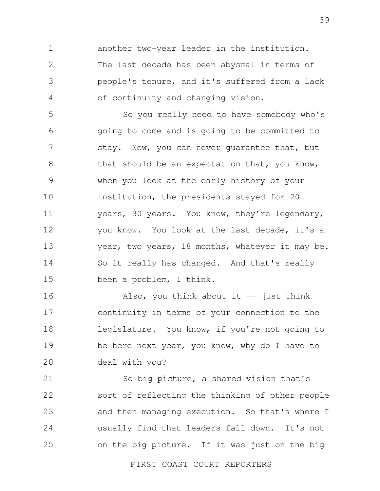1 2 3 4 another two-year leader in the institution. The last decade has been abysmal in terms of people's tenure, and it's suffered from a lack of continuity and changing vision.

5 6 7 8 9 10 11 12 13 14 15 So you really need to have somebody who's going to come and is going to be committed to stay. Now, you can never quarantee that, but that should be an expectation that, you know, when you look at the early history of your institution, the presidents stayed for 20 years, 30 years. You know, they're legendary, you know. You look at the last decade, it's a year, two years, 18 months, whatever it may be. So it really has changed. And that's really been a problem, I think.

16 17 18 19 20 Also, you think about it  $-$  just think continuity in terms of your connection to the legislature. You know, if you're not going to be here next year, you know, why do I have to deal with you?

21 22 23 24 25 So big picture, a shared vision that's sort of reflecting the thinking of other people and then managing execution. So that's where I usually find that leaders fall down. It's not on the big picture. If it was just on the big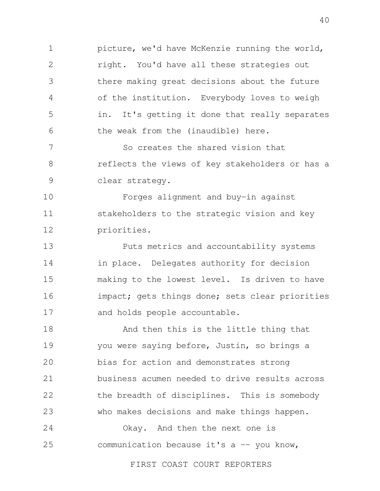1 2 3 4 5 6 picture, we'd have McKenzie running the world, right. You'd have all these strategies out there making great decisions about the future of the institution. Everybody loves to weigh in. It's getting it done that really separates the weak from the (inaudible) here.

7 8 9 So creates the shared vision that reflects the views of key stakeholders or has a clear strategy.

10 11 12 Forges alignment and buy-in against stakeholders to the strategic vision and key priorities.

13 14 15 16 17 Puts metrics and accountability systems in place. Delegates authority for decision making to the lowest level. Is driven to have impact; gets things done; sets clear priorities and holds people accountable.

18 19  $20$ 21 22 23 And then this is the little thing that you were saying before, Justin, so brings a bias for action and demonstrates strong business acumen needed to drive results across the breadth of disciplines. This is somebody who makes decisions and make things happen.

24 25 Okay. And then the next one is communication because it's  $a$  -- you know,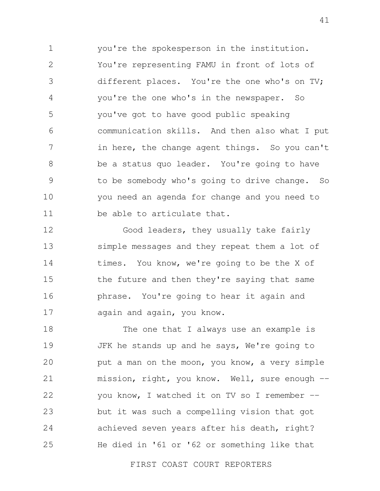1 2 3 4 5 6 7 8 9 10 11 you're the spokesperson in the institution. You're representing FAMU in front of lots of different places. You're the one who's on TV; you're the one who's in the newspaper. So you've got to have good public speaking communication skills. And then also what I put in here, the change agent things. So you can't be a status quo leader. You're going to have to be somebody who's going to drive change. So you need an agenda for change and you need to be able to articulate that.

12 13 14 15 16 17 Good leaders, they usually take fairly simple messages and they repeat them a lot of times. You know, we're going to be the X of the future and then they're saying that same phrase. You're going to hear it again and again and again, you know.

18 19 20 21 22 23 24 25 The one that I always use an example is JFK he stands up and he says, We're going to put a man on the moon, you know, a very simple mission, right, you know. Well, sure enough - you know, I watched it on TV so I remember - but it was such a compelling vision that got achieved seven years after his death, right? He died in '61 or '62 or something like that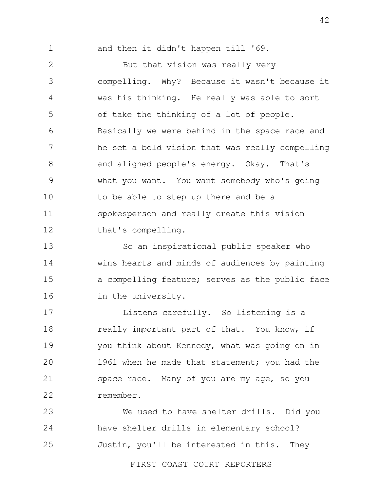1

and then it didn't happen till '69.

2 3 4 5 6 7 8 9 10 11 12 But that vision was really very compelling. Why? Because it wasn't because it was his thinking. He really was able to sort of take the thinking of a lot of people. Basically we were behind in the space race and he set a bold vision that was really compelling and aligned people's energy. Okay. That's what you want. You want somebody who's going to be able to step up there and be a spokesperson and really create this vision that's compelling.

13 14 15 16 So an inspirational public speaker who wins hearts and minds of audiences by painting a compelling feature; serves as the public face in the university.

17 18 19  $20$ 21 22 Listens carefully. So listening is a really important part of that. You know, if you think about Kennedy, what was going on in 1961 when he made that statement; you had the space race. Many of you are my age, so you remember.

23 24 25 We used to have shelter drills. Did you have shelter drills in elementary school? Justin, you'll be interested in this. They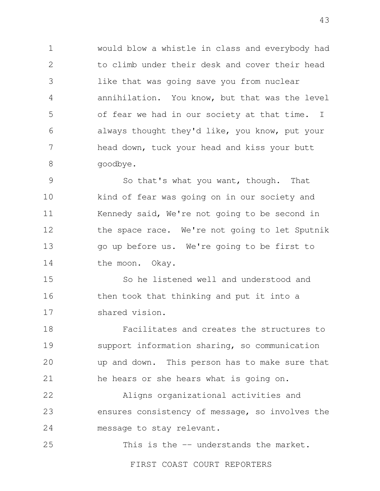1 2 3 4 5 6 7 8 would blow a whistle in class and everybody had to climb under their desk and cover their head like that was going save you from nuclear annihilation. You know, but that was the level of fear we had in our society at that time. I always thought they'd like, you know, put your head down, tuck your head and kiss your butt goodbye.

9 10 11 12 13 14 So that's what you want, though. That kind of fear was going on in our society and Kennedy said, We're not going to be second in the space race. We're not going to let Sputnik go up before us. We're going to be first to the moon. Okay.

15 16 17 So he listened well and understood and then took that thinking and put it into a shared vision.

18 19 20 21 Facilitates and creates the structures to support information sharing, so communication up and down. This person has to make sure that he hears or she hears what is going on.

22 23 24 Aligns organizational activities and ensures consistency of message, so involves the message to stay relevant.

25 This is the -- understands the market.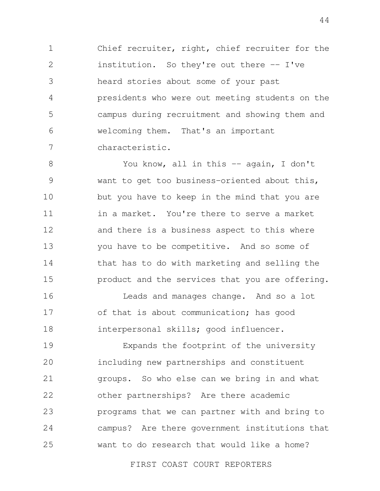1 2 3 4 5 6 7 Chief recruiter, right, chief recruiter for the institution. So they're out there -- I've heard stories about some of your past presidents who were out meeting students on the campus during recruitment and showing them and welcoming them. That's an important characteristic.

8 9 10 11 12 13 14 15 You know, all in this -- again, I don't want to get too business-oriented about this, but you have to keep in the mind that you are in a market. You're there to serve a market and there is a business aspect to this where you have to be competitive. And so some of that has to do with marketing and selling the product and the services that you are offering.

16 17 18 Leads and manages change. And so a lot of that is about communication; has good interpersonal skills; good influencer.

19  $20$ 21 22 23 24 25 Expands the footprint of the university including new partnerships and constituent groups. So who else can we bring in and what other partnerships? Are there academic programs that we can partner with and bring to campus? Are there government institutions that want to do research that would like a home?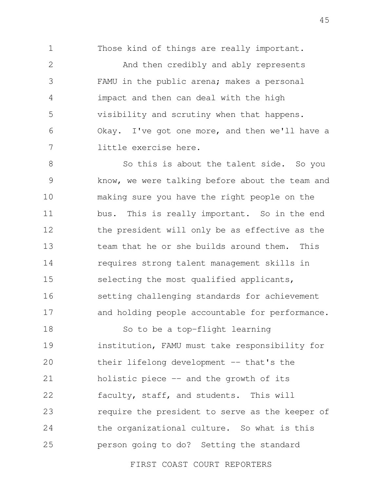1

Those kind of things are really important.

2 3 4 5 6 7 And then credibly and ably represents FAMU in the public arena; makes a personal impact and then can deal with the high visibility and scrutiny when that happens. Okay. I've got one more, and then we'll have a little exercise here.

8 9 10 11 12 13 14 15 16 17 So this is about the talent side. So you know, we were talking before about the team and making sure you have the right people on the bus. This is really important. So in the end the president will only be as effective as the team that he or she builds around them. This requires strong talent management skills in selecting the most qualified applicants, setting challenging standards for achievement and holding people accountable for performance.

18 19 20 21 22 23 24 25 So to be a top-flight learning institution, FAMU must take responsibility for their lifelong development -- that's the holistic piece -- and the growth of its faculty, staff, and students. This will require the president to serve as the keeper of the organizational culture. So what is this person going to do? Setting the standard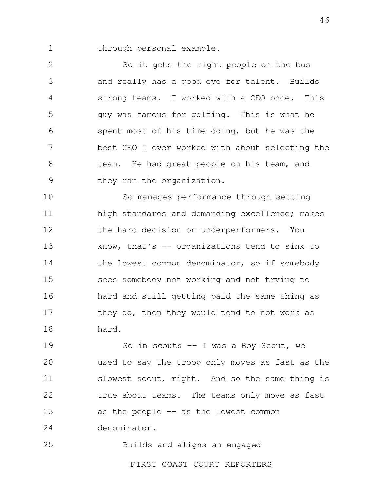through personal example.

1

25

2 3 4 5 6 7 8 9 So it gets the right people on the bus and really has a good eye for talent. Builds strong teams. I worked with a CEO once. This guy was famous for golfing. This is what he spent most of his time doing, but he was the best CEO I ever worked with about selecting the team. He had great people on his team, and they ran the organization.

10 11 12 13 14 15 16 17 18 So manages performance through setting high standards and demanding excellence; makes the hard decision on underperformers. You know, that's -- organizations tend to sink to the lowest common denominator, so if somebody sees somebody not working and not trying to hard and still getting paid the same thing as they do, then they would tend to not work as hard.

19 20 21 22 23 24 So in scouts  $-$  I was a Boy Scout, we used to say the troop only moves as fast as the slowest scout, right. And so the same thing is true about teams. The teams only move as fast as the people -- as the lowest common denominator.

Builds and aligns an engaged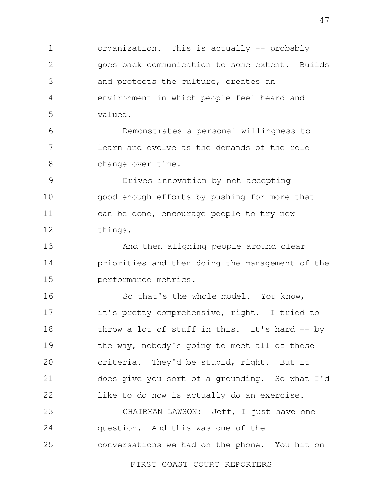1 2 3 4 5 organization. This is actually -- probably goes back communication to some extent. Builds and protects the culture, creates an environment in which people feel heard and valued.

6 7 8 Demonstrates a personal willingness to learn and evolve as the demands of the role change over time.

9 10 11 12 Drives innovation by not accepting good-enough efforts by pushing for more that can be done, encourage people to try new things.

13 14 15 And then aligning people around clear priorities and then doing the management of the performance metrics.

16 17 18 19  $20$ 21 22 So that's the whole model. You know, it's pretty comprehensive, right. I tried to throw a lot of stuff in this. It's hard  $-$  by the way, nobody's going to meet all of these criteria. They'd be stupid, right. But it does give you sort of a grounding. So what I'd like to do now is actually do an exercise.

23 24 25 CHAIRMAN LAWSON: Jeff, I just have one question. And this was one of the conversations we had on the phone. You hit on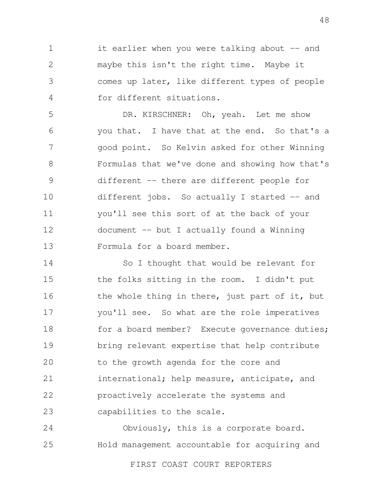1 2 3 4 it earlier when you were talking about -- and maybe this isn't the right time. Maybe it comes up later, like different types of people for different situations.

5 6 7 8 9 10 11 12 13 DR. KIRSCHNER: Oh, yeah. Let me show you that. I have that at the end. So that's a good point. So Kelvin asked for other Winning Formulas that we've done and showing how that's different -- there are different people for different jobs. So actually I started -- and you'll see this sort of at the back of your document -- but I actually found a Winning Formula for a board member.

14 15 16 17 18 19 20 21 22 23 So I thought that would be relevant for the folks sitting in the room. I didn't put the whole thing in there, just part of it, but you'll see. So what are the role imperatives for a board member? Execute governance duties; bring relevant expertise that help contribute to the growth agenda for the core and international; help measure, anticipate, and proactively accelerate the systems and capabilities to the scale.

24 25 Obviously, this is a corporate board. Hold management accountable for acquiring and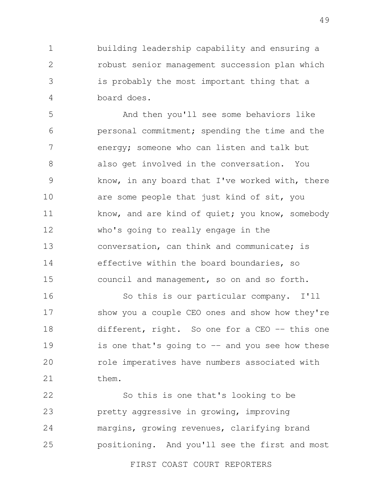1 2 3 4 building leadership capability and ensuring a robust senior management succession plan which is probably the most important thing that a board does.

5 6 7 8 9 10 11 12 13 14 15 And then you'll see some behaviors like personal commitment; spending the time and the energy; someone who can listen and talk but also get involved in the conversation. You know, in any board that I've worked with, there are some people that just kind of sit, you know, and are kind of quiet; you know, somebody who's going to really engage in the conversation, can think and communicate; is effective within the board boundaries, so council and management, so on and so forth.

16 17 18 19 20 21 So this is our particular company. I'll show you a couple CEO ones and show how they're different, right. So one for a CEO -- this one is one that's going to  $-$  and you see how these role imperatives have numbers associated with them.

22 23 24 25 So this is one that's looking to be pretty aggressive in growing, improving margins, growing revenues, clarifying brand positioning. And you'll see the first and most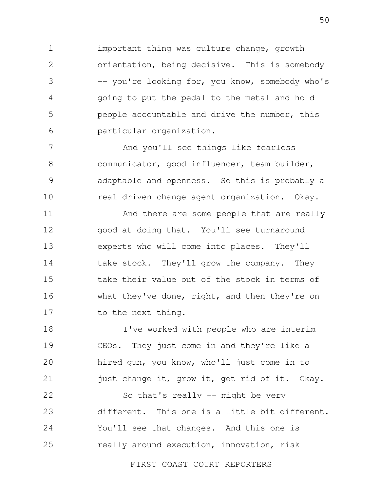1 2 3 4 5 6 important thing was culture change, growth orientation, being decisive. This is somebody -- you're looking for, you know, somebody who's going to put the pedal to the metal and hold people accountable and drive the number, this particular organization.

7 8 9 10 And you'll see things like fearless communicator, good influencer, team builder, adaptable and openness. So this is probably a real driven change agent organization. Okay.

11 12 13 14 15 16 17 And there are some people that are really good at doing that. You'll see turnaround experts who will come into places. They'll take stock. They'll grow the company. They take their value out of the stock in terms of what they've done, right, and then they're on to the next thing.

18 19 20 21 I've worked with people who are interim CEOs. They just come in and they're like a hired gun, you know, who'll just come in to just change it, grow it, get rid of it. Okay.

22 23 24 25 So that's really  $-$  might be very different. This one is a little bit different. You'll see that changes. And this one is really around execution, innovation, risk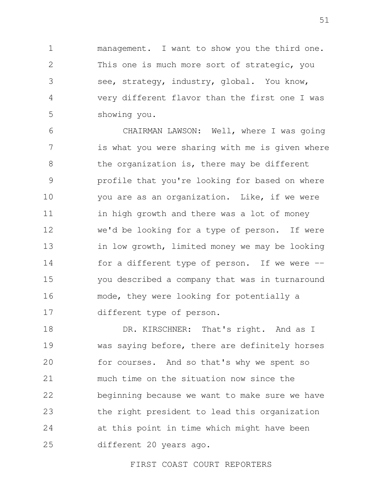1 2 3 4 5 management. I want to show you the third one. This one is much more sort of strategic, you see, strategy, industry, global. You know, very different flavor than the first one I was showing you.

6 7 8 9 10 11 12 13 14 15 16 17 CHAIRMAN LAWSON: Well, where I was going is what you were sharing with me is given where the organization is, there may be different profile that you're looking for based on where you are as an organization. Like, if we were in high growth and there was a lot of money we'd be looking for a type of person. If were in low growth, limited money we may be looking for a different type of person. If we were  $$ you described a company that was in turnaround mode, they were looking for potentially a different type of person.

18 19 20 21 22 23 24 25 DR. KIRSCHNER: That's right. And as I was saying before, there are definitely horses for courses. And so that's why we spent so much time on the situation now since the beginning because we want to make sure we have the right president to lead this organization at this point in time which might have been different 20 years ago.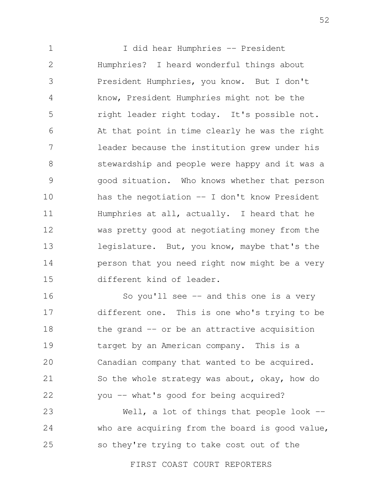1 2 3 4 5 6 7 8 9 10 11 12 13 14 15 I did hear Humphries -- President Humphries? I heard wonderful things about President Humphries, you know. But I don't know, President Humphries might not be the right leader right today. It's possible not. At that point in time clearly he was the right leader because the institution grew under his stewardship and people were happy and it was a good situation. Who knows whether that person has the negotiation  $-$  I don't know President Humphries at all, actually. I heard that he was pretty good at negotiating money from the legislature. But, you know, maybe that's the person that you need right now might be a very different kind of leader.

16 17 18 19 20 21 22 So you'll see  $-$  and this one is a very different one. This is one who's trying to be the grand -- or be an attractive acquisition target by an American company. This is a Canadian company that wanted to be acquired. So the whole strategy was about, okay, how do you -- what's good for being acquired?

23 24 25 Well, a lot of things that people look  $$ who are acquiring from the board is good value, so they're trying to take cost out of the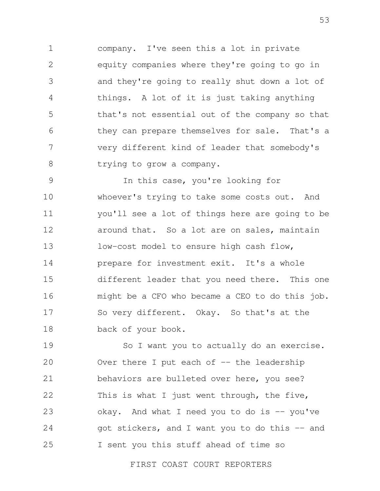1 2 3 4 5 6 7 8 company. I've seen this a lot in private equity companies where they're going to go in and they're going to really shut down a lot of things. A lot of it is just taking anything that's not essential out of the company so that they can prepare themselves for sale. That's a very different kind of leader that somebody's trying to grow a company.

9 10 11 12 13 14 15 16 17 18 In this case, you're looking for whoever's trying to take some costs out. And you'll see a lot of things here are going to be around that. So a lot are on sales, maintain low-cost model to ensure high cash flow, prepare for investment exit. It's a whole different leader that you need there. This one might be a CFO who became a CEO to do this job. So very different. Okay. So that's at the back of your book.

19 20 21 22 23 24 25 So I want you to actually do an exercise. Over there I put each of  $-$  the leadership behaviors are bulleted over here, you see? This is what I just went through, the five, okay. And what I need you to do is  $-$  you've got stickers, and I want you to do this -- and I sent you this stuff ahead of time so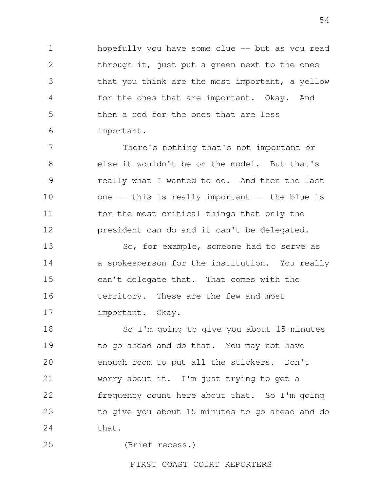1 2 3 4 5 6 hopefully you have some clue -- but as you read through it, just put a green next to the ones that you think are the most important, a yellow for the ones that are important. Okay. And then a red for the ones that are less important.

7 8 9 10 11 12 There's nothing that's not important or else it wouldn't be on the model. But that's really what I wanted to do. And then the last one -- this is really important -- the blue is for the most critical things that only the president can do and it can't be delegated.

13 14 15 16 17 So, for example, someone had to serve as a spokesperson for the institution. You really can't delegate that. That comes with the territory. These are the few and most important. Okay.

18 19 20 21 22 23 24 So I'm going to give you about 15 minutes to go ahead and do that. You may not have enough room to put all the stickers. Don't worry about it. I'm just trying to get a frequency count here about that. So I'm going to give you about 15 minutes to go ahead and do that.

25 (Brief recess.)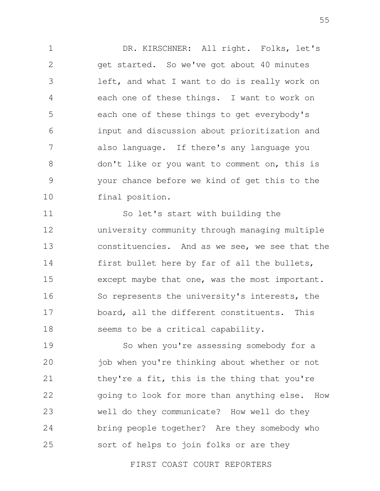1 2 3 4 5 6 7 8 9 10 DR. KIRSCHNER: All right. Folks, let's get started. So we've got about 40 minutes left, and what I want to do is really work on each one of these things. I want to work on each one of these things to get everybody's input and discussion about prioritization and also language. If there's any language you don't like or you want to comment on, this is your chance before we kind of get this to the final position.

11 12 13 14 15 16 17 18 So let's start with building the university community through managing multiple constituencies. And as we see, we see that the first bullet here by far of all the bullets, except maybe that one, was the most important. So represents the university's interests, the board, all the different constituents. This seems to be a critical capability.

19 20 21 22 23 24 25 So when you're assessing somebody for a job when you're thinking about whether or not they're a fit, this is the thing that you're going to look for more than anything else. How well do they communicate? How well do they bring people together? Are they somebody who sort of helps to join folks or are they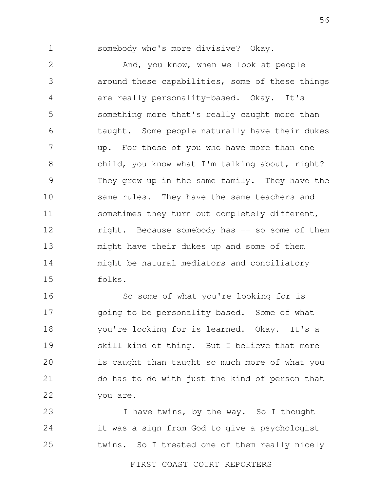1

somebody who's more divisive? Okay.

2 3 4 5 6 7 8 9 10 11 12 13 14 15 And, you know, when we look at people around these capabilities, some of these things are really personality-based. Okay. It's something more that's really caught more than taught. Some people naturally have their dukes up. For those of you who have more than one child, you know what I'm talking about, right? They grew up in the same family. They have the same rules. They have the same teachers and sometimes they turn out completely different, right. Because somebody has -- so some of them might have their dukes up and some of them might be natural mediators and conciliatory folks.

16 17 18 19 20 21 22 So some of what you're looking for is going to be personality based. Some of what you're looking for is learned. Okay. It's a skill kind of thing. But I believe that more is caught than taught so much more of what you do has to do with just the kind of person that you are.

23 24 25 I have twins, by the way. So I thought it was a sign from God to give a psychologist twins. So I treated one of them really nicely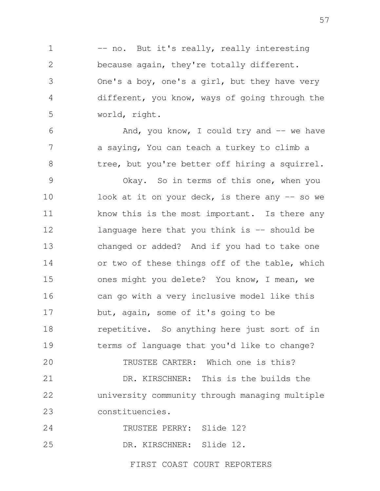1 2 3 4 5 -- no. But it's really, really interesting because again, they're totally different. One's a boy, one's a girl, but they have very different, you know, ways of going through the world, right.

6 7 8 And, you know, I could try and  $-$  we have a saying, You can teach a turkey to climb a tree, but you're better off hiring a squirrel.

9 10 11 12 13 14 15 16 17 18 19 20 Okay. So in terms of this one, when you look at it on your deck, is there any  $-$  so we know this is the most important. Is there any language here that you think is  $-$  should be changed or added? And if you had to take one or two of these things off of the table, which ones might you delete? You know, I mean, we can go with a very inclusive model like this but, again, some of it's going to be repetitive. So anything here just sort of in terms of language that you'd like to change? TRUSTEE CARTER: Which one is this?

21 22 23 DR. KIRSCHNER: This is the builds the university community through managing multiple constituencies.

24 TRUSTEE PERRY: Slide 12?

25 DR. KIRSCHNER: Slide 12.

FIRST COAST COURT REPORTERS

57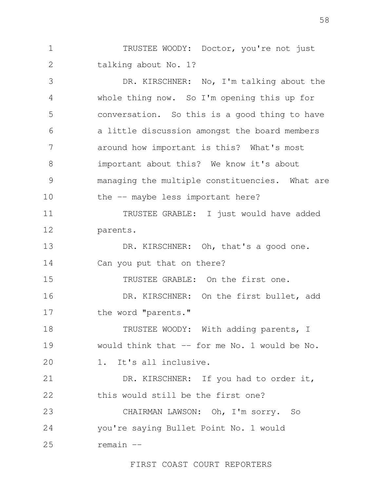1 2 TRUSTEE WOODY: Doctor, you're not just talking about No. 1?

3 4 5 6 7 8 9 10 11 12 13 14 15 16 17 18 19  $20$ 21 22 23 24 25 DR. KIRSCHNER: No, I'm talking about the whole thing now. So I'm opening this up for conversation. So this is a good thing to have a little discussion amongst the board members around how important is this? What's most important about this? We know it's about managing the multiple constituencies. What are the -- maybe less important here? TRUSTEE GRABLE: I just would have added parents. DR. KIRSCHNER: Oh, that's a good one. Can you put that on there? TRUSTEE GRABLE: On the first one. DR. KIRSCHNER: On the first bullet, add the word "parents." TRUSTEE WOODY: With adding parents, I would think that -- for me No. 1 would be No. 1. It's all inclusive. DR. KIRSCHNER: If you had to order it, this would still be the first one? CHAIRMAN LAWSON: Oh, I'm sorry. So you're saying Bullet Point No. 1 would remain --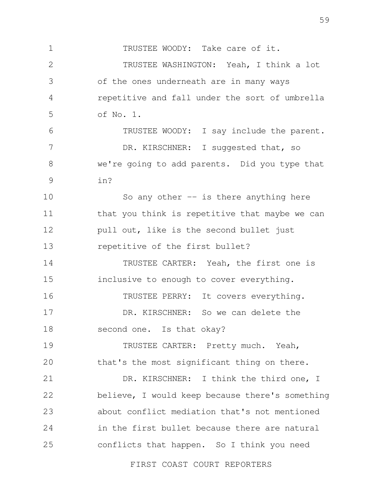1 2 3 4 5 6 7 8 9 10 11 12 13 14 15 16 17 18 19 20 21 22 23 24 25 TRUSTEE WOODY: Take care of it. TRUSTEE WASHINGTON: Yeah, I think a lot of the ones underneath are in many ways repetitive and fall under the sort of umbrella of No. 1. TRUSTEE WOODY: I say include the parent. DR. KIRSCHNER: I suggested that, so we're going to add parents. Did you type that in? So any other  $-$  is there anything here that you think is repetitive that maybe we can pull out, like is the second bullet just repetitive of the first bullet? TRUSTEE CARTER: Yeah, the first one is inclusive to enough to cover everything. TRUSTEE PERRY: It covers everything. DR. KIRSCHNER: So we can delete the second one. Is that okay? TRUSTEE CARTER: Pretty much. Yeah, that's the most significant thing on there. DR. KIRSCHNER: I think the third one, I believe, I would keep because there's something about conflict mediation that's not mentioned in the first bullet because there are natural conflicts that happen. So I think you need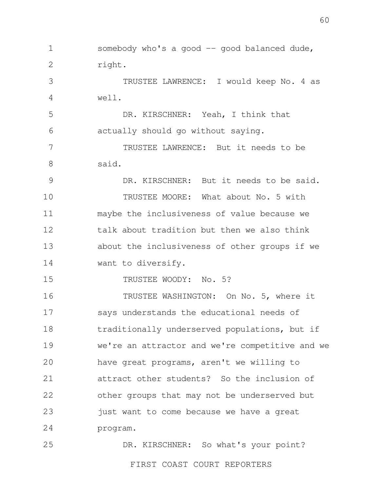1 2 3 4 5 6 7 8 9 10 11 12 13 14 15 16 17 18 19 20 21 22 23 24 25 somebody who's a good  $-$  good balanced dude, right. TRUSTEE LAWRENCE: I would keep No. 4 as well. DR. KIRSCHNER: Yeah, I think that actually should go without saying. TRUSTEE LAWRENCE: But it needs to be said. DR. KIRSCHNER: But it needs to be said. TRUSTEE MOORE: What about No. 5 with maybe the inclusiveness of value because we talk about tradition but then we also think about the inclusiveness of other groups if we want to diversify. TRUSTEE WOODY: No. 5? TRUSTEE WASHINGTON: On No. 5, where it says understands the educational needs of traditionally underserved populations, but if we're an attractor and we're competitive and we have great programs, aren't we willing to attract other students? So the inclusion of other groups that may not be underserved but just want to come because we have a great program. DR. KIRSCHNER: So what's your point?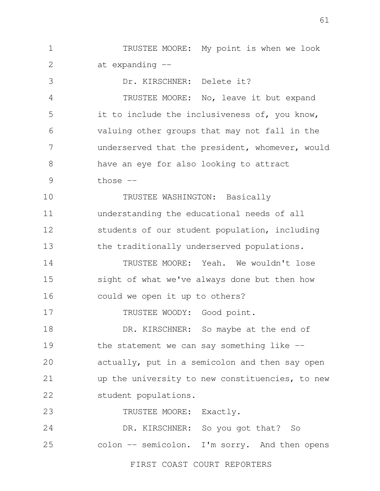1 2 TRUSTEE MOORE: My point is when we look at expanding --

3 4 5 6 7 8 9 10 11 12 13 14 15 16 17 Dr. KIRSCHNER: Delete it? TRUSTEE MOORE: No, leave it but expand it to include the inclusiveness of, you know, valuing other groups that may not fall in the underserved that the president, whomever, would have an eye for also looking to attract those  $--$ TRUSTEE WASHINGTON: Basically understanding the educational needs of all students of our student population, including the traditionally underserved populations. TRUSTEE MOORE: Yeah. We wouldn't lose sight of what we've always done but then how could we open it up to others? TRUSTEE WOODY: Good point.

18 19 20 21 22 DR. KIRSCHNER: So maybe at the end of the statement we can say something like  $$ actually, put in a semicolon and then say open up the university to new constituencies, to new student populations.

23 TRUSTEE MOORE: Exactly.

24 25 DR. KIRSCHNER: So you got that? So colon -- semicolon. I'm sorry. And then opens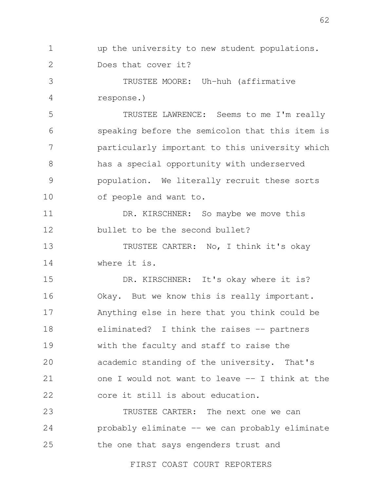1 2 up the university to new student populations. Does that cover it?

3 4 TRUSTEE MOORE: Uh-huh (affirmative response.)

5 6 7 8 9 10 TRUSTEE LAWRENCE: Seems to me I'm really speaking before the semicolon that this item is particularly important to this university which has a special opportunity with underserved population. We literally recruit these sorts of people and want to.

11 12 DR. KIRSCHNER: So maybe we move this bullet to be the second bullet?

13 14 TRUSTEE CARTER: No, I think it's okay where it is.

15 16 17 18 19 20 21 22 DR. KIRSCHNER: It's okay where it is? Okay. But we know this is really important. Anything else in here that you think could be eliminated? I think the raises -- partners with the faculty and staff to raise the academic standing of the university. That's one I would not want to leave -- I think at the core it still is about education.

23 24 25 TRUSTEE CARTER: The next one we can probably eliminate -- we can probably eliminate the one that says engenders trust and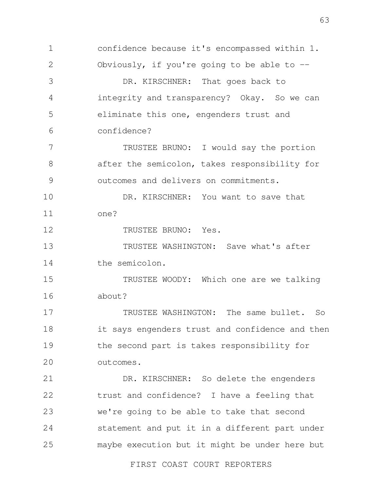1 2 3 4 5 6 7 8 9 10 11 12 13 14 15 16 17 18 19  $20$ 21 22 23 24 25 confidence because it's encompassed within 1. Obviously, if you're going to be able to -- DR. KIRSCHNER: That goes back to integrity and transparency? Okay. So we can eliminate this one, engenders trust and confidence? TRUSTEE BRUNO: I would say the portion after the semicolon, takes responsibility for outcomes and delivers on commitments. DR. KIRSCHNER: You want to save that one? TRUSTEE BRUNO: Yes. TRUSTEE WASHINGTON: Save what's after the semicolon. TRUSTEE WOODY: Which one are we talking about? TRUSTEE WASHINGTON: The same bullet. So it says engenders trust and confidence and then the second part is takes responsibility for outcomes. DR. KIRSCHNER: So delete the engenders trust and confidence? I have a feeling that we're going to be able to take that second statement and put it in a different part under maybe execution but it might be under here but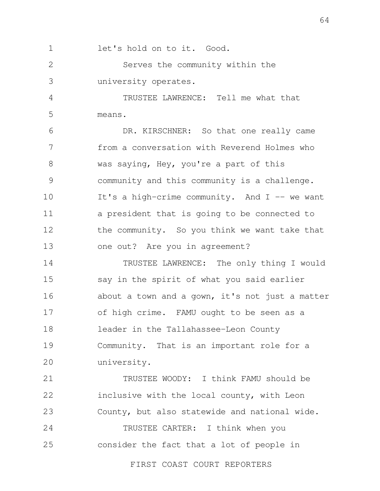1 let's hold on to it. Good.

2 3 Serves the community within the university operates.

4 5 TRUSTEE LAWRENCE: Tell me what that means.

6 7 8 9 10 11 12 13 DR. KIRSCHNER: So that one really came from a conversation with Reverend Holmes who was saying, Hey, you're a part of this community and this community is a challenge. It's a high-crime community. And  $I$  -- we want a president that is going to be connected to the community. So you think we want take that one out? Are you in agreement?

14 15 16 17 18 19 20 TRUSTEE LAWRENCE: The only thing I would say in the spirit of what you said earlier about a town and a gown, it's not just a matter of high crime. FAMU ought to be seen as a leader in the Tallahassee-Leon County Community. That is an important role for a university.

21 22 23 TRUSTEE WOODY: I think FAMU should be inclusive with the local county, with Leon County, but also statewide and national wide.

24 25 TRUSTEE CARTER: I think when you consider the fact that a lot of people in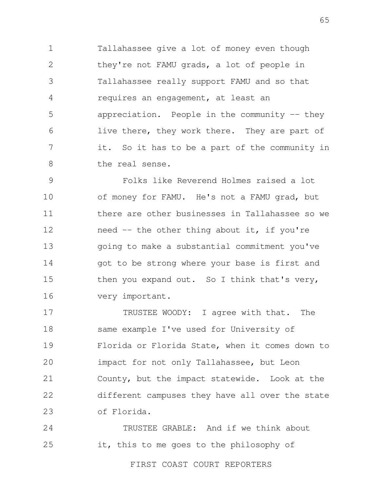1 2 3 4 5 6 7 8 Tallahassee give a lot of money even though they're not FAMU grads, a lot of people in Tallahassee really support FAMU and so that requires an engagement, at least an appreciation. People in the community  $-$  they live there, they work there. They are part of it. So it has to be a part of the community in the real sense.

9 10 11 12 13 14 15 16 Folks like Reverend Holmes raised a lot of money for FAMU. He's not a FAMU grad, but there are other businesses in Tallahassee so we need -- the other thing about it, if you're going to make a substantial commitment you've got to be strong where your base is first and then you expand out. So I think that's very, very important.

17 18 19 20 21 22 23 TRUSTEE WOODY: I agree with that. The same example I've used for University of Florida or Florida State, when it comes down to impact for not only Tallahassee, but Leon County, but the impact statewide. Look at the different campuses they have all over the state of Florida.

24 25 TRUSTEE GRABLE: And if we think about it, this to me goes to the philosophy of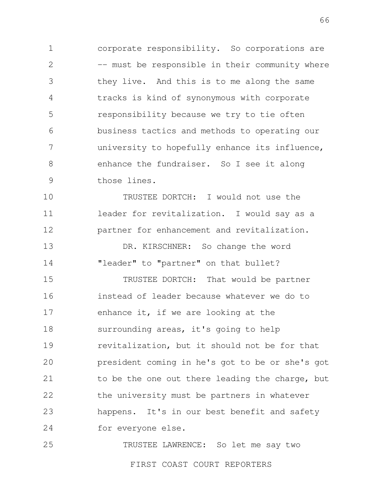1 2 3 4 5 6 7 8 9 corporate responsibility. So corporations are -- must be responsible in their community where they live. And this is to me along the same tracks is kind of synonymous with corporate responsibility because we try to tie often business tactics and methods to operating our university to hopefully enhance its influence, enhance the fundraiser. So I see it along those lines.

10 11 12 TRUSTEE DORTCH: I would not use the leader for revitalization. I would say as a partner for enhancement and revitalization.

13 14 DR. KIRSCHNER: So change the word "leader" to "partner" on that bullet?

15 16 17 18 19 20 21 22 23 24 TRUSTEE DORTCH: That would be partner instead of leader because whatever we do to enhance it, if we are looking at the surrounding areas, it's going to help revitalization, but it should not be for that president coming in he's got to be or she's got to be the one out there leading the charge, but the university must be partners in whatever happens. It's in our best benefit and safety for everyone else.

25 TRUSTEE LAWRENCE: So let me say two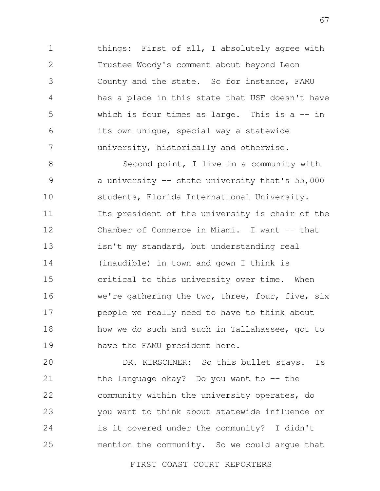1 2 3 4 5 6 7 things: First of all, I absolutely agree with Trustee Woody's comment about beyond Leon County and the state. So for instance, FAMU has a place in this state that USF doesn't have which is four times as large. This is a  $-$  in its own unique, special way a statewide university, historically and otherwise.

8 9 10 11 12 13 14 15 16 17 18 19 Second point, I live in a community with a university -- state university that's 55,000 students, Florida International University. Its president of the university is chair of the Chamber of Commerce in Miami. I want -- that isn't my standard, but understanding real (inaudible) in town and gown I think is critical to this university over time. When we're gathering the two, three, four, five, six people we really need to have to think about how we do such and such in Tallahassee, got to have the FAMU president here.

20 21 22 23 24 25 DR. KIRSCHNER: So this bullet stays. Is the language okay? Do you want to  $-$  the community within the university operates, do you want to think about statewide influence or is it covered under the community? I didn't mention the community. So we could argue that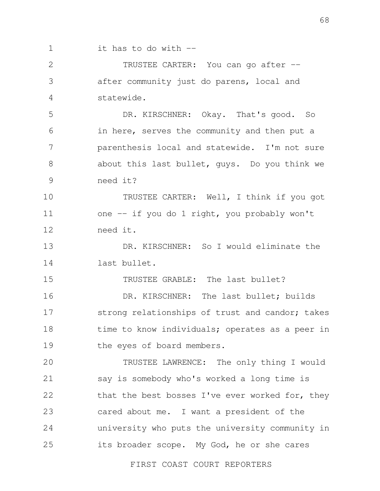1 it has to do with --

2 3 4 TRUSTEE CARTER: You can go after - after community just do parens, local and statewide.

5 6 7 8 9 DR. KIRSCHNER: Okay. That's good. So in here, serves the community and then put a parenthesis local and statewide. I'm not sure about this last bullet, guys. Do you think we need it?

10 11 12 TRUSTEE CARTER: Well, I think if you got one -- if you do 1 right, you probably won't need it.

13 14 DR. KIRSCHNER: So I would eliminate the last bullet.

15 TRUSTEE GRABLE: The last bullet?

16 17 18 19 DR. KIRSCHNER: The last bullet; builds strong relationships of trust and candor; takes time to know individuals; operates as a peer in the eyes of board members.

20 21 22 23 24 25 TRUSTEE LAWRENCE: The only thing I would say is somebody who's worked a long time is that the best bosses I've ever worked for, they cared about me. I want a president of the university who puts the university community in its broader scope. My God, he or she cares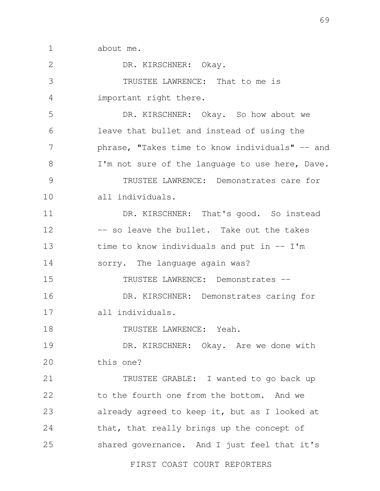1 about me.

2 3 4 5 6 7 8 9 10 11 12 13 14 15 16 17 18 19 20 21 22 23 24 25 DR. KIRSCHNER: Okay. TRUSTEE LAWRENCE: That to me is important right there. DR. KIRSCHNER: Okay. So how about we leave that bullet and instead of using the phrase, "Takes time to know individuals" -- and I'm not sure of the language to use here, Dave. TRUSTEE LAWRENCE: Demonstrates care for all individuals. DR. KIRSCHNER: That's good. So instead -- so leave the bullet. Take out the takes time to know individuals and put in  $--$  I'm sorry. The language again was? TRUSTEE LAWRENCE: Demonstrates -- DR. KIRSCHNER: Demonstrates caring for all individuals. TRUSTEE LAWRENCE: Yeah. DR. KIRSCHNER: Okay. Are we done with this one? TRUSTEE GRABLE: I wanted to go back up to the fourth one from the bottom. And we already agreed to keep it, but as I looked at that, that really brings up the concept of shared governance. And I just feel that it's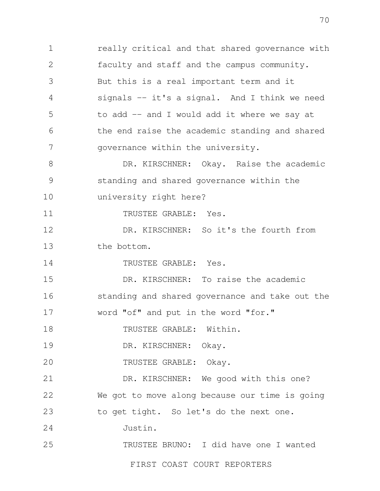1 2 3 4 5 6 7 8 9 10 11 12 13 14 15 16 17 18 19  $20$ 21 22 23 24 25 FIRST COAST COURT REPORTERS really critical and that shared governance with faculty and staff and the campus community. But this is a real important term and it signals -- it's a signal. And I think we need to add -- and I would add it where we say at the end raise the academic standing and shared governance within the university. DR. KIRSCHNER: Okay. Raise the academic standing and shared governance within the university right here? TRUSTEE GRABLE: Yes. DR. KIRSCHNER: So it's the fourth from the bottom. TRUSTEE GRABLE: Yes. DR. KIRSCHNER: To raise the academic standing and shared governance and take out the word "of" and put in the word "for." TRUSTEE GRABLE: Within. DR. KIRSCHNER: Okay. TRUSTEE GRABLE: Okay. DR. KIRSCHNER: We good with this one? We got to move along because our time is going to get tight. So let's do the next one. Justin. TRUSTEE BRUNO: I did have one I wanted

70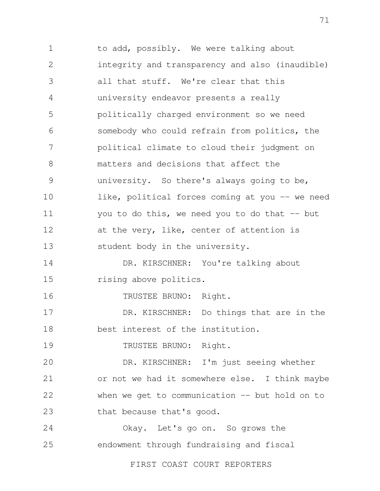1 2 3 4 5 6 7 8 9 10 11 12 13 14 15 16 17 18 19  $20$ 21 22 23 24 25 to add, possibly. We were talking about integrity and transparency and also (inaudible) all that stuff. We're clear that this university endeavor presents a really politically charged environment so we need somebody who could refrain from politics, the political climate to cloud their judgment on matters and decisions that affect the university. So there's always going to be, like, political forces coming at you -- we need you to do this, we need you to do that  $-$  but at the very, like, center of attention is student body in the university. DR. KIRSCHNER: You're talking about rising above politics. TRUSTEE BRUNO: Right. DR. KIRSCHNER: Do things that are in the best interest of the institution. TRUSTEE BRUNO: Right. DR. KIRSCHNER: I'm just seeing whether or not we had it somewhere else. I think maybe when we get to communication  $--$  but hold on to that because that's good. Okay. Let's go on. So grows the endowment through fundraising and fiscal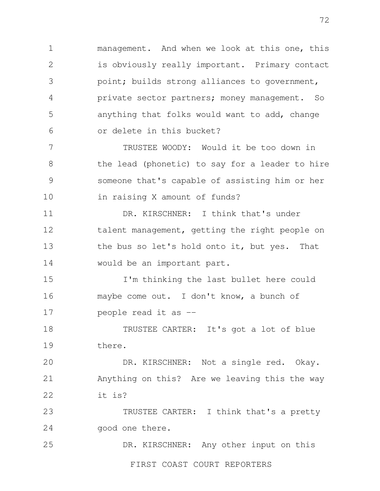1 2 3 4 5 6 management. And when we look at this one, this is obviously really important. Primary contact point; builds strong alliances to government, private sector partners; money management. So anything that folks would want to add, change or delete in this bucket?

7 8 9 10 TRUSTEE WOODY: Would it be too down in the lead (phonetic) to say for a leader to hire someone that's capable of assisting him or her in raising X amount of funds?

11 12 13 14 DR. KIRSCHNER: I think that's under talent management, getting the right people on the bus so let's hold onto it, but yes. That would be an important part.

15 16 17 I'm thinking the last bullet here could maybe come out. I don't know, a bunch of people read it as --

18 19 TRUSTEE CARTER: It's got a lot of blue there.

 $20$ 21 22 DR. KIRSCHNER: Not a single red. Okay. Anything on this? Are we leaving this the way it is?

23 24 TRUSTEE CARTER: I think that's a pretty good one there.

25 FIRST COAST COURT REPORTERS DR. KIRSCHNER: Any other input on this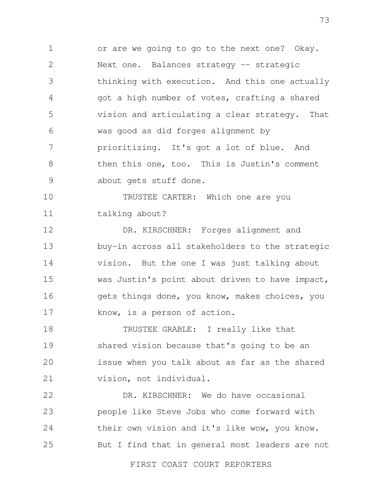1 2 3 4 5 6 7 8 9 or are we going to go to the next one? Okay. Next one. Balances strategy -- strategic thinking with execution. And this one actually got a high number of votes, crafting a shared vision and articulating a clear strategy. That was good as did forges alignment by prioritizing. It's got a lot of blue. And then this one, too. This is Justin's comment about gets stuff done.

10 11 TRUSTEE CARTER: Which one are you talking about?

12 13 14 15 16 17 DR. KIRSCHNER: Forges alignment and buy-in across all stakeholders to the strategic vision. But the one I was just talking about was Justin's point about driven to have impact, gets things done, you know, makes choices, you know, is a person of action.

18 19 20 21 TRUSTEE GRABLE: I really like that shared vision because that's going to be an issue when you talk about as far as the shared vision, not individual.

22 23 24 25 DR. KIRSCHNER: We do have occasional people like Steve Jobs who come forward with their own vision and it's like wow, you know. But I find that in general most leaders are not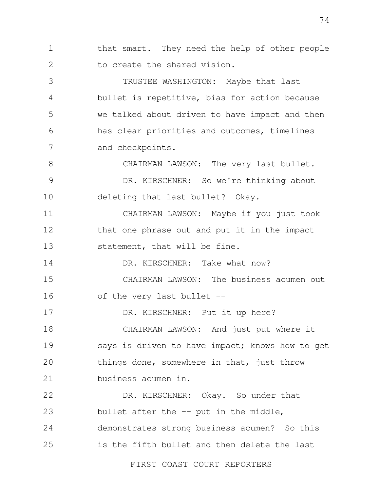1 2 that smart. They need the help of other people to create the shared vision.

3 4 5 6 7 TRUSTEE WASHINGTON: Maybe that last bullet is repetitive, bias for action because we talked about driven to have impact and then has clear priorities and outcomes, timelines and checkpoints.

8 9 10 CHAIRMAN LAWSON: The very last bullet. DR. KIRSCHNER: So we're thinking about deleting that last bullet? Okay.

11 12 13 CHAIRMAN LAWSON: Maybe if you just took that one phrase out and put it in the impact statement, that will be fine.

14 15 DR. KIRSCHNER: Take what now? CHAIRMAN LAWSON: The business acumen out

16 of the very last bullet --

17

18 19 20 21 DR. KIRSCHNER: Put it up here? CHAIRMAN LAWSON: And just put where it says is driven to have impact; knows how to get things done, somewhere in that, just throw business acumen in.

22 23 24 25 DR. KIRSCHNER: Okay. So under that bullet after the  $-$  put in the middle, demonstrates strong business acumen? So this is the fifth bullet and then delete the last

FIRST COAST COURT REPORTERS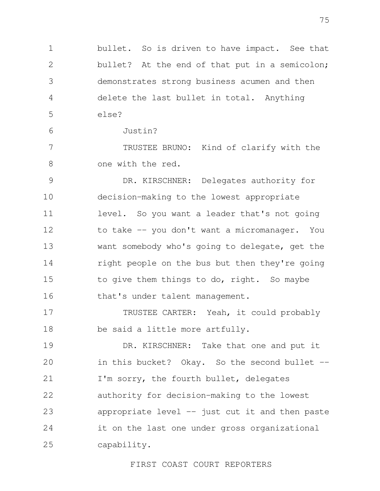1 2 3 4 5 bullet. So is driven to have impact. See that bullet? At the end of that put in a semicolon; demonstrates strong business acumen and then delete the last bullet in total. Anything else?

Justin?

6

7 8 TRUSTEE BRUNO: Kind of clarify with the one with the red.

9 10 11 12 13 14 15 16 DR. KIRSCHNER: Delegates authority for decision-making to the lowest appropriate level. So you want a leader that's not going to take -- you don't want a micromanager. You want somebody who's going to delegate, get the right people on the bus but then they're going to give them things to do, right. So maybe that's under talent management.

17 18 TRUSTEE CARTER: Yeah, it could probably be said a little more artfully.

19 20 21 22 23 24 25 DR. KIRSCHNER: Take that one and put it in this bucket? Okay. So the second bullet --I'm sorry, the fourth bullet, delegates authority for decision-making to the lowest appropriate level  $-$  just cut it and then paste it on the last one under gross organizational capability.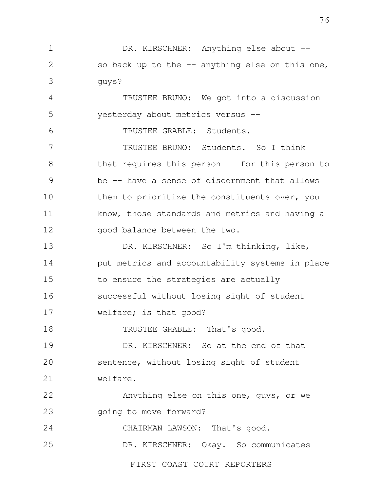1 2 3 DR. KIRSCHNER: Anything else about -so back up to the -- anything else on this one, guys?

4 5 TRUSTEE BRUNO: We got into a discussion yesterday about metrics versus --

6 TRUSTEE GRABLE: Students.

7 8 9 10 11 12 TRUSTEE BRUNO: Students. So I think that requires this person -- for this person to be -- have a sense of discernment that allows them to prioritize the constituents over, you know, those standards and metrics and having a good balance between the two.

13 14 15 16 17 DR. KIRSCHNER: So I'm thinking, like, put metrics and accountability systems in place to ensure the strategies are actually successful without losing sight of student welfare; is that good?

18 TRUSTEE GRABLE: That's good.

19 20 21 DR. KIRSCHNER: So at the end of that sentence, without losing sight of student welfare.

22 23 Anything else on this one, guys, or we going to move forward?

24 CHAIRMAN LAWSON: That's good.

25 DR. KIRSCHNER: Okay. So communicates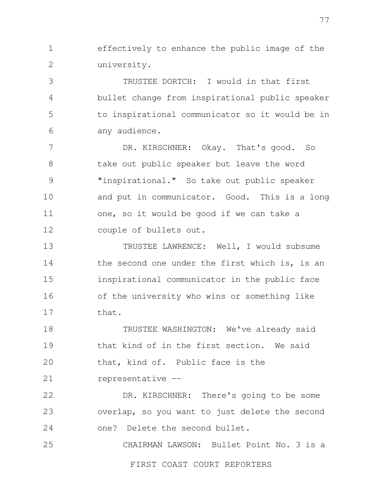1 2 effectively to enhance the public image of the university.

3 4 5 6 TRUSTEE DORTCH: I would in that first bullet change from inspirational public speaker to inspirational communicator so it would be in any audience.

7 8 9 10 11 12 DR. KIRSCHNER: Okay. That's good. So take out public speaker but leave the word "inspirational." So take out public speaker and put in communicator. Good. This is a long one, so it would be good if we can take a couple of bullets out.

13 14 15 16 17 TRUSTEE LAWRENCE: Well, I would subsume the second one under the first which is, is an inspirational communicator in the public face of the university who wins or something like that.

18 19 20 21 TRUSTEE WASHINGTON: We've already said that kind of in the first section. We said that, kind of. Public face is the representative --

22 23 24 DR. KIRSCHNER: There's going to be some overlap, so you want to just delete the second one? Delete the second bullet.

25 CHAIRMAN LAWSON: Bullet Point No. 3 is a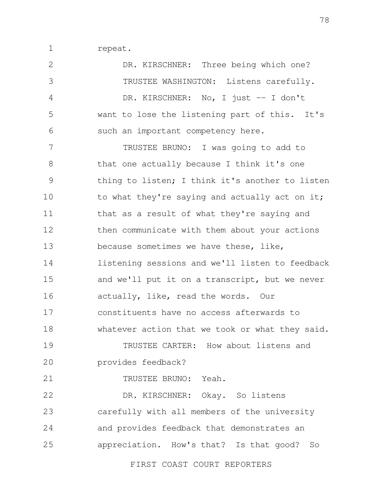1 repeat.

2 3 4 5 6 7 8 9 10 11 12 13 14 15 16 17 18 19 20 21 22 23 24 25 DR. KIRSCHNER: Three being which one? TRUSTEE WASHINGTON: Listens carefully. DR. KIRSCHNER: No, I just -- I don't want to lose the listening part of this. It's such an important competency here. TRUSTEE BRUNO: I was going to add to that one actually because I think it's one thing to listen; I think it's another to listen to what they're saying and actually act on it; that as a result of what they're saying and then communicate with them about your actions because sometimes we have these, like, listening sessions and we'll listen to feedback and we'll put it on a transcript, but we never actually, like, read the words. Our constituents have no access afterwards to whatever action that we took or what they said. TRUSTEE CARTER: How about listens and provides feedback? TRUSTEE BRUNO: Yeah. DR. KIRSCHNER: Okay. So listens carefully with all members of the university and provides feedback that demonstrates an appreciation. How's that? Is that good? So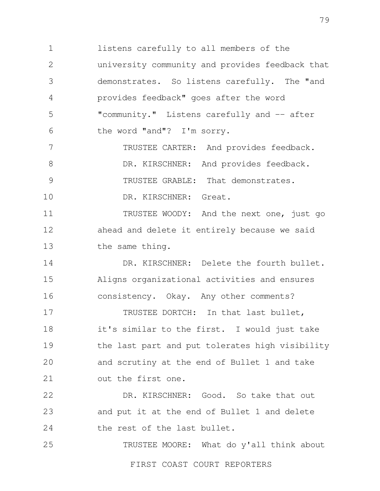1 2 3 4 5 6 listens carefully to all members of the university community and provides feedback that demonstrates. So listens carefully. The "and provides feedback" goes after the word "community." Listens carefully and -- after the word "and"? I'm sorry.

7 8 9 10 TRUSTEE CARTER: And provides feedback. DR. KIRSCHNER: And provides feedback. TRUSTEE GRABLE: That demonstrates. DR. KIRSCHNER: Great.

11 12 13 TRUSTEE WOODY: And the next one, just go ahead and delete it entirely because we said the same thing.

14 15 16 DR. KIRSCHNER: Delete the fourth bullet. Aligns organizational activities and ensures consistency. Okay. Any other comments?

17 18 19 20 21 TRUSTEE DORTCH: In that last bullet, it's similar to the first. I would just take the last part and put tolerates high visibility and scrutiny at the end of Bullet 1 and take out the first one.

22 23 24 DR. KIRSCHNER: Good. So take that out and put it at the end of Bullet 1 and delete the rest of the last bullet.

25 TRUSTEE MOORE: What do y'all think about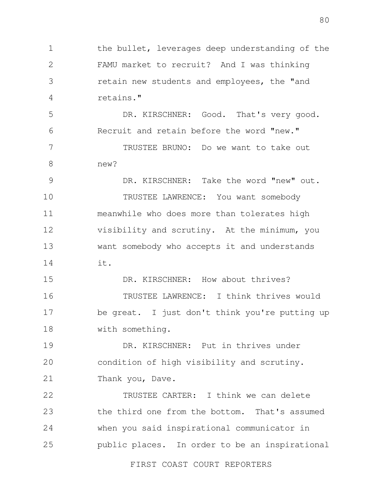1 2 3 4 the bullet, leverages deep understanding of the FAMU market to recruit? And I was thinking retain new students and employees, the "and retains."

5 6 DR. KIRSCHNER: Good. That's very good. Recruit and retain before the word "new."

7 8 TRUSTEE BRUNO: Do we want to take out new?

9 10 11 12 13 14 DR. KIRSCHNER: Take the word "new" out. TRUSTEE LAWRENCE: You want somebody meanwhile who does more than tolerates high visibility and scrutiny. At the minimum, you want somebody who accepts it and understands it.

15 16 17 18 DR. KIRSCHNER: How about thrives? TRUSTEE LAWRENCE: I think thrives would be great. I just don't think you're putting up with something.

19 20 21 DR. KIRSCHNER: Put in thrives under condition of high visibility and scrutiny. Thank you, Dave.

22 23 24 25 TRUSTEE CARTER: I think we can delete the third one from the bottom. That's assumed when you said inspirational communicator in public places. In order to be an inspirational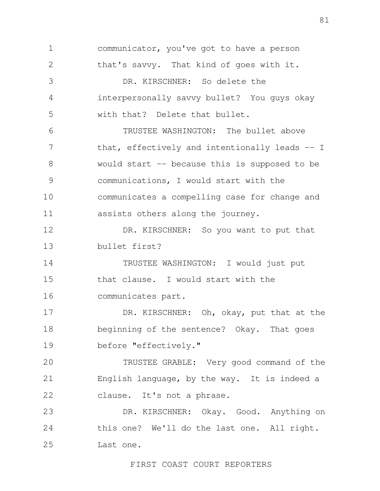1 2 3 4 5 6 7 8 9 10 11 12 13 14 15 16 17 18 19  $20$ 21 22 23 24 25 communicator, you've got to have a person that's savvy. That kind of goes with it. DR. KIRSCHNER: So delete the interpersonally savvy bullet? You guys okay with that? Delete that bullet. TRUSTEE WASHINGTON: The bullet above that, effectively and intentionally leads -- I would start -- because this is supposed to be communications, I would start with the communicates a compelling case for change and assists others along the journey. DR. KIRSCHNER: So you want to put that bullet first? TRUSTEE WASHINGTON: I would just put that clause. I would start with the communicates part. DR. KIRSCHNER: Oh, okay, put that at the beginning of the sentence? Okay. That goes before "effectively." TRUSTEE GRABLE: Very good command of the English language, by the way. It is indeed a clause. It's not a phrase. DR. KIRSCHNER: Okay. Good. Anything on this one? We'll do the last one. All right. Last one.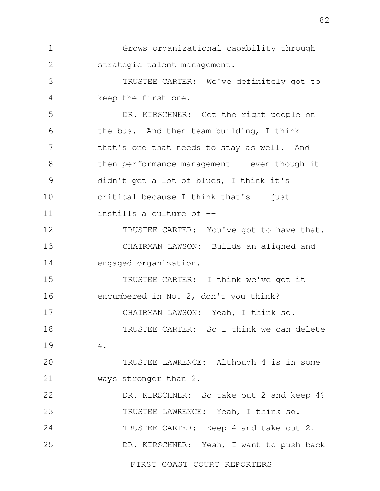1 2 Grows organizational capability through strategic talent management.

3 4 TRUSTEE CARTER: We've definitely got to keep the first one.

5 6 7 8 9 10 11 DR. KIRSCHNER: Get the right people on the bus. And then team building, I think that's one that needs to stay as well. And then performance management  $-$  even though it didn't get a lot of blues, I think it's critical because I think that's  $-$  just instills a culture of --

12 13 14 TRUSTEE CARTER: You've got to have that. CHAIRMAN LAWSON: Builds an aligned and engaged organization.

15 16 17 TRUSTEE CARTER: I think we've got it encumbered in No. 2, don't you think? CHAIRMAN LAWSON: Yeah, I think so.

18 19 TRUSTEE CARTER: So I think we can delete 4.

20 21 TRUSTEE LAWRENCE: Although 4 is in some ways stronger than 2.

22 23 24 25 DR. KIRSCHNER: So take out 2 and keep 4? TRUSTEE LAWRENCE: Yeah, I think so. TRUSTEE CARTER: Keep 4 and take out 2. DR. KIRSCHNER: Yeah, I want to push back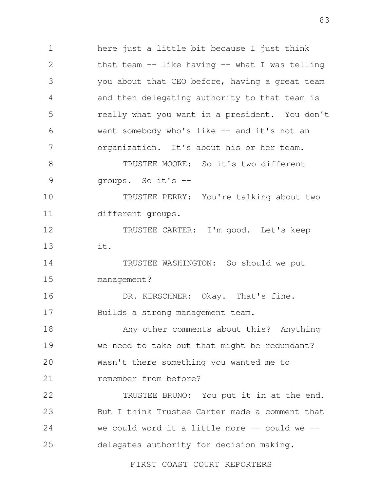1 2 3 4 5 6 7 8 9 10 11 12 13 14 15 16 17 18 19  $20$ 21 22 23 24 25 FIRST COAST COURT REPORTERS here just a little bit because I just think that team  $--$  like having  $--$  what I was telling you about that CEO before, having a great team and then delegating authority to that team is really what you want in a president. You don't want somebody who's like -- and it's not an organization. It's about his or her team. TRUSTEE MOORE: So it's two different groups. So it's -- TRUSTEE PERRY: You're talking about two different groups. TRUSTEE CARTER: I'm good. Let's keep it. TRUSTEE WASHINGTON: So should we put management? DR. KIRSCHNER: Okay. That's fine. Builds a strong management team. Any other comments about this? Anything we need to take out that might be redundant? Wasn't there something you wanted me to remember from before? TRUSTEE BRUNO: You put it in at the end. But I think Trustee Carter made a comment that we could word it a little more  $-$  could we  $$ delegates authority for decision making.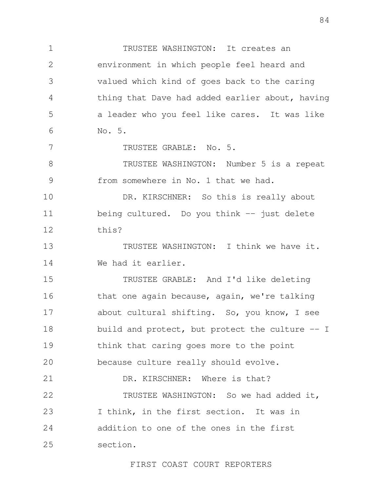1 2 3 4 5 6 TRUSTEE WASHINGTON: It creates an environment in which people feel heard and valued which kind of goes back to the caring thing that Dave had added earlier about, having a leader who you feel like cares. It was like No. 5.

TRUSTEE GRABLE: No. 5.

7

8 9 TRUSTEE WASHINGTON: Number 5 is a repeat from somewhere in No. 1 that we had.

10 11 12 DR. KIRSCHNER: So this is really about being cultured. Do you think -- just delete this?

13 14 TRUSTEE WASHINGTON: I think we have it. We had it earlier.

15 16 17 18 19 20 TRUSTEE GRABLE: And I'd like deleting that one again because, again, we're talking about cultural shifting. So, you know, I see build and protect, but protect the culture -- I think that caring goes more to the point because culture really should evolve.

21 22 23 24 25 DR. KIRSCHNER: Where is that? TRUSTEE WASHINGTON: So we had added it, I think, in the first section. It was in addition to one of the ones in the first section.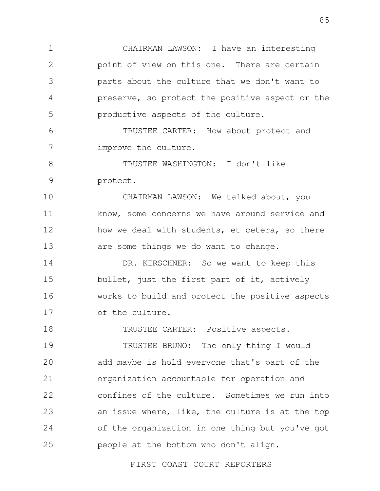1 2 3 4 5 CHAIRMAN LAWSON: I have an interesting point of view on this one. There are certain parts about the culture that we don't want to preserve, so protect the positive aspect or the productive aspects of the culture.

6 7 TRUSTEE CARTER: How about protect and improve the culture.

8 9 TRUSTEE WASHINGTON: I don't like protect.

10 11 12 13 CHAIRMAN LAWSON: We talked about, you know, some concerns we have around service and how we deal with students, et cetera, so there are some things we do want to change.

14 15 16 17 DR. KIRSCHNER: So we want to keep this bullet, just the first part of it, actively works to build and protect the positive aspects of the culture.

18 TRUSTEE CARTER: Positive aspects.

19  $20$ 21 22 23 24 25 TRUSTEE BRUNO: The only thing I would add maybe is hold everyone that's part of the organization accountable for operation and confines of the culture. Sometimes we run into an issue where, like, the culture is at the top of the organization in one thing but you've got people at the bottom who don't align.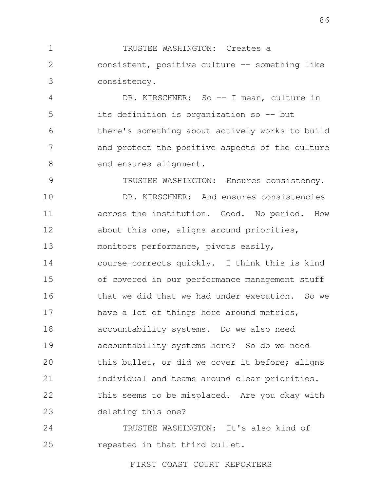1 2 3 TRUSTEE WASHINGTON: Creates a consistent, positive culture -- something like consistency.

4 5 6 7 8 DR. KIRSCHNER: So -- I mean, culture in its definition is organization so -- but there's something about actively works to build and protect the positive aspects of the culture and ensures alignment.

9 10 11 12 13 14 15 16 17 18 19 20 21 22 23 TRUSTEE WASHINGTON: Ensures consistency. DR. KIRSCHNER: And ensures consistencies across the institution. Good. No period. How about this one, aligns around priorities, monitors performance, pivots easily, course-corrects quickly. I think this is kind of covered in our performance management stuff that we did that we had under execution. So we have a lot of things here around metrics, accountability systems. Do we also need accountability systems here? So do we need this bullet, or did we cover it before; aligns individual and teams around clear priorities. This seems to be misplaced. Are you okay with deleting this one?

24 25 TRUSTEE WASHINGTON: It's also kind of repeated in that third bullet.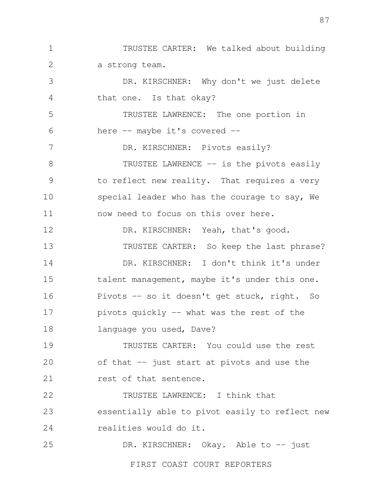1 2 3 4 5 6 7 8 9 10 11 12 13 14 15 16 17 18 19 TRUSTEE CARTER: We talked about building a strong team. DR. KIRSCHNER: Why don't we just delete that one. Is that okay? TRUSTEE LAWRENCE: The one portion in here -- maybe it's covered --DR. KIRSCHNER: Pivots easily? TRUSTEE LAWRENCE -- is the pivots easily to reflect new reality. That requires a very special leader who has the courage to say, We now need to focus on this over here. DR. KIRSCHNER: Yeah, that's good. TRUSTEE CARTER: So keep the last phrase? DR. KIRSCHNER: I don't think it's under talent management, maybe it's under this one. Pivots -- so it doesn't get stuck, right. So pivots quickly -- what was the rest of the language you used, Dave? TRUSTEE CARTER: You could use the rest

20 21 of that -- just start at pivots and use the rest of that sentence.

22 23 24 TRUSTEE LAWRENCE: I think that essentially able to pivot easily to reflect new realities would do it.

25 DR. KIRSCHNER: Okay. Able to -- just

FIRST COAST COURT REPORTERS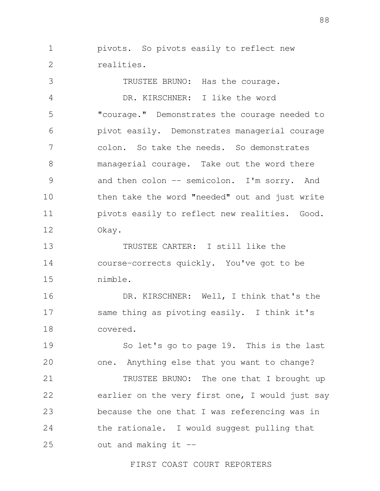1 2 pivots. So pivots easily to reflect new realities.

3 4 5 6 7 8 9 10 11 12 TRUSTEE BRUNO: Has the courage. DR. KIRSCHNER: I like the word "courage." Demonstrates the courage needed to pivot easily. Demonstrates managerial courage colon. So take the needs. So demonstrates managerial courage. Take out the word there and then colon -- semicolon. I'm sorry. And then take the word "needed" out and just write pivots easily to reflect new realities. Good. Okay.

13 14 15 TRUSTEE CARTER: I still like the course-corrects quickly. You've got to be nimble.

16 17 18 DR. KIRSCHNER: Well, I think that's the same thing as pivoting easily. I think it's covered.

19 20 21 22 23 24 So let's go to page 19. This is the last one. Anything else that you want to change? TRUSTEE BRUNO: The one that I brought up earlier on the very first one, I would just say because the one that I was referencing was in the rationale. I would suggest pulling that

25 out and making it  $-$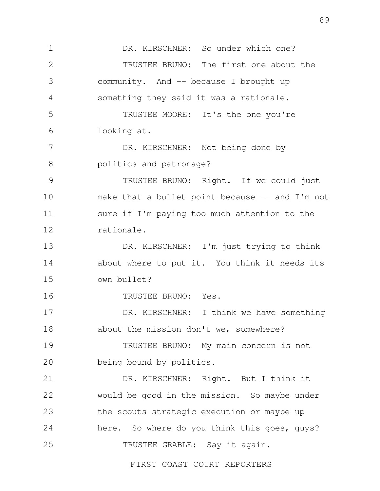1 2 3 4 5 6 7 8 9 10 11 12 13 14 15 16 17 18 19 20 21 22 23 24 25 FIRST COAST COURT REPORTERS DR. KIRSCHNER: So under which one? TRUSTEE BRUNO: The first one about the community. And -- because I brought up something they said it was a rationale. TRUSTEE MOORE: It's the one you're looking at. DR. KIRSCHNER: Not being done by politics and patronage? TRUSTEE BRUNO: Right. If we could just make that a bullet point because  $-$  and I'm not sure if I'm paying too much attention to the rationale. DR. KIRSCHNER: I'm just trying to think about where to put it. You think it needs its own bullet? TRUSTEE BRUNO: Yes. DR. KIRSCHNER: I think we have something about the mission don't we, somewhere? TRUSTEE BRUNO: My main concern is not being bound by politics. DR. KIRSCHNER: Right. But I think it would be good in the mission. So maybe under the scouts strategic execution or maybe up here. So where do you think this goes, guys? TRUSTEE GRABLE: Say it again.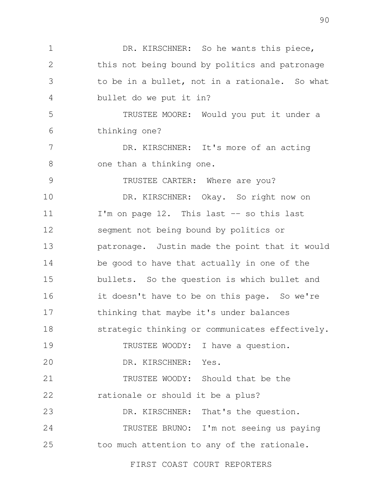1 2 3 4 5 6 7 8 9 10 11 12 13 14 15 16 17 18 19  $20$ 21 22 23 24 25 DR. KIRSCHNER: So he wants this piece, this not being bound by politics and patronage to be in a bullet, not in a rationale. So what bullet do we put it in? TRUSTEE MOORE: Would you put it under a thinking one? DR. KIRSCHNER: It's more of an acting one than a thinking one. TRUSTEE CARTER: Where are you? DR. KIRSCHNER: Okay. So right now on I'm on page 12. This last -- so this last segment not being bound by politics or patronage. Justin made the point that it would be good to have that actually in one of the bullets. So the question is which bullet and it doesn't have to be on this page. So we're thinking that maybe it's under balances strategic thinking or communicates effectively. TRUSTEE WOODY: I have a question. DR. KIRSCHNER: Yes. TRUSTEE WOODY: Should that be the rationale or should it be a plus? DR. KIRSCHNER: That's the question. TRUSTEE BRUNO: I'm not seeing us paying too much attention to any of the rationale.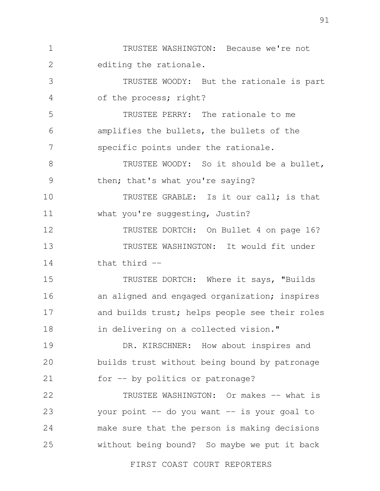1 2 3 4 5 6 7 8 9 10 11 12 13 14 15 16 17 18 19  $20$ 21 22 23 24 25 TRUSTEE WASHINGTON: Because we're not editing the rationale. TRUSTEE WOODY: But the rationale is part of the process; right? TRUSTEE PERRY: The rationale to me amplifies the bullets, the bullets of the specific points under the rationale. TRUSTEE WOODY: So it should be a bullet, then; that's what you're saying? TRUSTEE GRABLE: Is it our call; is that what you're suggesting, Justin? TRUSTEE DORTCH: On Bullet 4 on page 16? TRUSTEE WASHINGTON: It would fit under that third -- TRUSTEE DORTCH: Where it says, "Builds an aligned and engaged organization; inspires and builds trust; helps people see their roles in delivering on a collected vision." DR. KIRSCHNER: How about inspires and builds trust without being bound by patronage for -- by politics or patronage? TRUSTEE WASHINGTON: Or makes -- what is your point  $-$  do you want  $-$  is your goal to make sure that the person is making decisions without being bound? So maybe we put it back

FIRST COAST COURT REPORTERS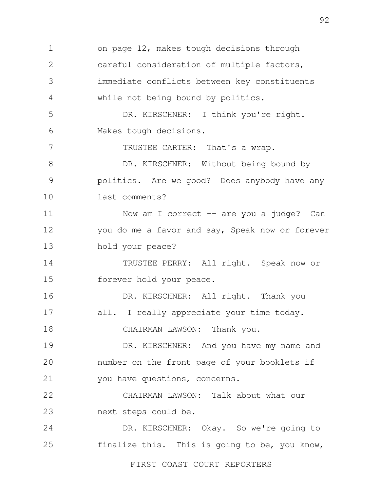1 2 3 4 5 6 7 8 9 10 11 12 13 14 15 16 17 18 19 20 21 22 23 24 25 FIRST COAST COURT REPORTERS on page 12, makes tough decisions through careful consideration of multiple factors, immediate conflicts between key constituents while not being bound by politics. DR. KIRSCHNER: I think you're right. Makes tough decisions. TRUSTEE CARTER: That's a wrap. DR. KIRSCHNER: Without being bound by politics. Are we good? Does anybody have any last comments? Now am I correct -- are you a judge? Can you do me a favor and say, Speak now or forever hold your peace? TRUSTEE PERRY: All right. Speak now or forever hold your peace. DR. KIRSCHNER: All right. Thank you all. I really appreciate your time today. CHAIRMAN LAWSON: Thank you. DR. KIRSCHNER: And you have my name and number on the front page of your booklets if you have questions, concerns. CHAIRMAN LAWSON: Talk about what our next steps could be. DR. KIRSCHNER: Okay. So we're going to finalize this. This is going to be, you know,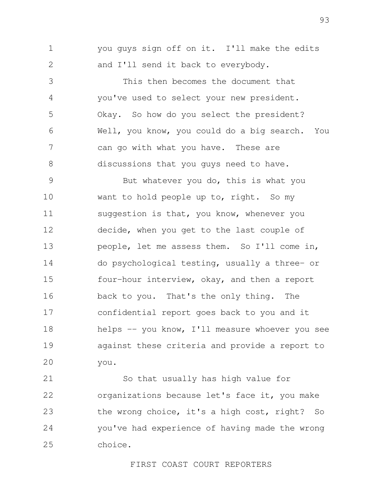1 2 you guys sign off on it. I'll make the edits and I'll send it back to everybody.

3 4 5 6 7 8 This then becomes the document that you've used to select your new president. Okay. So how do you select the president? Well, you know, you could do a big search. You can go with what you have. These are discussions that you guys need to have.

9 10 11 12 13 14 15 16 17 18 19 20 But whatever you do, this is what you want to hold people up to, right. So my suggestion is that, you know, whenever you decide, when you get to the last couple of people, let me assess them. So I'll come in, do psychological testing, usually a three- or four-hour interview, okay, and then a report back to you. That's the only thing. The confidential report goes back to you and it helps -- you know, I'll measure whoever you see against these criteria and provide a report to you.

21 22 23 24 25 So that usually has high value for organizations because let's face it, you make the wrong choice, it's a high cost, right? So you've had experience of having made the wrong choice.

## FIRST COAST COURT REPORTERS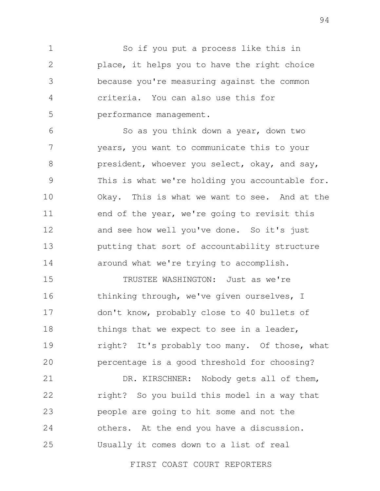1 2 3 4 5 So if you put a process like this in place, it helps you to have the right choice because you're measuring against the common criteria. You can also use this for performance management.

6 7 8 9 10 11 12 13 14 So as you think down a year, down two years, you want to communicate this to your president, whoever you select, okay, and say, This is what we're holding you accountable for. Okay. This is what we want to see. And at the end of the year, we're going to revisit this and see how well you've done. So it's just putting that sort of accountability structure around what we're trying to accomplish.

15 16 17 18 19 20 TRUSTEE WASHINGTON: Just as we're thinking through, we've given ourselves, I don't know, probably close to 40 bullets of things that we expect to see in a leader, right? It's probably too many. Of those, what percentage is a good threshold for choosing?

21 22 23 24 25 DR. KIRSCHNER: Nobody gets all of them, right? So you build this model in a way that people are going to hit some and not the others. At the end you have a discussion. Usually it comes down to a list of real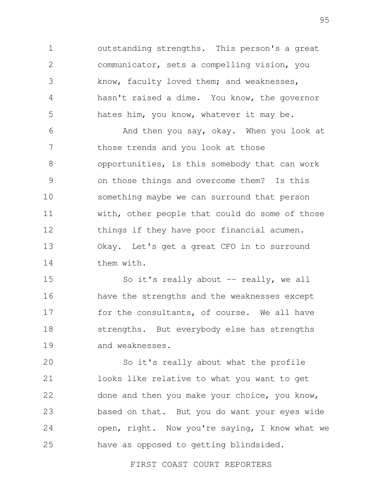1 2 3 4 5 outstanding strengths. This person's a great communicator, sets a compelling vision, you know, faculty loved them; and weaknesses, hasn't raised a dime. You know, the governor hates him, you know, whatever it may be.

6 7 8 9 10 11 12 13 14 And then you say, okay. When you look at those trends and you look at those opportunities, is this somebody that can work on those things and overcome them? Is this something maybe we can surround that person with, other people that could do some of those things if they have poor financial acumen. Okay. Let's get a great CFO in to surround them with.

15 16 17 18 19 So it's really about  $--$  really, we all have the strengths and the weaknesses except for the consultants, of course. We all have strengths. But everybody else has strengths and weaknesses.

20 21 22 23 24 25 So it's really about what the profile looks like relative to what you want to get done and then you make your choice, you know, based on that. But you do want your eyes wide open, right. Now you're saying, I know what we have as opposed to getting blindsided.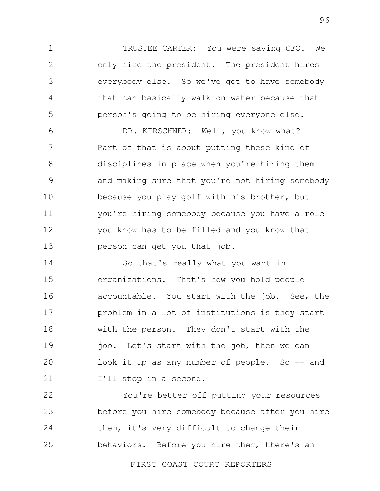1 2 3 4 5 TRUSTEE CARTER: You were saying CFO. We only hire the president. The president hires everybody else. So we've got to have somebody that can basically walk on water because that person's going to be hiring everyone else.

6 7 8 9 10 11 12 13 DR. KIRSCHNER: Well, you know what? Part of that is about putting these kind of disciplines in place when you're hiring them and making sure that you're not hiring somebody because you play golf with his brother, but you're hiring somebody because you have a role you know has to be filled and you know that person can get you that job.

14 15 16 17 18 19 20 21 So that's really what you want in organizations. That's how you hold people accountable. You start with the job. See, the problem in a lot of institutions is they start with the person. They don't start with the job. Let's start with the job, then we can look it up as any number of people. So  $-$  and I'll stop in a second.

22 23 24 25 You're better off putting your resources before you hire somebody because after you hire them, it's very difficult to change their behaviors. Before you hire them, there's an

FIRST COAST COURT REPORTERS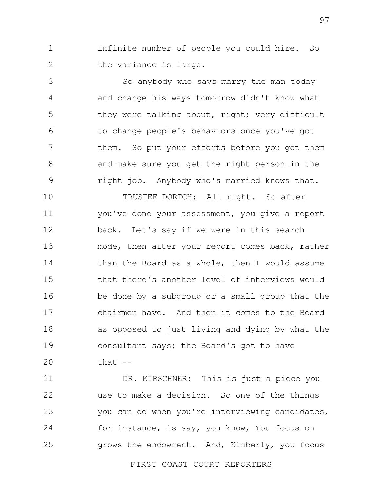1 2 infinite number of people you could hire. So the variance is large.

3 4 5 6 7 8 9 So anybody who says marry the man today and change his ways tomorrow didn't know what they were talking about, right; very difficult to change people's behaviors once you've got them. So put your efforts before you got them and make sure you get the right person in the right job. Anybody who's married knows that.

10 11 12 13 14 15 16 17 18 19 20 TRUSTEE DORTCH: All right. So after you've done your assessment, you give a report back. Let's say if we were in this search mode, then after your report comes back, rather than the Board as a whole, then I would assume that there's another level of interviews would be done by a subgroup or a small group that the chairmen have. And then it comes to the Board as opposed to just living and dying by what the consultant says; the Board's got to have  $that$   $--$ 

21 22 23 24 25 DR. KIRSCHNER: This is just a piece you use to make a decision. So one of the things you can do when you're interviewing candidates, for instance, is say, you know, You focus on grows the endowment. And, Kimberly, you focus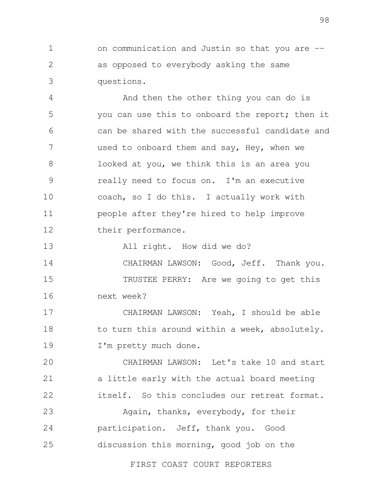1 2 3 on communication and Justin so that you are - as opposed to everybody asking the same questions.

4 5 6 7 8 9 10 11 12 And then the other thing you can do is you can use this to onboard the report; then it can be shared with the successful candidate and used to onboard them and say, Hey, when we looked at you, we think this is an area you really need to focus on. I'm an executive coach, so I do this. I actually work with people after they're hired to help improve their performance.

13 All right. How did we do?

14 15 16 CHAIRMAN LAWSON: Good, Jeff. Thank you. TRUSTEE PERRY: Are we going to get this next week?

17 18 19 CHAIRMAN LAWSON: Yeah, I should be able to turn this around within a week, absolutely. I'm pretty much done.

 $20$ 21 22 CHAIRMAN LAWSON: Let's take 10 and start a little early with the actual board meeting itself. So this concludes our retreat format.

23 24 25 Again, thanks, everybody, for their participation. Jeff, thank you. Good discussion this morning, good job on the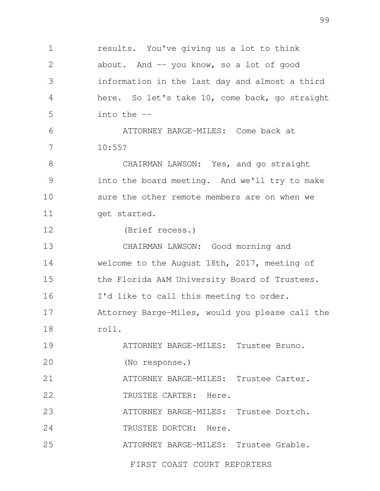1 2 3 4 5 6 7 8 9 10 11 12 13 14 15 16 17 18 19 20 21 22 23 24 25 results. You've giving us a lot to think about. And -- you know, so a lot of good information in the last day and almost a third here. So let's take 10, come back, go straight into the -- ATTORNEY BARGE-MILES: Come back at 10:55? CHAIRMAN LAWSON: Yes, and go straight into the board meeting. And we'll try to make sure the other remote members are on when we get started. (Brief recess.) CHAIRMAN LAWSON: Good morning and welcome to the August 18th, 2017, meeting of the Florida A&M University Board of Trustees. I'd like to call this meeting to order. Attorney Barge-Miles, would you please call the roll. ATTORNEY BARGE-MILES: Trustee Bruno. (No response.) ATTORNEY BARGE-MILES: Trustee Carter. TRUSTEE CARTER: Here. ATTORNEY BARGE-MILES: Trustee Dortch. TRUSTEE DORTCH: Here. ATTORNEY BARGE-MILES: Trustee Grable.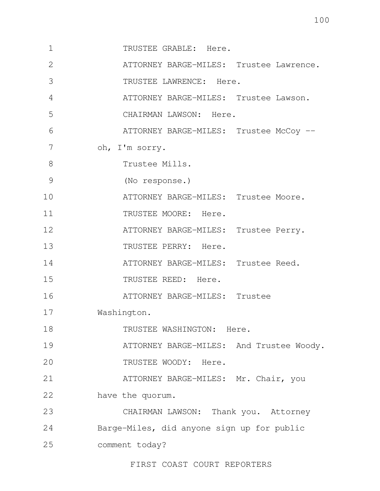1 2 3 4 5 6 7 8 9 10 11 12 13 14 15 16 17 18 19  $20$ 21 22 23 24 25 TRUSTEE GRABLE: Here. ATTORNEY BARGE-MILES: Trustee Lawrence. TRUSTEE LAWRENCE: Here. ATTORNEY BARGE-MILES: Trustee Lawson. CHAIRMAN LAWSON: Here. ATTORNEY BARGE-MILES: Trustee McCoy -oh, I'm sorry. Trustee Mills. (No response.) ATTORNEY BARGE-MILES: Trustee Moore. TRUSTEE MOORE: Here. ATTORNEY BARGE-MILES: Trustee Perry. TRUSTEE PERRY: Here. ATTORNEY BARGE-MILES: Trustee Reed. TRUSTEE REED: Here. ATTORNEY BARGE-MILES: Trustee Washington. TRUSTEE WASHINGTON: Here. ATTORNEY BARGE-MILES: And Trustee Woody. TRUSTEE WOODY: Here. ATTORNEY BARGE-MILES: Mr. Chair, you have the quorum. CHAIRMAN LAWSON: Thank you. Attorney Barge-Miles, did anyone sign up for public comment today?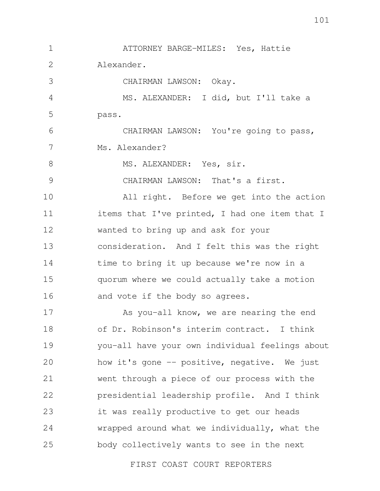1 2 3 4 5 6 7 8 9 10 11 12 13 14 15 16 17 18 19  $20$ 21 22 23 24 25 ATTORNEY BARGE-MILES: Yes, Hattie Alexander. CHAIRMAN LAWSON: Okay. MS. ALEXANDER: I did, but I'll take a pass. CHAIRMAN LAWSON: You're going to pass, Ms. Alexander? MS. ALEXANDER: Yes, sir. CHAIRMAN LAWSON: That's a first. All right. Before we get into the action items that I've printed, I had one item that I wanted to bring up and ask for your consideration. And I felt this was the right time to bring it up because we're now in a quorum where we could actually take a motion and vote if the body so agrees. As you-all know, we are nearing the end of Dr. Robinson's interim contract. I think you-all have your own individual feelings about how it's gone -- positive, negative. We just went through a piece of our process with the presidential leadership profile. And I think it was really productive to get our heads wrapped around what we individually, what the body collectively wants to see in the next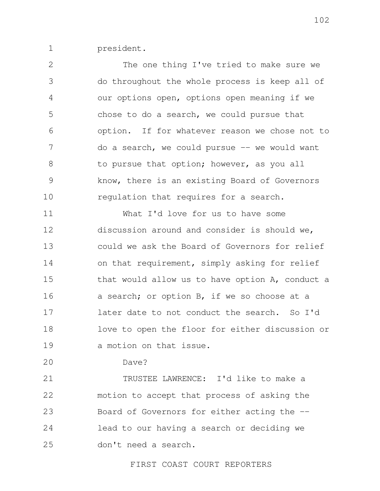1 president.

2 3 4 5 6 7 8 9 10 The one thing I've tried to make sure we do throughout the whole process is keep all of our options open, options open meaning if we chose to do a search, we could pursue that option. If for whatever reason we chose not to do a search, we could pursue -- we would want to pursue that option; however, as you all know, there is an existing Board of Governors regulation that requires for a search.

11 12 13 14 15 16 17 18 19 What I'd love for us to have some discussion around and consider is should we, could we ask the Board of Governors for relief on that requirement, simply asking for relief that would allow us to have option A, conduct a a search; or option B, if we so choose at a later date to not conduct the search. So I'd love to open the floor for either discussion or a motion on that issue.

 $20$ 

Dave?

21 22 23 24 25 TRUSTEE LAWRENCE: I'd like to make a motion to accept that process of asking the Board of Governors for either acting the - lead to our having a search or deciding we don't need a search.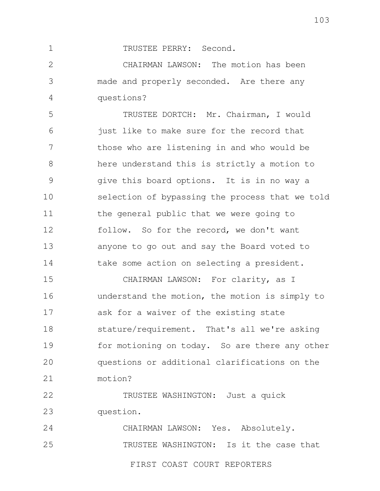TRUSTEE PERRY: Second.

2 3 4 CHAIRMAN LAWSON: The motion has been made and properly seconded. Are there any questions?

5 6 7 8 9 10 11 12 13 14 TRUSTEE DORTCH: Mr. Chairman, I would just like to make sure for the record that those who are listening in and who would be here understand this is strictly a motion to give this board options. It is in no way a selection of bypassing the process that we told the general public that we were going to follow. So for the record, we don't want anyone to go out and say the Board voted to take some action on selecting a president.

15 16 17 18 19  $20$ 21 CHAIRMAN LAWSON: For clarity, as I understand the motion, the motion is simply to ask for a waiver of the existing state stature/requirement. That's all we're asking for motioning on today. So are there any other questions or additional clarifications on the motion?

22 23 TRUSTEE WASHINGTON: Just a quick question.

24 25 CHAIRMAN LAWSON: Yes. Absolutely. TRUSTEE WASHINGTON: Is it the case that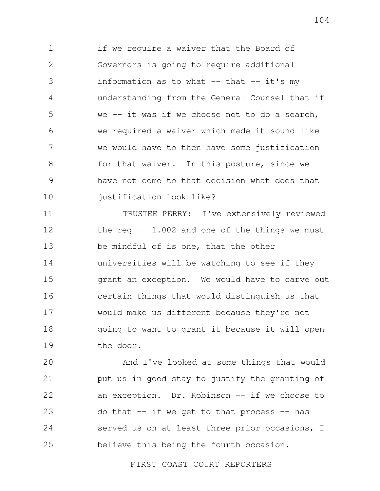1 2 3 4 5 6 7 8 9 10 if we require a waiver that the Board of Governors is going to require additional information as to what  $--$  that  $--$  it's my understanding from the General Counsel that if we  $-$  it was if we choose not to do a search, we required a waiver which made it sound like we would have to then have some justification for that waiver. In this posture, since we have not come to that decision what does that justification look like?

11 12 13 14 15 16 17 18 19 TRUSTEE PERRY: I've extensively reviewed the reg  $-$  1.002 and one of the things we must be mindful of is one, that the other universities will be watching to see if they grant an exception. We would have to carve out certain things that would distinguish us that would make us different because they're not going to want to grant it because it will open the door.

 $20$ 21 22 23 24 25 And I've looked at some things that would put us in good stay to justify the granting of an exception. Dr. Robinson -- if we choose to do that  $-$  if we get to that process  $-$  has served us on at least three prior occasions, I believe this being the fourth occasion.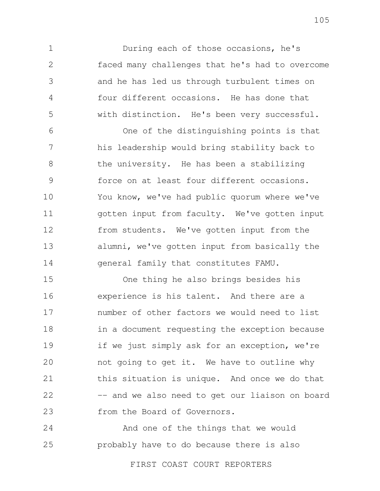During each of those occasions, he's faced many challenges that he's had to overcome and he has led us through turbulent times on four different occasions. He has done that with distinction. He's been very successful.

1

2

3

4

5

6 7 8 9 10 11 12 13 14 One of the distinguishing points is that his leadership would bring stability back to the university. He has been a stabilizing force on at least four different occasions. You know, we've had public quorum where we've gotten input from faculty. We've gotten input from students. We've gotten input from the alumni, we've gotten input from basically the general family that constitutes FAMU.

15 16 17 18 19 20 21 22 23 One thing he also brings besides his experience is his talent. And there are a number of other factors we would need to list in a document requesting the exception because if we just simply ask for an exception, we're not going to get it. We have to outline why this situation is unique. And once we do that -- and we also need to get our liaison on board from the Board of Governors.

24 25 And one of the things that we would probably have to do because there is also

FIRST COAST COURT REPORTERS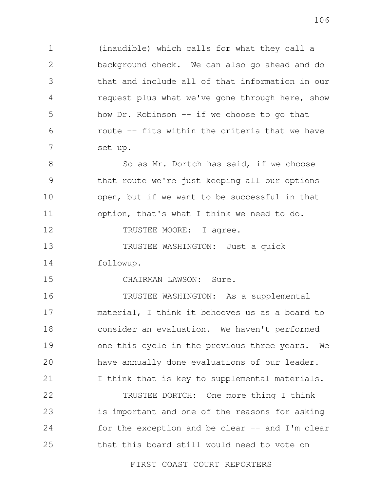1 2 3 4 5 6 7 (inaudible) which calls for what they call a background check. We can also go ahead and do that and include all of that information in our request plus what we've gone through here, show how  $Dr.$  Robinson  $-$  if we choose to go that route -- fits within the criteria that we have set up.

8 9 10 11 So as Mr. Dortch has said, if we choose that route we're just keeping all our options open, but if we want to be successful in that option, that's what I think we need to do.

12 TRUSTEE MOORE: I agree.

15

13 14 TRUSTEE WASHINGTON: Just a quick followup.

CHAIRMAN LAWSON: Sure.

16 17 18 19 20 21 TRUSTEE WASHINGTON: As a supplemental material, I think it behooves us as a board to consider an evaluation. We haven't performed one this cycle in the previous three years. We have annually done evaluations of our leader. I think that is key to supplemental materials.

22 23 24 25 TRUSTEE DORTCH: One more thing I think is important and one of the reasons for asking for the exception and be clear  $-$  and I'm clear that this board still would need to vote on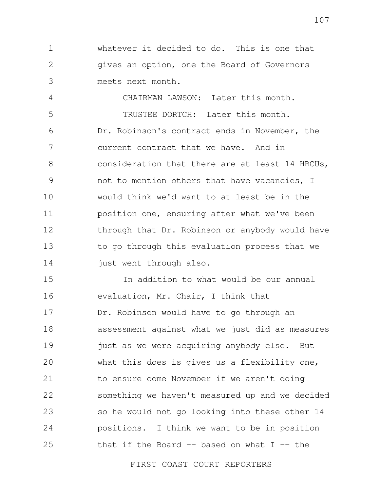1 2 3 whatever it decided to do. This is one that gives an option, one the Board of Governors meets next month.

4 5 6 7 8 9 10 11 12 13 14 CHAIRMAN LAWSON: Later this month. TRUSTEE DORTCH: Later this month. Dr. Robinson's contract ends in November, the current contract that we have. And in consideration that there are at least 14 HBCUs, not to mention others that have vacancies, I would think we'd want to at least be in the position one, ensuring after what we've been through that Dr. Robinson or anybody would have to go through this evaluation process that we just went through also.

15 16 17 18 19 20 21 22 23 24 25 In addition to what would be our annual evaluation, Mr. Chair, I think that Dr. Robinson would have to go through an assessment against what we just did as measures just as we were acquiring anybody else. But what this does is gives us a flexibility one, to ensure come November if we aren't doing something we haven't measured up and we decided so he would not go looking into these other 14 positions. I think we want to be in position that if the Board  $-$  based on what I  $-$  the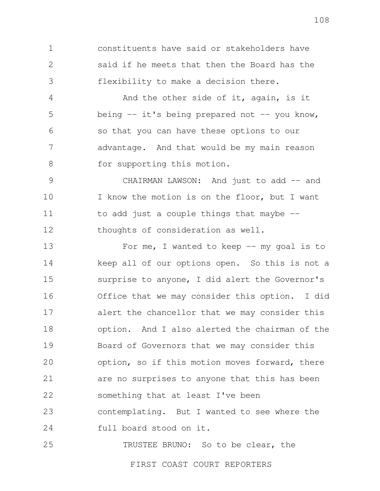1 2 3 constituents have said or stakeholders have said if he meets that then the Board has the flexibility to make a decision there.

4 5 6 7 8 And the other side of it, again, is it being  $-$  it's being prepared not  $-$  you know, so that you can have these options to our advantage. And that would be my main reason for supporting this motion.

9 10 11 12 CHAIRMAN LAWSON: And just to add -- and I know the motion is on the floor, but I want to add just a couple things that maybe - thoughts of consideration as well.

13 14 15 16 17 18 19 20 21 22 23 24 For me, I wanted to keep  $--$  my goal is to keep all of our options open. So this is not a surprise to anyone, I did alert the Governor's Office that we may consider this option. I did alert the chancellor that we may consider this option. And I also alerted the chairman of the Board of Governors that we may consider this option, so if this motion moves forward, there are no surprises to anyone that this has been something that at least I've been contemplating. But I wanted to see where the full board stood on it.

TRUSTEE BRUNO: So to be clear, the

25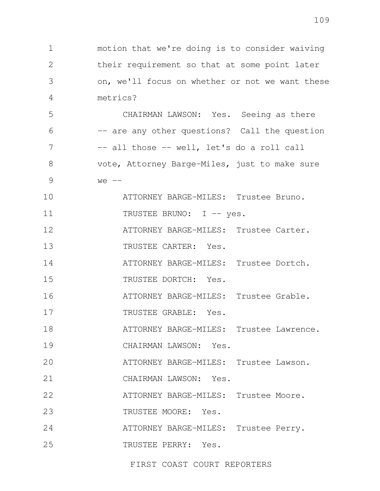5 6 7 8 9 10 CHAIRMAN LAWSON: Yes. Seeing as there -- are any other questions? Call the question -- all those -- well, let's do a roll call vote, Attorney Barge-Miles, just to make sure  $we$   $--$ ATTORNEY BARGE-MILES: Trustee Bruno.

11 TRUSTEE BRUNO: I -- yes.

12 ATTORNEY BARGE-MILES: Trustee Carter.

13 TRUSTEE CARTER: Yes.

metrics?

1

2

3

4

14 ATTORNEY BARGE-MILES: Trustee Dortch.

15 TRUSTEE DORTCH: Yes.

16 ATTORNEY BARGE-MILES: Trustee Grable.

17 TRUSTEE GRABLE: Yes.

18 ATTORNEY BARGE-MILES: Trustee Lawrence.

19 CHAIRMAN LAWSON: Yes.

 $20$ ATTORNEY BARGE-MILES: Trustee Lawson.

21 CHAIRMAN LAWSON: Yes.

22 ATTORNEY BARGE-MILES: Trustee Moore.

23 TRUSTEE MOORE: Yes.

24 ATTORNEY BARGE-MILES: Trustee Perry.

25 TRUSTEE PERRY: Yes.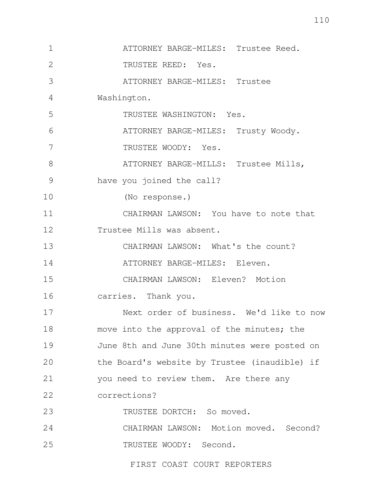1 2 3 4 5 6 7 8 9 10 11 12 13 14 15 16 17 18 19 20 21 22 23 24 25 ATTORNEY BARGE-MILES: Trustee Reed. TRUSTEE REED: Yes. ATTORNEY BARGE-MILES: Trustee Washington. TRUSTEE WASHINGTON: Yes. ATTORNEY BARGE-MILES: Trusty Woody. TRUSTEE WOODY: Yes. ATTORNEY BARGE-MILLS: Trustee Mills, have you joined the call? (No response.) CHAIRMAN LAWSON: You have to note that Trustee Mills was absent. CHAIRMAN LAWSON: What's the count? ATTORNEY BARGE-MILES: Eleven. CHAIRMAN LAWSON: Eleven? Motion carries. Thank you. Next order of business. We'd like to now move into the approval of the minutes; the June 8th and June 30th minutes were posted on the Board's website by Trustee (inaudible) if you need to review them. Are there any corrections? TRUSTEE DORTCH: So moved. CHAIRMAN LAWSON: Motion moved. Second? TRUSTEE WOODY: Second.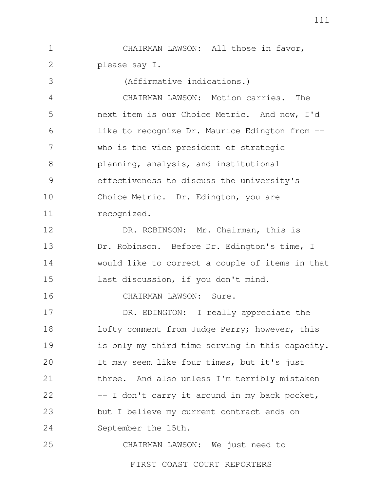1 2 CHAIRMAN LAWSON: All those in favor, please say I.

3 4 5 6 7 8 9 10 11 12 13 14 15 16 17 18 19 (Affirmative indications.) CHAIRMAN LAWSON: Motion carries. The next item is our Choice Metric. And now, I'd like to recognize Dr. Maurice Edington from -who is the vice president of strategic planning, analysis, and institutional effectiveness to discuss the university's Choice Metric. Dr. Edington, you are recognized. DR. ROBINSON: Mr. Chairman, this is Dr. Robinson. Before Dr. Edington's time, I would like to correct a couple of items in that last discussion, if you don't mind. CHAIRMAN LAWSON: Sure. DR. EDINGTON: I really appreciate the lofty comment from Judge Perry; however, this is only my third time serving in this capacity.

20 21 22 23 24 It may seem like four times, but it's just three. And also unless I'm terribly mistaken -- I don't carry it around in my back pocket, but I believe my current contract ends on September the 15th.

25 CHAIRMAN LAWSON: We just need to

FIRST COAST COURT REPORTERS

111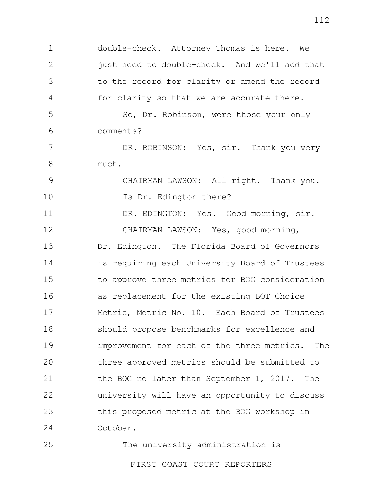1 2 3 4 double-check. Attorney Thomas is here. We just need to double-check. And we'll add that to the record for clarity or amend the record for clarity so that we are accurate there.

5 6 So, Dr. Robinson, were those your only comments?

7 8 DR. ROBINSON: Yes, sir. Thank you very much.

9 10 CHAIRMAN LAWSON: All right. Thank you. Is Dr. Edington there?

11 12 13 14 15 16 17 18 19  $20$ 21 22 23 24 DR. EDINGTON: Yes. Good morning, sir. CHAIRMAN LAWSON: Yes, good morning, Dr. Edington. The Florida Board of Governors is requiring each University Board of Trustees to approve three metrics for BOG consideration as replacement for the existing BOT Choice Metric, Metric No. 10. Each Board of Trustees should propose benchmarks for excellence and improvement for each of the three metrics. The three approved metrics should be submitted to the BOG no later than September 1, 2017. The university will have an opportunity to discuss this proposed metric at the BOG workshop in October.

25 FIRST COAST COURT REPORTERS The university administration is 112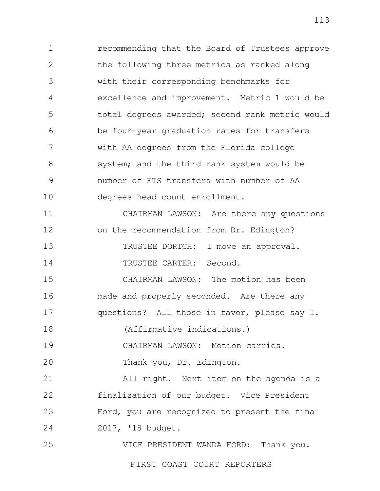1 2 3 4 5 6 7 8 9 10 recommending that the Board of Trustees approve the following three metrics as ranked along with their corresponding benchmarks for excellence and improvement. Metric 1 would be total degrees awarded; second rank metric would be four-year graduation rates for transfers with AA degrees from the Florida college system; and the third rank system would be number of FTS transfers with number of AA degrees head count enrollment.

11 12 13 14 CHAIRMAN LAWSON: Are there any questions on the recommendation from Dr. Edington? TRUSTEE DORTCH: I move an approval. TRUSTEE CARTER: Second.

15 16 17 CHAIRMAN LAWSON: The motion has been made and properly seconded. Are there any questions? All those in favor, please say I.

18 (Affirmative indications.)

19 CHAIRMAN LAWSON: Motion carries.

 $20$ Thank you, Dr. Edington.

21 22 23 24 All right. Next item on the agenda is a finalization of our budget. Vice President Ford, you are recognized to present the final 2017, '18 budget.

25 VICE PRESIDENT WANDA FORD: Thank you.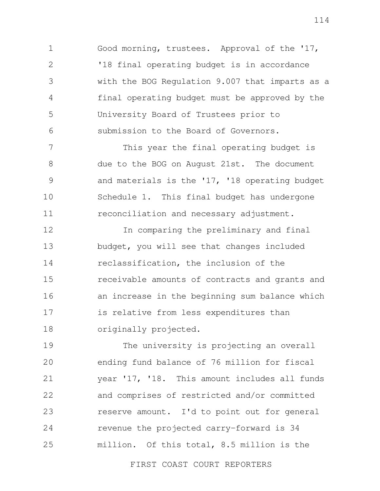1 2 3 4 5 6 Good morning, trustees. Approval of the '17, '18 final operating budget is in accordance with the BOG Regulation 9.007 that imparts as a final operating budget must be approved by the University Board of Trustees prior to submission to the Board of Governors.

7 8 9 10 11 This year the final operating budget is due to the BOG on August 21st. The document and materials is the '17, '18 operating budget Schedule 1. This final budget has undergone reconciliation and necessary adjustment.

12 13 14 15 16 17 18 In comparing the preliminary and final budget, you will see that changes included reclassification, the inclusion of the receivable amounts of contracts and grants and an increase in the beginning sum balance which is relative from less expenditures than originally projected.

19 20 21 22 23 24 25 The university is projecting an overall ending fund balance of 76 million for fiscal year '17, '18. This amount includes all funds and comprises of restricted and/or committed reserve amount. I'd to point out for general revenue the projected carry-forward is 34 million. Of this total, 8.5 million is the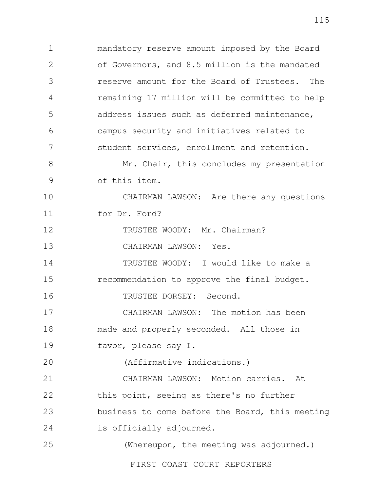1 2 3 4 5 6 7 mandatory reserve amount imposed by the Board of Governors, and 8.5 million is the mandated reserve amount for the Board of Trustees. The remaining 17 million will be committed to help address issues such as deferred maintenance, campus security and initiatives related to student services, enrollment and retention.

8 9 Mr. Chair, this concludes my presentation of this item.

10 11 CHAIRMAN LAWSON: Are there any questions for Dr. Ford?

12 TRUSTEE WOODY: Mr. Chairman?

13 CHAIRMAN LAWSON: Yes.

14 15 TRUSTEE WOODY: I would like to make a recommendation to approve the final budget.

16 TRUSTEE DORSEY: Second.

17 18 19 CHAIRMAN LAWSON: The motion has been made and properly seconded. All those in favor, please say I.

 $20$ (Affirmative indications.)

21 22 23 24 CHAIRMAN LAWSON: Motion carries. At this point, seeing as there's no further business to come before the Board, this meeting is officially adjourned.

25 (Whereupon, the meeting was adjourned.)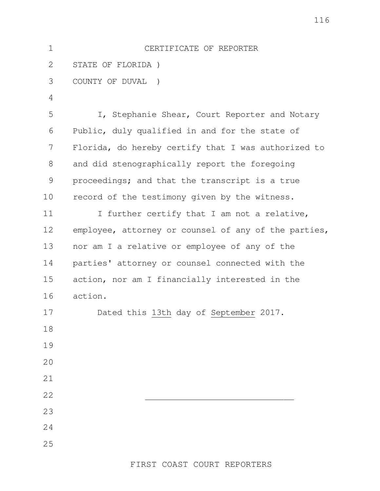| $\mathbf 1$   | CERTIFICATE OF REPORTER                              |
|---------------|------------------------------------------------------|
| 2             | STATE OF FLORIDA)                                    |
| 3             | COUNTY OF DUVAL<br>$\rightarrow$                     |
| 4             |                                                      |
| 5             | I, Stephanie Shear, Court Reporter and Notary        |
| 6             | Public, duly qualified in and for the state of       |
| 7             | Florida, do hereby certify that I was authorized to  |
| 8             | and did stenographically report the foregoing        |
| $\mathcal{G}$ | proceedings; and that the transcript is a true       |
| 10            | record of the testimony given by the witness.        |
| 11            | I further certify that I am not a relative,          |
| 12            | employee, attorney or counsel of any of the parties, |
| 13            | nor am I a relative or employee of any of the        |
| 14            | parties' attorney or counsel connected with the      |
| 15            | action, nor am I financially interested in the       |
| 16            | action.                                              |
| 17            | Dated this 13th day of September 2017.               |
| 18            |                                                      |
| 19            |                                                      |
| 20            |                                                      |
| 21            |                                                      |
| 22            |                                                      |
| 23            |                                                      |
| 24            |                                                      |
| 25            |                                                      |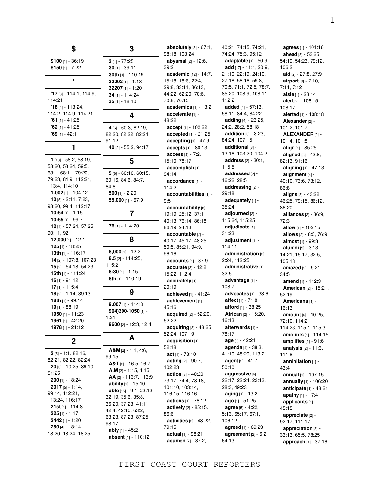| \$                                                                                                                                                                                                                                                         | 3                                                                                                                                                                                                                                                                                          |
|------------------------------------------------------------------------------------------------------------------------------------------------------------------------------------------------------------------------------------------------------------|--------------------------------------------------------------------------------------------------------------------------------------------------------------------------------------------------------------------------------------------------------------------------------------------|
| \$100 $[1] - 36:19$<br>\$150 [1] - 7:22                                                                                                                                                                                                                    | $3$ [1] - 77:25<br>$30$ [1] - 39:11<br>30th [1] - 110:19                                                                                                                                                                                                                                   |
|                                                                                                                                                                                                                                                            | 32202 $[1] - 1:18$<br>32207 $[1] - 1:20$                                                                                                                                                                                                                                                   |
| $'17$ [3] $- 114$ :1, 114:9,<br>114:21<br>$'18$ [4] - 113:24,                                                                                                                                                                                              | 34 [1] - 114:24<br>$35$ [1] - 18:10                                                                                                                                                                                                                                                        |
| 114:2, 114:9, 114:21<br>$'61$ [1] - 41:25                                                                                                                                                                                                                  | 4                                                                                                                                                                                                                                                                                          |
| $92$ [1] - 41:25<br>$'69$ [1] - 42:1                                                                                                                                                                                                                       | 4 [6] - 60:3, 82:19,<br>82:20, 82:22, 82:24,<br>91:12                                                                                                                                                                                                                                      |
| 1                                                                                                                                                                                                                                                          | 40 [2] - 55:2, 94:17                                                                                                                                                                                                                                                                       |
| 1 [13] - 58:2, 58:19,<br>58:20, 58:24, 59:5,                                                                                                                                                                                                               | 5                                                                                                                                                                                                                                                                                          |
| 63:1, 68:11, 79:20,<br>79:23, 84:9, 112:21,<br>113:4, 114:10<br>1.002 $[1] - 104:12$<br>$10$ [5] - 2:11, 7:23,                                                                                                                                             | 5 [6] - 60:10, 60:15,<br>60:16, 84:6, 84:7,<br>84:8<br>500 [1] - 2:20<br>55,000 [1] - 67:9                                                                                                                                                                                                 |
| 98:20, 99:4, 112:17<br>10:54 [1] - 1:15                                                                                                                                                                                                                    | 7                                                                                                                                                                                                                                                                                          |
| $10:55$ [1] - 99:7<br>12 [4] - 57:24, 57:25,                                                                                                                                                                                                               | 76 [1] - 114:20                                                                                                                                                                                                                                                                            |
| 90:11, 92:1<br>$12,000$ [1] - 12:1                                                                                                                                                                                                                         | 8                                                                                                                                                                                                                                                                                          |
| 125 [1] - 18:25<br>13th [1] - 116:17<br>14 [2] - 107:8, 107:23<br><b>15</b> $[2] - 54:18, 54:23$<br><b>15th</b> [1] - 111:24<br>$16$ [1] - 91:12                                                                                                           | <b>8,000</b> [1] - 12:2<br>$8.5$ [2] - 114:25,<br>115:2<br>$8:30$ [1] - 1:15<br>8th [1] - 110:19                                                                                                                                                                                           |
| $17$ [1] - 115:4<br>18 [2] - 1:14, 39:13                                                                                                                                                                                                                   | 9                                                                                                                                                                                                                                                                                          |
| 18th [1] - 99:14<br>19 [1] - 88:19<br>1950 [1] - 11:23<br>1961 [1] - 42:20<br><b>1978</b> [1] - 21:12                                                                                                                                                      | $9.007$ [1] - 114:3<br>904)390-1050 [1] -<br>1:21<br>9600 [2] - 12:3, 12:4                                                                                                                                                                                                                 |
| 2                                                                                                                                                                                                                                                          | A                                                                                                                                                                                                                                                                                          |
| 2[5] - 1:1, 82:16,<br>82:21, 82:22, 82:24<br>$20$ [3] - 10:25, 39:10,<br>51:25<br><b>200</b> [1] - 18:24<br>$2017$ [5] - 1:14,<br>99:14, 112:21,<br>113:24, 116:17<br><b>21st</b> [1] - 114:8<br>$225$ [1] - 1:17<br>2442 [1] - 1:20<br>$250$ [4] - 18:14, | $A&M$ [3] - 1:1, 4:6,<br>99:15<br>A&T [2] - 16:5, 16:7<br>$A.M$ [2] - 1:15, 1:15<br>AA [2] - 113:7, 113:9<br>ability [1] - 15:10<br>able [15] - 9:1, 23:13,<br>32:19, 35:6, 35:8,<br>36:20, 37:23, 41:11,<br>42:4, 42:10, 63:2,<br>63:23, 87:23, 87:25,<br>98:17<br><b>ably</b> [1] - 45:2 |
| 18:20, 18:24, 18:25                                                                                                                                                                                                                                        | <b>absent</b> [1] - 110:12                                                                                                                                                                                                                                                                 |

**absolutely** [3] - 67:1, 98:18, 103:24 **abysmal** [2] - 12:6, 39:2 **academic** [12] - 14:7, 15:18, 18:6, 22:4, 29:8, 33:11, 36:13, 44:22, 62:20, 70:6, 70:8, 70:15 **academics** [1] - 13:2 **accelerate** [1] - 48:22 **accept** [1] - 102:22 **accepted** [1] - 21:25 **accepting** [1] - 47:9 **accepts** [1] - 80:13 **access** [3] - 7:2, 15:10, 78:17 **accomplish** [1] - 94:14 **accordance** [1] - 114:2 **accountabilities** [1] - 9:5 **accountability** [8] - 19:19, 25:12, 37:11, 40:13, 76:14, 86:18, 86:19, 94:13 **accountable** [7] - 40:17, 45:17, 48:25, 50:5, 85:21, 94:9, 96:16 **accounts** [1] - 37:9 **accurate** [3] - 12:2, 15:22, 112:4 **accurately** [1] - 20:19 **achieved** [1] - 41:24 **achievement** [1] - 45:16 **acquired** [2] - 52:20, 52:22 **acquiring** [3] - 48:25, 52:24, 107:19 **acquisition** [1] - 52:18 **act** [1] - 78:10 **acting** [2] - 90:7, 102:23 **action** [8] - 40:20, 73:17, 74:4, 78:18, 101:10, 103:14, 116:15, 116:16 **actions** [1] - 78:12 **actively** [2] - 85:15, 86:6 **activities** [2] - 43:22, 79:15 **actual** [1] - 98:21 **acumen** [7] - 37:2,

40:21, 74:15, 74:21, 74:24, 75:3, 95:12 **adaptable** [1] - 50:9 **add** [17] - 11:1, 20:9, 21:10, 22:19, 24:10, 27:18, 58:16, 59:8, 70:5, 71:1, 72:5, 78:7, 85:20, 108:9, 108:11, 112:2 **added** [4] - 57:13, 58:11, 84:4, 84:22 **adding** [4] - 23:25, 24:2, 28:2, 58:18 **addition** [3] - 3:23, 84:24, 107:15 **additional** [3] - 13:16, 103:20, 104:2 **address** [2] - 30:1, 115:5 **addressed** [2] - 16:22, 28:5 **addressing** [2] - 29:18 **adequately** [1] - 35:24 **adjourned** [2] - 115:24, 115:25 **adjudicate** [1] - 31:23 **adjustment** [1] - 114:11 **administration** [2] - 2:24, 112:25 **administrative** [1] - 32:5 **advantage** [1] - 108:7 **advocates** [1] - 33:6 **affect** [1] - 71:8 **afford** [1] - 38:25 **African** [2] - 15:20, 16:13 **afterwards** [1] - 78:17 **age** [1] - 42:21 **agenda** [4] - 38:3, 41:10, 48:20, 113:21 **agent** [2] - 41:7, 50:10 **aggressive** [6] - 22:17, 22:24, 23:13, 28:3, 49:23 **aging** [1] - 13:2 **ago** [1] - 51:25 **agree** [5] - 4:22, 5:13, 65:17, 67:1, 106:12 **agreed** [1] - 69:23 **agreement** [2] - 6:2, 64:13

**agrees** [1] - 101:16 **ahead** [5] - 53:25, 54:19, 54:23, 79:12, 106:2 **aid** [2] - 27:8, 27:9 **airport** [3] - 7:10, 7:11, 7:12 **aisle** [1] - 23:14 **alert** [2] - 108:15, 108:17 **alerted** [1] - 108:18 **Alexander** [2] - 101:2, 101:7 **ALEXANDER** [2] - 101:4, 101:8 **align** [1] - 85:25 **aligned** [3] - 42:8, 82:13, 91:16 **aligning** [1] - 47:13 **alignment** [4] - 40:10, 73:6, 73:12, 86:8 **aligns** [5] - 43:22, 46:25, 79:15, 86:12, 86:20 **alliances** [2] - 36:9, 72:3 **allow** [1] - 102:15 **allows** [2] - 8:5, 76:9 **almost** [1] - 99:3 **alumni** [5] - 3:13, 14:21, 15:17, 32:5, 105:13 **amazed** [2] - 9:21, 34:5 **amend** [1] - 112:3 **American** [2] - 15:21, 52:19 **Americans** [1] - 16:13 **amount** [6] - 10:25, 72:10, 114:21, 114:23, 115:1, 115:3 **amounts** [1] - 114:15 **amplifies** [1] - 91:6 **analysis** [2] - 11:3, 111:8 **annihilation** [1] - 43:4 **annual** [1] - 107:15 **annually** [1] - 106:20 **anticipate** [1] - 48:21 **apathy** [1] - 17:4 **applicants** [1] - 45:15 **appreciate** [2] - 92:17, 111:17 **appreciation** [3] - 33:13, 65:5, 78:25

**approach** [1] - 37:16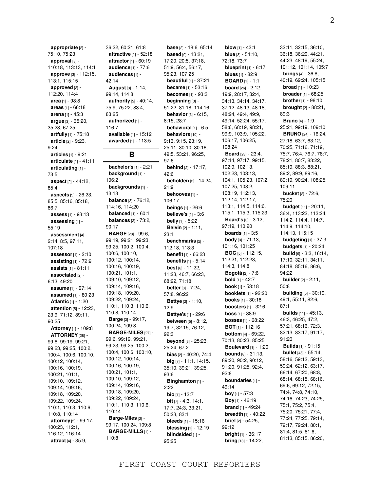**appropriate** [2] - 75:10, 75:23 **approval** [3] - 110:18, 113:13, 114:1 **approve** [3] - 112:15, 113:1, 115:15 **approved** [2] - 112:20, 114:4 **area** [1] - 98:8 **areas** [1] - 66:18 **arena** [1] - 45:3 **argue** [3] - 35:20, 35:23, 67:25 **artfully** [1] - 75:18 **article** [2] - 9:23, 9:24 **articles** [1] - 9:21 **articulate** [1] - 41:11 **articulating** [1] - 73:5 **aspect** [2] - 44:12, 85:4 **aspects** [5] - 26:23, 85:5, 85:16, 85:18, 86:7 **assess** [1] - 93:13 **assessing** [1] - 55:19 **assessment** [4] - 2:14, 8:5, 97:11, 107:18 **assessor** [1] - 2:10 **assisting** [1] - 72:9 **assists** [1] - 81:11 **associated** [2] - 6:13, 49:20 **assume** [1] - 97:14 **assumed** [1] - 80:23 **Atlantic** [1] - 1:20 **attention** [5] - 12:23, 23:9, 71:12, 89:11, 90:25 **Attorney** [1] - 109:8 **ATTORNEY** [28] - 99:6, 99:19, 99:21, 99:23, 99:25, 100:2, 100:4, 100:6, 100:10, 100:12, 100:14, 100:16, 100:19, 100:21, 101:1, 109:10, 109:12, 109:14, 109:16, 109:18, 109:20, 109:22, 109:24, 110:1, 110:3, 110:6, 110:8, 110:14 **attorney** [5] - 99:17, 100:23, 112:1, 116:12, 116:14 **attract** [4] - 35:9,

36:22, 60:21, 61:8 **attractive** [1] - 52:18 **attractor** [1] - 60:19 **audience** [1] - 77:6 **audiences** [1] - 42:14 **August** [3] - 1:14, 99:14, 114:8 **authority** [5] - 40:14, 75:9, 75:22, 83:4, 83:25 **authorized** [1] - 116:7 **available** [1] - 15:12 **awarded** [1] - 113:5 **B bachelor's** [1] - 2:21 **background** [1] - 106:2

13:13

90:17

110:14

110:8

**backgrounds** [1] **balance** [3] - 76:12, 114:16, 114:20 **balanced** [1] - 60:1 **balances** [2] - 73:2, **BARGE** [28] - 99:6, 99:19, 99:21, 99:23, 99:25, 100:2, 100:4, 100:6, 100:10, 100:12, 100:14, 100:16, 100:19, 100:21, 101:1, 109:10, 109:12, 109:14, 109:16, 109:18, 109:20, 109:22, 109:24, 110:1, 110:3, 110:6, 110:8, 110:14 **Barge** [3] - 99:17, 100:24, 109:8 **BARGE-MILES** [27] - 99:6, 99:19, 99:21, 99:23, 99:25, 100:2, 100:4, 100:6, 100:10, 100:12, 100:14, 100:16, 100:19, 100:21, 101:1, 109:10, 109:12, 109:14, 109:16, 109:18, 109:20, 109:22, 109:24, 110:1, 110:3, 110:6, **Barge-Miles** [3] - 99:17, 100:24, 109:8 **BARGE-MILLS** [1] - 97:6 42:6 21:9 23:1 12:9 92:3 93:6 2:22

**base** [2] - 18:6, 65:14 **based** [9] - 13:21, 17:20, 20:5, 37:18, 51:9, 56:4, 56:17, 95:23, 107:25 **beautiful** [1] - 37:21 **became** [1] - 53:16 **becomes** [1] - 93:3 **beginning** [3] - 51:22, 81:18, 114:16 **behavior** [3] - 6:15, 8:15, 28:7 **behavioral** [1] - 6:5 **behaviors** [10] -9:13, 9:15, 23:19, 25:11, 30:10, 30:16, 49:5, 53:21, 96:25, **behind** [2] - 17:17, **beholden** [2] - 14:24, **behooves** [1] - 106:17 **beings** [1] - 26:6 **believe's** [1] - 3:6 **belly** [1] - 5:22 **Belvin** [2] - 1:11, **benchmarks** [2] - 112:18, 113:3 **benefit** [1] - 66:23 **benefits** [1] - 5:14 **best** [6] - 11:22, 11:23, 46:7, 66:23, 68:22, 71:18 **better** [3] - 7:24, 57:8, 96:22 **Bettye** [2] - 1:10, **Bettye's** [1] - 29:6 **between** [5] - 8:12, 19:7, 32:15, 76:12, **beyond** [3] - 25:23, 25:24, 67:2 **bias** [2] - 40:20, 74:4 **big** [7] - 11:1, 14:15, 35:10, 39:21, 39:25, **Binghamton** [1] **bio** [1] - 13:7 **bit** [7] - 4:3, 14:1, 17:7, 24:3, 33:21, 50:23, 83:1 **bleeds** [1] - 15:16 **blessing** [1] - 12:19 **blindsided** [1] - 95:25

**blow** [1] - 43:1 **blue** [3] - 54:10, 72:18, 73:7 **blueprint** [1] - 6:17 **blues** [1] - 82:9 **BOARD** [1] - 1:1 **board** [26] - 2:12, 19:9, 28:17, 32:4, 34:13, 34:14, 34:17, 37:12, 48:13, 48:18, 48:24, 49:4, 49:9, 49:14, 52:24, 55:17, 58:6, 68:19, 98:21, 99:9, 103:9, 105:22, 106:17, 106:25, 108:24 **Board** [23] - 23:4, 97:14, 97:17, 99:15, 102:9, 102:13, 102:23, 103:13, 104:1, 105:23, 107:2, 107:25, 108:2, 108:19, 112:13, 112:14, 112:17, 113:1, 114:5, 114:6, 115:1, 115:3, 115:23 **Board's** [3] - 3:12, 97:19, 110:20 **boards** [1] - 3:5 **body** [3] - 71:13, 101:16, 101:25 **BOG** [5] - 112:15, 112:21, 112:23, 114:3, 114:8 **Bogotá** [2] - 7:6 **bold** [1] - 42:7 **book** [1] - 53:18 **booklets** [1] - 92:20 **books** [1] - 30:18 **boosters** [1] - 32:6 **boss** [1] - 38:9 **bosses** [1] - 68:22 **BOT** [1] - 112:16 **bottom** [4] - 69:22, 70:13, 80:23, 85:25 **Boulevard** [1] - 1:20 **bound** [8] - 31:13, 89:20, 90:2, 90:12, 91:20, 91:25, 92:4, 92:8 **boundaries** [1] - 49:14 **boy** [1] - 57:3 **Boy** [1] - 46:19 **brand** [1] - 49:24 **breadth** [1] - 40:22 **brief** [2] - 54:25, 99:12 **bright** [1] - 36:17 **bring** [13] - 14:22,

2

32:11, 32:15, 36:10, 36:18, 36:20, 44:21, 44:23, 48:19, 55:24, 101:12, 101:14, 105:7 **brings** [4] - 36:8, 40:19, 69:24, 105:15 **broad** [1] - 10:23 **broader** [1] - 68:25 **brother** [1] - 96:10 **brought** [2] - 88:21, 89:3 **Bruno** [4] - 1:9, 25:21, 99:19, 109:10 **BRUNO** [24] - 16:24, 27:18, 63:7, 63:12, 70:25, 71:16, 71:19, 75:7, 76:4, 76:7, 78:7, 78:21, 80:7, 83:22, 85:19, 88:3, 88:21, 89:2, 89:9, 89:16, 89:19, 90:24, 108:25, 109:11 **bucket** [2] - 72:6, 75:20 **budget** [11] - 20:11, 36:4, 113:22, 113:24, 114:2, 114:4, 114:7, 114:9, 114:10, 114:13, 115:15 **budgeting** [1] - 37:3 **budgets** [1] - 20:24 **build** [9] - 3:3, 16:14, 17:10, 32:11, 34:11, 84:18, 85:16, 86:6, 94:22 **builder** [2] - 2:11, 50:8 **building** [5] - 30:19, 49:1, 55:11, 82:6, 87:1 **builds** [11] - 45:13, 46:3, 46:25, 47:2, 57:21, 68:16, 72:3, 82:13, 83:17, 91:17, 91:20 **Builds** [1] - 91:15 **bullet** [48] - 55:14, 58:16, 59:12, 59:13, 59:24, 62:12, 63:17, 66:14, 67:20, 68:8, 68:14, 68:15, 68:16, 69:6, 69:12, 72:15, 74:4, 74:8, 74:10, 74:16, 74:23, 74:25, 75:1, 75:2, 75:4, 75:20, 75:21, 77:4, 77:24, 77:25, 79:14, 79:17, 79:24, 80:1, 81:4, 81:5, 81:6, 81:13, 85:15, 86:20,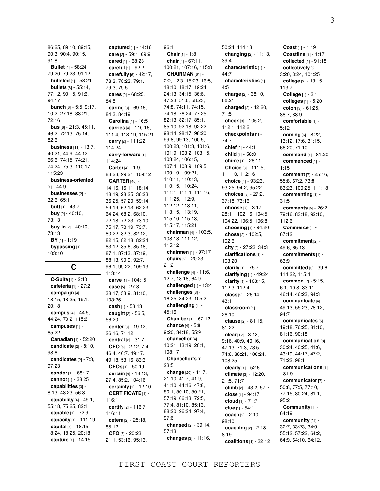86:25, 89:10, 89:15, 90:3, 90:4, 90:15, 91:8 **Bullet** [4] - 58:24, 79:20, 79:23, 91:12 **bulleted** [1] - 53:21 **bullets** [6] - 55:14, 77:12, 90:15, 91:6, 94:17 **bunch** [6] - 5:5, 9:17, 10:2, 27:18, 38:21, 72:16 **bus** [6] - 21:3, 45:11, 46:2, 72:13, 75:14, 82:6 **business** [11] - 13:7, 40:21, 44:9, 44:12, 66:6, 74:15, 74:21, 74:24, 75:3, 110:17, 115:23 **business-oriented**  $[1] - 44:9$ **businesses** [2] - 32:6, 65:11 **butt** [1] - 43:7 **buy** [2] - 40:10, 73:13 **buy-in** [2] - 40:10, 73:13 **BY** [1] - 1:19 **bypassing** [1] - 103:10

# **C**

**C-Suite** [1] - 2:10 **cafeteria** [1] - 27:2 **campaign** [4] - 18:15, 18:25, 19:1, 20:18 **campus** [4] - 44:5, 44:24, 70:2, 115:6 **campuses** [1] - 65:22 **Canadian** [1] - 52:20 **candidate** [2] - 8:10, 98:6 **candidates** [2] - 7:3, 97:23 **candor** [1] - 68:17 **cannot** [1] - 38:25 **capabilities** [3] - 8:13, 48:23, 56:3 **capability** [4] - 49:1, 55:18, 75:25, 82:1 **capable** [1] - 72:9 **capacity** [1] - 111:19 **capital** [4] - 18:15, 18:24, 18:25, 20:18 **capture** [1] - 14:15

**captured** [1] - 14:16 **care** [2] - 59:1, 69:9 **cared** [1] - 68:23 **careful** [1] - 92:2 **carefully** [6] - 42:17, 78:3, 78:23, 79:1, 79:3, 79:5 **cares** [2] - 68:25, 84:5 **caring** [3] - 69:16, 84:3, 84:19 **Carolina** [1] - 16:5 **carries** [4] - 110:16, 111:4, 113:19, 115:21 **carry** [2] - 111:22, 114:24 **carry-forward** [1] - 114:24 **Carter** [4] - 1:9, 83:23, 99:21, 109:12 **CARTER** [40] - 14:16, 16:11, 18:14, 18:19, 28:25, 36:23, 36:25, 57:20, 59:14, 59:19, 62:13, 62:23, 64:24, 68:2, 68:10, 72:18, 72:23, 73:10, 75:17, 78:19, 79:7, 80:22, 82:3, 82:12, 82:15, 82:18, 82:24, 83:12, 85:6, 85:18, 87:1, 87:13, 87:19, 88:13, 90:9, 92:7, 96:1, 99:22, 109:13, 113:14 **carve** [1] - 104:15 **case** [5] - 27:3, 38:17, 53:9, 81:10, 103:25 **cash** [1] - 53:13 **caught** [2] - 56:5, 56:20 **center** [3] - 19:12, 26:16, 71:12 **central** [2] - 31:7 **CEO** [8] - 2:12, 7:4, 46:4, 46:7, 49:17, 49:18, 53:16, 83:3 **CEOs** [1] - 50:19 **certain** [4] - 18:13, 27:4, 85:2, 104:16 **certainly** [1] - 12:10 **CERTIFICATE** [1] - 116:1 **certify** [2] - 116:7, 116:11 **cetera** [2] - 25:18, 85:12 **CFO** [5] - 20:23, 21:1, 53:16, 95:13,

96:1 **Chair** [1] - 1:8 **chair** [4] - 67:11, 100:21, 107:16, 115:8 **CHAIRMAN** [61] - 2:2, 12:3, 15:23, 16:5, 18:10, 18:17, 19:24, 24:13, 34:15, 36:6, 47:23, 51:6, 58:23, 74:8, 74:11, 74:15, 74:18, 76:24, 77:25, 82:13, 82:17, 85:1, 85:10, 92:18, 92:22, 98:14, 98:17, 98:20, 99:8, 99:13, 100:5, 100:23, 101:3, 101:6, 101:9, 103:2, 103:15, 103:24, 106:15, 107:4, 108:9, 109:5, 109:19, 109:21, 110:11, 110:13, 110:15, 110:24, 111:1, 111:4, 111:16, 111:25, 112:9, 112:12, 113:11, 113:15, 113:19, 115:10, 115:13, 115:17, 115:21 **chairman** [4] - 103:5, 108:18, 111:12, 115:12 **chairmen** [1] - 97:17 **chairs** [2] - 20:23, 21:2 **challenge** [4] - 11:6, 12:7, 13:18, 64:9 **challenged** [1] - 13:4 **challenges** [3] - 16:25, 34:23, 105:2 **challenging** [1] - 45:16 **Chamber** [1] - 67:12 **chance** [4] - 5:8, 9:20, 34:18, 55:9 **chancellor** [4] - 10:21, 13:19, 20:1, 108:17 **Chancellor's** [1] - 23:5 **change** [20] - 11:7, 21:10, 41:7, 41:9, 41:10, 44:16, 47:8, 50:1, 50:10, 50:21, 57:19, 66:13, 72:5, 77:4, 81:10, 85:13, 88:20, 96:24, 97:4, 97:6 **changed** [2] - 39:14, 57:13 **changes** [3] - 11:16,

50:24, 114:13 **changing** [2] - 11:13, 39:4 **characteristic** [1] - 44:7 **characteristics** [1] - 4:5 **charge** [2] - 38:10, 66:21 **charged** [2] - 12:20, 71:5 **check** [3] - 106:2, 112:1, 112:2 **checkpoints** [1] - 74:7 **chief** [2] - 44:1 **child** [1] - 56:8 **chime** [1] - 26:11 **Choice** [3] - 111:5, 111:10, 112:16 **choice** [4] - 93:23, 93:25, 94:2, 95:22 **choices** [3] - 27:2, 37:18, 73:16 **choose** [7] - 3:17, 28:11, 102:16, 104:5, 104:22, 106:5, 106:8 **choosing** [1] - 94:20 **chose** [2] - 102:5, 102:6 **city** [2] - 27:23, 34:3 **clarifications** [1] - 103:20 **clarify** [1] - 75:7 **clarifying** [1] - 49:24 **clarity** [3] - 103:15, 112:3, 112:4 **class** [2] - 26:14, 43:1 **classroom** [1] - 26:10 **clause** [2] - 81:15, 81:22 **clear** [12] - 3:18, 9:16, 40:9, 40:16, 47:13, 71:3, 73:5, 74:6, 86:21, 106:24, 108:25 **clearly** [1] - 52:6 **climate** [3] - 12:20, 21:5, 71:7 **climb** [2] - 43:2, 57:7 **close** [1] - 94:17 **cloud** [1] - 71:7 **clue** [1] - 54:1 **coach** [2] - 2:10, 98:10 **coaching** [2] - 2:13, 8:19 **coalitions** [1] - 32:12

**Coast** [1] - 1:19 **Coastline** [1] - 1:17 **collected** [1] - 91:18 **collectively** [3] - 3:20, 3:24, 101:25 **college** [2] - 13:15, 113:7 **College** [1] - 3:1 **colleges** [1] - 5:20 **colon** [3] - 61:25, 88:7, 88:9 **comfortable** [1] - 5:12 **coming** [6] - 8:22, 13:12, 17:6, 31:15, 66:20, 71:10 **command** [1] - 81:20 **commenced** [1] - 1:15 **comment** [7] - 25:16, 55:8, 67:2, 73:8, 83:23, 100:25, 111:18 **commenting** [1] - 31:5 **comments** [5] - 26:2, 79:16, 83:18, 92:10, 112:6 **Commerce** [1] - 67:12 **commitment** [2] - 49:6, 65:13 **commitments** [1] - 63:9 **committed** [3] - 39:6, 114:22, 115:4 **common** [7] - 5:15, 6:1, 10:8, 33:11, 46:14, 46:23, 94:3 **communicate** [4] - 49:13, 55:23, 78:12, 94:7 **communicates** [5] - 19:18, 76:25, 81:10, 81:16, 90:18 **communication** [8] - 30:24, 40:25, 41:6, 43:19, 44:17, 47:2, 71:22, 98:1 **communications** [1] - 81:9 **communicator** [7] - 50:8, 77:5, 77:10, 77:15, 80:24, 81:1, 95:2 **Community** [1] - 64:19 **community** [24] - 32:7, 33:23, 34:9,

55:12, 57:22, 64:2, 64:9, 64:10, 64:12,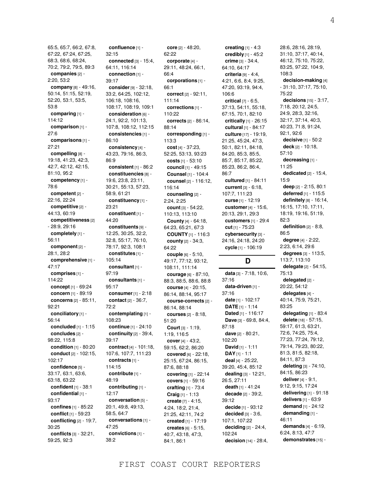65:5, 65:7, 66:2, 67:8, 67:22, 67:24, 67:25, 68:3, 68:6, 68:24, 70:2, 79:2, 79:5, 89:3 **companies** [2] - 2:20, 53:2 **company** [8] - 49:16, 50:14, 51:15, 52:19, 52:20, 53:1, 53:5, 53:8 **comparing** [1] - 114:12 **comparison** [1] - 27:6 **comparisons** [1] - 27:21 **compelling** [8] - 19:18, 41:23, 42:3, 42:7, 42:12, 42:15, 81:10, 95:2 **competency** [1] - 78:6 **competent** [2] - 22:16, 22:24 **competitive** [2] - 44:13, 60:19 **competitiveness** [2] - 28:9, 29:16 **completely** [1] - 56:11 **component** [2] - 28:1, 28:2 **comprehensive** [1] - 47:17 **comprises** [1] - 114:22 **concept** [1] - 69:24 **concern** [1] - 89:19 **concerns** [2] - 85:11, 92:21 **conciliatory** [1] - 56:14 **concluded** [1] - 1:15 **concludes** [2] - 98:22, 115:8 **condition** [1] - 80:20 **conduct** [2] - 102:15, 102:17 **confidence** [5] - 33:17, 63:1, 63:6, 63:18, 63:22 **confident** [1] - 38:1 **confidential** [1] - 93:17 **confines** [1] - 85:22 **conflict** [1] - 59:23 **conflicting** [2] - 19:7, 30:25 **conflicts** [3] - 32:21, 59:25, 92:3

**confluence** [1] - 32:15 **connected** [3] - 15:4, 64:11, 116:14 **connection** [1] - 39:17 **consider** [9] - 32:18, 33:2, 64:25, 102:12, 106:18, 108:16, 108:17, 108:19, 109:1 **consideration** [6] - 24:1, 92:2, 101:13, 107:8, 108:12, 112:15 **consistencies** [1] - 86:10 **consistency** [4] - 43:23, 79:16, 86:3, 86:9 **consistent** [1] - 86:2 **constituencies** [8] - 19:6, 23:8, 23:11, 30:21, 55:13, 57:23, 58:9, 61:21 **constituency** [1] - 23:21 **constituent** [1] - 44:20 **constituents** [9] - 12:25, 30:25, 32:2, 32:8, 55:17, 76:10, 78:17, 92:3, 108:1 **constitutes** [1] - 105:14 **consultant** [1] - 97:19 **consultants** [1] - 95:17 **consumer** [1] - 2:18 **contact** [2] - 36:7, 72:2 **contemplating** [1] - 108:23 **continue** [1] - 24:10 **continuity** [2] - 39:4, 39:17 **contract** [4] - 101:18, 107:6, 107:7, 111:23 **contracts** [1] - 114:15 **contribute** [1] - 48:19 **contributing** [1] - 12:17 **conversation** [5] - 20:1, 49:8, 49:13, 58:5, 64:7 **conversations** [1] - 47:25 **convictions** [1] - 38:2

**core** [2] - 48:20, 62:22 **corporate** [4] - 29:11, 48:24, 66:1, 66:4 **corporations** [1] - 66:1 **correct** [2] - 92:11, 111:14 **corrections** [1] - 110:22 **corrects** [2] - 86:14, 88:14 **corresponding** [1] - 113:3 **cost** [4] - 37:23, 52:25, 53:13, 93:23 **costs** [1] - 53:10 **council** [1] - 49:15 **Counsel** [1] - 104:4 **counsel** [2] - 116:12, 116:14 **counseling** [2] - 2:24, 2:25 **count** [3] - 54:22, 110:13, 113:10 **County** [4] - 64:18, 64:23, 65:21, 67:3 **COUNTY** [1] - 116:3 **county** [2] - 34:3, 64:22 **couple** [6] - 5:10, 49:17, 77:12, 93:12, 108:11, 111:14 **courage** [6] - 87:10, 88:3, 88:5, 88:6, 88:8 **course** [4] - 20:15, 86:14, 88:14, 95:17 **course-corrects** [2] - 86:14, 88:14 **courses** [2] - 8:18, 51:20 **Court** [3] - 1:19, 1:19, 116:5 **cover** [4] - 43:2, 59:15, 62:2, 86:20 **covered** [6] - 22:18, 25:15, 67:24, 86:15, 87:6, 88:18 **covering** [1] - 22:14 **covers** [1] - 59:16 **crafting** [1] - 73:4 **Craig** [1] - 1:13 **create** [7] - 4:15, 4:24, 18:2, 21:4, 21:25, 42:11, 74:2 **created** [1] - 17:19 **creates** [6] - 5:15, 40:7, 43:18, 47:3, 84:1, 86:1

**creating** [1] - 4:3 **credibly** [1] - 45:2 **crime** [3] - 34:4, 64:10, 64:17 **criteria** [9] - 4:4, 4:21, 6:6, 8:4, 9:25, 47:20, 93:19, 94:4, 106:6 **critical** [7] - 6:5, 37:13, 54:11, 55:18, 67:15, 70:1, 82:10 **critically** [1] - 26:15 **cultural** [1] - 84:17 **culture** [17] - 19:19, 21:25, 45:24, 47:3, 50:1, 82:11, 84:18, 84:20, 85:3, 85:5, 85:7, 85:17, 85:22, 85:23, 86:2, 86:4, 86:7 **cultured** [1] - 84:11 **current** [3] - 6:18, 107:7, 111:23 **curse** [1] - 12:19 **customer** [4] - 15:6, 20:13, 29:1, 29:3 **customers** [1] - 29:4 **cut** [1] - 75:23 **cybersecurity** [3] - 24:16, 24:18, 24:20 **cycle** [1] - 106:19 **D data** [3] - 7:18, 10:6, 37:16

**data-driven** [1] - 37:16 **date** [1] - 102:17 **DATE** [1] - 1:14 **Dated** [1] - 116:17 **Dave** [3] - 69:8, 84:4, 87:18 **dave** [2] - 80:21, 102:20 **David** [1] - 1:11 **DAY** [1] - 1:1 **deal** [4] - 25:22, 39:20, 45:4, 85:12 **dealing** [3] - 12:21, 26:5, 27:11 **death** [1] - 41:24 **decade** [2] - 39:2, 39:12 **decide** [1] - 93:12 **decided** [3] - 3:6, 107:1, 107:22 **deciding** [2] - 24:4, 102:24 **decision** [14] - 28:4,

28:6, 28:16, 28:19, 31:10, 37:17, 40:14, 46:12, 75:10, 75:22, 83:25, 97:22, 104:9, 108:3 **decision-making** [4] - 31:10, 37:17, 75:10, 75:22 **decisions** [15] - 3:17, 7:18, 20:12, 24:5, 24:9, 28:3, 32:16, 32:17, 37:14, 40:3, 40:23, 71:8, 91:24, 92:1, 92:6 **decisive** [1] - 50:2 **deck** [2] - 10:18, 57:10 **decreasing** [1] - 11:25 **dedicated** [2] - 15:4, 15:9 **deep** [2] - 2:15, 80:1 **deferred** [1] - 115:5 **definitely** [8] - 16:14, 16:15, 17:10, 17:11, 18:19, 19:16, 51:19, 82:3 **definition** [2] - 8:8, 86:5 **degree** [4] - 2:22, 2:23, 6:14, 29:6 **degrees** [3] - 113:5, 113:7, 113:10 **delegate** [2] - 54:15, 75:13 **delegated** [2] - 20:22, 54:12 **delegates** [4] - 40:14, 75:9, 75:21, 83:25 **delegating** [1] - 83:4 **delete** [18] - 57:15, 59:17, 61:3, 63:21, 72:6, 74:25, 75:4, 77:23, 77:24, 79:12, 79:14, 79:23, 80:22, 81:3, 81:5, 82:18, 84:11, 87:3 **deleting** [3] - 74:10, 84:15, 86:23 **deliver** [4] - 9:1, 9:12, 9:15, 17:24 **delivering** [1] - 91:18 **delivers** [1] - 63:9 **demand** [1] - 24:12 **demanding** [1] - 46:11 **demands** [4] - 6:19, 6:24, 8:13, 47:7

**demonstrates** [15] -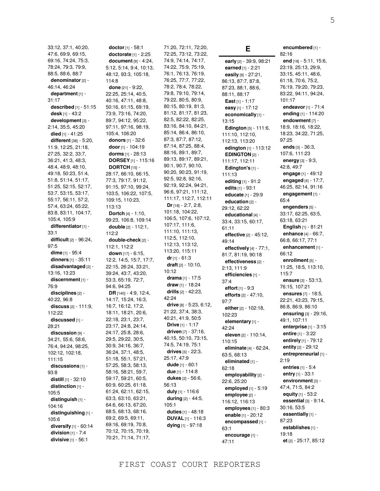33:12, 37:1, 40:20, 47:6, 69:9, 69:15, 69:16, 74:24, 75:3, 78:24, 79:3, 79:9, 88:5, 88:6, 88:7 **denominator** [2] - 46:14, 46:24 **department** [1] - 31:17 **described** [1] - 51:15 **desk** [1] - 43:2 **development** [3] - 2:14, 35:5, 45:20 **died** [1] - 41:25 **different** [38] - 5:20, 11:9, 12:25, 21:18, 27:25, 32:2, 33:7, 36:21, 41:3, 48:3, 48:4, 48:9, 48:10, 49:18, 50:23, 51:4, 51:8, 51:14, 51:17, 51:25, 52:15, 52:17, 53:7, 53:15, 53:17, 55:17, 56:11, 57:2, 57:4, 63:24, 65:22, 83:8, 83:11, 104:17, 105:4, 105:9 **differentiator** [1] - 33:1 **difficult** [2] - 96:24, 97:5 **dime** [1] - 95:4 **dinners** [1] - 35:11 **disadvantaged** [2] - 13:16, 13:23 **discernment** [1] - 76:9 **disciplines** [2] - 40:22, 96:8 **discuss** [2] - 111:9, 112:22 **discussed** [1] - 28:21 **discussion** [9] - 34:21, 55:6, 58:6, 76:4, 94:24, 98:25, 102:12, 102:18, 111:15 **discussions** [1] - 93:8 **distill** [1] - 32:10 **distinction** [1] - 105:5 **distinguish** [1] - 104:16 **distinguishing** [1] - 105:6 **diversify** [1] - 60:14 **division** [1] - 7:4 **divisive** [1] - 56:1

**doctor** [1] - 58:1 **doctorate** [1] - 2:25 **document** [9] - 4:24, 5:12, 5:14, 9:4, 10:13, 48:12, 93:3, 105:18, 114:8 **done** [21] - 9:22, 22:25, 25:14, 40:5, 40:16, 47:11, 48:8, 50:16, 61:15, 69:19, 73:9, 73:16, 74:20, 89:7, 94:12, 95:22, 97:11, 97:16, 98:19, 105:4, 106:20 **donors** [1] - 32:6 **door** [1] - 104:19 **dorms** [1] - 28:13 **DORSEY** [1] - 115:16 **DORTCH** [15] - 28:17, 66:10, 66:15, 77:3, 79:17, 91:12, 91:15, 97:10, 99:24, 103:5, 106:22, 107:5, 109:15, 110:23, 113:13 **Dortch** [4] - 1:10, 99:23, 106:8, 109:14 **double** [2] - 112:1, 112:2 **double-check** [2] - 112:1, 112:2 **down** [17] - 6:15, 12:2, 14:5, 15:7, 17:7, 22:15, 26:24, 33:21, 39:24, 43:7, 43:20, 53:3, 65:19, 72:7, 94:6, 94:25 **DR** [140] - 4:9, 12:4, 14:17, 15:24, 16:3, 16:7, 16:12, 17:2, 18:11, 18:21, 20:6, 22:18, 23:1, 23:7, 23:17, 24:8, 24:14, 24:17, 25:8, 28:6, 29:5, 29:22, 30:5, 30:9, 34:16, 36:7, 36:24, 37:1, 48:5, 51:18, 55:1, 57:21, 57:25, 58:3, 58:13, 58:16, 58:21, 59:7, 59:17, 59:21, 60:5, 60:9, 60:25, 61:18, 61:24, 62:11, 62:15, 63:3, 63:10, 63:21, 64:6, 66:13, 67:20, 68:5, 68:13, 68:16, 69:2, 69:5, 69:11, 69:16, 69:19, 70:8, 70:12, 70:15, 70:19, 70:21, 71:14, 71:17,

71:20, 72:11, 72:20, 72:25, 73:12, 73:22, 74:9, 74:14, 74:17, 74:22, 75:9, 75:19, 76:1, 76:13, 76:19, 76:25, 77:7, 77:22, 78:2, 78:4, 78:22, 79:8, 79:10, 79:14, 79:22, 80:5, 80:9, 80:15, 80:19, 81:3, 81:12, 81:17, 81:23, 82:5, 82:22, 82:25, 83:16, 84:10, 84:21, 85:14, 86:4, 86:10, 87:3, 87:7, 87:12, 87:14, 87:25, 88:4, 88:16, 89:1, 89:7, 89:13, 89:17, 89:21, 90:1, 90:7, 90:10, 90:20, 90:23, 91:19, 92:5, 92:8, 92:16, 92:19, 92:24, 94:21, 96:6, 97:21, 111:12, 111:17, 112:7, 112:11 **Dr** [18] - 2:7, 2:8, 101:18, 104:22, 106:5, 107:6, 107:12, 107:17, 111:6, 111:10, 111:13, 112:5, 112:10, 112:13, 113:12, 113:20, 115:11 **dr** [1] - 61:3 **draft** [2] - 10:10, 10:12 **drama** [1] - 17:5 **draw** [1] - 18:24 **drills** [2] - 42:23, 42:24 **drive** [8] - 5:23, 6:12, 21:22, 37:4, 38:3, 40:21, 41:9, 50:5 **Drive** [1] - 1:17 **driven** [7] - 37:16, 40:15, 50:10, 73:15, 74:5, 74:19, 75:1 **drives** [3] - 22:3, 25:17, 47:9 **dude** [1] - 60:1 **due** [1] - 114:8 **dukes** [2] - 56:6, 56:13 **duly** [1] - 116:6 **during** [2] - 44:5, 105:1 **duties** [1] - 48:18 **DUVAL** [1] - 116:3 **dying** [1] - 97:18

**early** [2] - 39:9, 98:21 **earned** [1] - 2:21 **easily** [9] - 27:21, 86:13, 87:7, 87:8, 87:23, 88:1, 88:6, 88:11, 88:17 **East** [1] - 1:17 **easy** [1] - 17:12 **economically** [1] - 13:15 **Edington** [5] - 111:6, 111:10, 112:10, 112:13, 113:20 **edington** [1] - 113:12 **EDINGTON** [2] - 111:17, 112:11 **Edington's** [1] - 111:13 **editing** [1] - 91:2 **edits** [1] - 93:1 **educate** [1] - 29:9 **education** [2] - 29:12, 62:22 **educational** [4] - 33:4, 33:15, 60:17, 61:11 **effective** [2] - 45:12, 49:14 **effectively** [4] - 77:1, 81:7, 81:19, 90:18 **effectiveness** [2] - 2:13, 111:9 **efficiencies** [1] - 37:4 **effort** [1] - 9:3 **efforts** [2] - 47:10, 97:7 **either** [2] - 102:18, 102:23 **elementary** [1] - 42:24 **eleven** [2] - 110:14, 110:15 **eliminate** [4] - 62:24, 63:5, 68:13 **eliminated** [1] - 62:18 **employability** [2] - 22:6, 25:20 **employed** [1] - 5:19 **employee** [2] - 116:12, 116:13 **employees** [1] - 80:3 **enable** [1] - 20:12 **encompassed** [1] - 63:1 **encourage** [1] - 47:11

**E**

**encumbered** [1] - 82:16 **end** [18] - 5:11, 15:6, 23:19, 25:13, 29:9, 33:15, 45:11, 48:6, 61:18, 70:6, 75:2, 76:19, 79:20, 79:23, 83:22, 94:11, 94:24, 101:17 **endeavor** [1] - 71:4 **ending** [1] - 114:20 **endowment** [7] - 18:9, 18:16, 18:22, 18:23, 34:22, 71:25, 97:25 **ends** [3] - 36:3, 107:6, 111:23 **energy** [3] - 9:3, 42:8, 49:7 **engage** [1] - 49:12 **engaged** [4] - 17:7, 46:25, 82:14, 91:16 **engagement** [1] - 65:4 **engenders** [5] - 33:17, 62:25, 63:5, 63:18, 63:21 **English** [1] - 81:21 **enhance** [4] - 66:7, 66:8, 66:17, 77:1 **enhancement** [1] - 66:12 **enrollment** [5] - 11:25, 18:5, 113:10, 115:7 **ensure** [3] - 53:13, 76:15, 107:21 **ensures** [7] - 18:5, 22:21, 43:23, 79:15, 86:8, 86:9, 86:10 **ensuring** [3] - 29:16, 49:1, 107:11 **enterprise** [1] - 3:15 **entire** [1] - 3:22 **entirely** [1] - 79:12 **entity** [2] - 29:12 **entrepreneurial** [1] - 2:19 **entries** [1] - 5:4 **entry** [1] - 33:1 **environment** [3] - 47:4, 71:5, 84:2 **equity** [1] - 53:2 **essential** [3] - 9:14, 30:16, 53:5 **essentially** [1] - 87:23 **establishes** [1] - 19:18

**et** [2] - 25:17, 85:12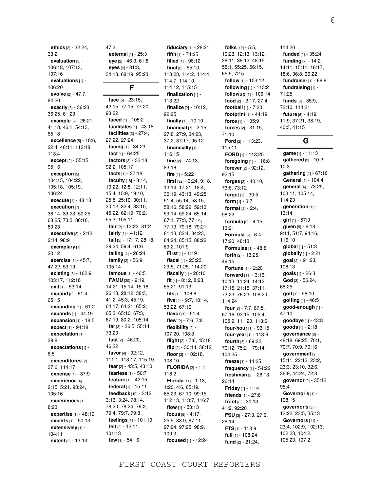**ethics** [2] - 32:24, 33:2 **evaluation** [3] - 106:18, 107:13, 107:16 **evaluations** [1] - 106:20 **evolve** [2] - 47:7, 84:20 **exactly** [3] - 36:23, 36:25, 61:23 **example** [5] - 26:21, 41:18, 46:1, 54:13, 65:18 **excellence** [5] - 18:6, 22:4, 46:11, 112:18, 113:4 **except** [2] - 55:15, 95:16 **exception** [5] - 104:15, 104:22, 105:18, 105:19, 106:24 **execute** [1] - 48:18 **execution** [7] - 38:14, 39:23, 50:25, 63:25, 73:3, 86:16, 89:23 **executive** [3] - 2:13, 2:14, 98:9 **exemplary** [1] - 20:12 **exercise** [3] - 45:7, 47:22, 53:19 **existing** [3] - 102:9, 103:17, 112:16 **exit** [1] - 53:14 **expand** [2] - 61:4, 65:15 **expanding** [1] - 61:2 **expands** [1] - 44:19 **expansion** [1] - 18:5 **expect** [1] - 94:18 **expectation** [1] - 39:8 **expectations** [1] - 6:5 **expenditures** [2] - 37:6, 114:17 **expense** [1] - 37:9 **experience** [4] - 2:15, 5:21, 93:24, 105:16 **experiences** [1] - 8:23 **expertise** [1] - 48:19 **experts** [1] - 50:13 **extensively** [1] - 104:11

**extent** [2] - 13:13,

47:2 **external** [1] - 25:3 **eye** [2] - 46:3, 61:8 **eyes** [4] - 31:3, 34:13, 68:19, 95:23

### **F**

**face** [5] - 23:15, 42:15, 77:15, 77:20, 93:22 **faced** [1] - 105:2 **facilitates** [1] - 43:18 **facilities** [3] - 27:4, 27:22, 27:24 **facing** [1] - 34:23 **fact** [1] - 64:25 **factors** [3] - 32:18, 92:2, 105:17 **facts** [1] - 37:18 **faculty** [18] - 3:14, 10:22, 12:8, 12:11, 15:4, 15:9, 19:10, 25:5, 25:10, 30:11, 30:12, 32:4, 33:10, 45:22, 62:19, 70:2, 95:3, 105:11 **fair** [2] - 13:22, 31:2 **fairly** [1] - 41:12 **fall** [5] - 17:17, 28:18, 39:24, 59:4, 61:6 **falling** [1] - 26:24 **family** [2] - 56:9, 105:14 **famous** [1] - 46:5 **FAMU** [20] - 9:19, 14:21, 15:14, 15:16, 26:18, 28:12, 38:3, 41:2, 45:3, 45:19, 64:17, 64:21, 65:2, 65:3, 65:10, 67:3, 67:19, 80:2, 105:14 **far** [3] - 36:5, 55:14, 73:20 **fast** [2] - 46:20, 46:22 **favor** [4] - 92:12, 111:1, 113:17, 115:19 **fear** [2] - 43:5, 43:10 **fearless** [1] - 50:7 **feature** [1] - 42:15 **federal** [1] - 15:11 **feedback** [10] - 3:12, 3:13, 3:24, 78:14, 78:20, 78:24, 79:2, 79:4, 79:7, 79:8 **feelings** [1] - 101:19 **felt** [2] - 12:11, 101:13 **few** [1] - 54:16

**fiduciary** [1] - 28:21 **fifth** [1] - 74:25 **filled** [1] - 96:12 **final** [8] - 55:10, 113:23, 114:2, 114:4, 114:7, 114:10, 114:12, 115:15 **finalization** [1] - 113:22 **finalize** [2] - 10:12, 92:25 **finally** [1] - 10:10 **financial** [7] - 2:15, 27:8, 27:9, 34:23, 37:2, 37:17, 95:12 **financially** [1] - 116:15 **fine** [2] - 74:13, 83:16 **fire** [1] - 5:22 **first** [32] - 3:24, 9:18, 13:14, 17:21, 18:4, 30:19, 43:13, 49:25, 51:4, 55:14, 58:15, 58:16, 58:22, 59:13, 59:14, 59:24, 65:14, 67:1, 77:3, 77:14, 77:19, 79:18, 79:21, 81:13, 82:4, 84:23, 84:24, 85:15, 88:22, 89:2, 101:9 **First** [1] - 1:19 **fiscal** [4] - 23:23, 29:5, 71:25, 114:20 **fiscally** [1] - 20:10 **fit** [4] - 8:12, 8:23, 55:21, 91:13 **fits** [1] - 106:6 **five** [4] - 9:7, 18:14, 53:22, 67:16 **flavor** [1] - 51:4 **flew** [2] - 7:6, 7:8 **flexibility** [2] - 107:20, 108:3 **flight** [2] - 7:6, 45:18 **flip** [2] - 30:14, 38:12 **floor** [2] - 102:18, 108:10 **FLORIDA** [2] - 1:1, 116:2 **Florida** [11] - 1:18, 1:20, 4:6, 65:19, 65:23, 67:10, 99:15, 112:13, 113:7, 116:7 **flow** [1] - 53:13 **focus** [8] - 4:17, 25:9, 33:9, 87:11, 97:24, 97:25, 98:9, 109:3 **focused** [1] - 12:24

**folks** [12] - 5:5, 10:23, 12:13, 13:12, 38:11, 38:12, 48:15, 55:1, 55:25, 56:15, 65:9, 72:5 **follow** [1] - 103:12 **following** [1] - 113:2 **followup** [1] - 106:14 **food** [2] - 2:17, 27:4 **football** [1] - 7:20 **footprint** [1] - 44:19 **force** [1] - 105:9 **forces** [2] - 31:15, 71:10 **Ford** [2] - 113:23, 115:11 **FORD** [1] - 113:25 **foregoing** [1] - 116:8 **forever** [2] - 92:12, 92:15 **forges** [3] - 40:10, 73:6, 73:12 **forget** [1] - 30:5 **form** [1] - 3:7 **format** [2] - 2:4, 98:22 **formula** [2] - 4:15, 13:21 **Formula** [3] - 6:4, 17:20, 48:13 **Formulas** [1] - 48:8 **forth** [2] - 13:25, 49:15 **Fortune** [1] - 2:20 **forward** [11] - 3:16, 10:13, 11:24, 14:12, 17:15, 21:15, 37:11, 73:23, 76:23, 108:20, 114:24 **four** [8] - 7:7, 67:5, 67:16, 93:15, 105:4, 105:9, 111:20, 113:6 **four-hour** [1] - 93:15 **four-year** [1] - 113:6 **fourth** [5] - 69:22, 70:12, 75:21, 79:14, 104:25 **freeze** [1] - 14:25 **frequency** [1] - 54:22 **freshman** [2] - 26:13, 26:14 **Friday** [1] - 1:14 **friends** [1] - 27:6 **front** [3] - 30:13, 41:2, 92:20 **FSU** [3] - 27:3, 27:6, 28:14 **FTS** [1] - 113:9 **full** [1] - 108:24 **fund** [2] - 21:24,

114:20 **funded** [1] - 35:24 **funding** [7] - 14:2, 14:11, 15:11, 16:17, 18:6, 36:8, 36:22 **fundraiser** [1] - 66:8 **fundraising** [1] - 71:25 **funds** [3] - 35:9, 72:10, 114:21 **future** [6] - 4:19, 11:9, 37:21, 38:19, 40:3, 41:15

### **G**

**game** [1] - 11:13 **gathered** [2] - 10:2, 10:3 **gathering** [1] - 67:16 **General** [1] - 104:4 **general** [4] - 73:25, 103:11, 105:14, 114:23 **generation** [1] - 13:14 **girl** [1] - 57:3 **given** [5] - 6:18, 9:11, 51:7, 94:16, 116:10 **global** [1] - 51:3 **globally** [1] - 2:21 **goal** [2] - 91:23, 108:13 **goals** [1] - 26:3 **God** [2] - 56:24, 68:25 **golf** [1] - 96:10 **golfing** [1] - 46:5 **good-enough** [1] - 47:10 **goodbye** [1] - 43:8 **goods** [1] - 2:18 **governance** [6] - 48:18, 69:25, 70:1, 70:7, 70:9, 70:16 **government** [9] - 15:11, 22:13, 23:2, 23:3, 23:10, 32:6, 36:9, 44:24, 72:3 **governor** [2] - 35:12, 95:4 **Governor's** [1] - 108:15 **governor's** [3] - 12:22, 23:5, 35:13 **Governors** [11] - 23:4, 102:9, 102:13, 102:23, 104:2, 105:23, 107:2,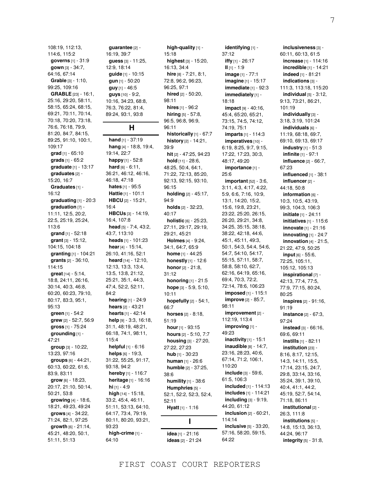108:19, 112:13, 114:6, 115:2 **governs** [1] - 31:9 **gown** [3] - 34:7, 64:16, 67:14 **Grable** [3] - 1:10, 99:25, 109:16 **GRABLE** [23] - 16:1, 25:16, 29:20, 58:11, 58:15, 65:24, 68:15, 69:21, 70:11, 70:14, 70:18, 70:20, 73:18, 76:6, 76:18, 79:9, 81:20, 84:7, 84:15, 89:25, 91:10, 100:1, 109:17 **grad** [1] - 65:10 **grads** [1] - 65:2 **graduate** [1] - 13:17 **graduates** [2] - 15:20, 16:7 **Graduates** [1] - 16:12 **graduating** [1] - 20:3 **graduation** [7] - 11:11, 12:5, 20:2, 22:5, 25:19, 25:24, 113:6 **grand** [1] - 52:18 **grant** [3] - 15:12, 104:15, 104:18 **granting** [1] - 104:21 **grants** [2] - 36:10, 114:15 **great** [14] - 5:14, 18:8, 24:11, 26:16, 30:14, 40:3, 46:8, 60:20, 60:23, 79:10, 80:17, 83:3, 95:1, 95:13 **green** [1] - 54:2 **grew** [2] - 52:7, 56:9 **gross** [1] - 75:24 **grounding** [1] - 47:21 **group** [3] - 10:22, 13:23, 97:16 **groups** [6] - 44:21, 60:13, 60:22, 61:6, 83:9, 83:11 **grow** [6] - 18:23, 20:17, 21:10, 50:14, 50:21, 53:8 **growing** [4] - 18:6, 18:21, 49:23, 49:24 **grows** [4] - 34:22, 71:24, 82:1, 97:25 **growth** [6] - 21:14, 45:21, 48:20, 50:1, 51:11, 51:13

**guarantee** [2] - 16:19, 39:7 **guess** [3] - 11:25, 12:9, 18:14 **guide** [1] - 10:15 **gun** [1] - 50:20 **guy** [1] - 46:5 **guys** [10] - 9:2, 10:16, 34:23, 68:8, 76:3, 76:22, 81:4, 89:24, 93:1, 93:8 **H hand** [1] - 37:19 **hang** [4] - 18:8, 19:4, 19:14, 22:7 **happy** [1] - 52:8 **hard** [6] - 6:11, 36:21, 46:12, 46:16, 46:18, 47:18 **hates** [1] - 95:5 **Hattie** [1] - 101:1 **HBCU** [2] - 15:21, 16:4 **HBCUs** [3] - 14:19, 16:4, 107:8 **head** [5] - 7:4, 43:2, 43:7, 113:10 **heads** [1] - 101:23 **hear** [4] - 15:14, 26:10, 41:16, 52:1 **heard** [14] - 12:10, 12:13, 13:3, 13:4, 13:5, 13:8, 21:12, 25:21, 35:1, 44:3, 47:4, 52:2, 52:11, 84:2 **hearing** [1] - 24:9 **hears** [2] - 43:21 **hearts** [1] - 42:14 **help** [9] - 3:3, 16:18, 31:1, 48:19, 48:21, 66:18, 74:1, 98:11, 115:4 **helpful** [1] - 6:16 **helps** [6] - 19:3, 31:22, 55:25, 91:17, 93:18, 94:2 **hereby** [1] - 116:7 **heritage** [1] - 16:16 **hi** [1] - 4:9 **high** [14] - 15:18, 33:2, 45:4, 46:11, 51:11, 53:13, 64:10, 64:17, 73:4, 79:19, 80:11, 80:20, 93:21, 93:23 **high-crime** [1] - 64:10

**high-quality** [1] - 15:18 **highest** [3] - 15:20, 16:13, 34:4 **hire** [8] - 7:21, 8:1, 72:8, 96:2, 96:23, 96:25, 97:1 **hired** [2] - 50:20, 98:11 **hires** [1] - 96:2 **hiring** [5] - 57:8, 96:5, 96:8, 96:9, 96:11 **historically** [1] - 67:7 **history** [2] - 14:21, 39:9 **hit** [2] - 47:25, 94:23 **hold** [11] - 28:6, 48:25, 50:4, 64:1, 71:22, 72:13, 85:20, 92:13, 92:15, 93:10, 96:15 **holding** [2] - 45:17, 94:9 **holds** [2] - 32:23, 40:17 **holistic** [6] - 25:23, 27:11, 29:17, 29:19, 29:21, 45:21 **Holmes** [4] - 9:24, 34:1, 64:7, 65:9 **home** [1] - 44:25 **honestly** [1] - 12:6 **honor** [2] - 21:8, 31:12 **honoring** [1] - 21:5 **hope** [3] - 5:9, 5:10, 10:11 **hopefully** [2] - 54:1, 66:7 **horses** [2] - 8:18, 51:19 **hour** [1] - 93:15 **hours** [2] - 5:10, 7:7 **housing** [3] - 27:20, 27:22, 27:23 **hub** [1] - 30:23 **human** [1] - 26:6 **humble** [2] - 37:25, 38:6 **humility** [1] - 38:6 **Humphries** [5] - 52:1, 52:2, 52:3, 52:4, 52:11 **Hyatt** [1] - 1:16 **I idea** [1] - 21:16

**ideas** [2] - 21:24

**identifying** [1] - 37:12 **iffy** [1] - 26:17 **II** [1] - 1:9 **image** [1] - 77:1 **imagine** [1] - 15:17 **immediate** [1] - 92:3 **immediately** [1] - 18:18 **impact** [9] - 40:16, 45:4, 65:20, 65:21, 73:15, 74:5, 74:12, 74:19, 75:1 **imparts** [1] - 114:3 **imperatives** [10] -6:19, 8:25, 9:7, 9:15, 17:22, 17:23, 30:3, 48:17, 49:20 **importance** [1] - 25:6 **important** [52] - 3:6, 3:11, 4:3, 4:17, 4:22, 5:9, 6:6, 7:16, 10:9, 13:1, 14:20, 15:2, 15:6, 19:8, 23:21, 23:22, 25:20, 26:15, 26:20, 29:21, 34:8, 34:25, 35:15, 38:18, 38:22, 42:18, 44:6, 45:1, 45:11, 49:3, 50:1, 54:3, 54:4, 54:6, 54:7, 54:10, 54:17, 55:15, 57:11, 58:7, 58:8, 58:10, 62:7, 62:16, 64:19, 65:16, 69:4, 70:3, 72:2, 72:14, 78:6, 106:23 **imposed** [1] - 115:1 **improve** [2] - 85:7, 98:11 **improvement** [2] - 112:19, 113:4 **improving** [1] - 49:23 **inactivity** [1] - 15:1 **inaudible** [8] - 14:7, 23:16, 28:23, 40:6, 67:14, 71:2, 106:1, 110:20 **include** [3] - 59:6, 61:5, 106:3 **included** [1] - 114:13 **includes** [1] - 114:21 **including** [3] - 9:19, 44:20, 61:12 **inclusion** [2] - 60:21, 114:14 **inclusive** [5] - 33:20, 57:16, 58:20, 59:15, 64:22

**inclusiveness** [3] - 60:11, 60:13, 61:5 **increase** [1] - 114:16 **incredible** [1] - 14:21 **indeed** [1] - 81:21 **indications** [3] - 111:3, 113:18, 115:20 **individual** [5] - 3:12, 9:13, 73:21, 86:21, 101:19 **individually** [3] - 3:18, 3:19, 101:24 **individuals** [6] - 11:19, 68:18, 69:7, 69:10, 69:13, 69:17 **industry** [1] - 51:3 **infinite** [1] - 97:1 **influence** [2] - 66:7, 67:23 **influenced** [1] - 38:1 **influencer** [2] - 44:18, 50:8 **information** [6] - 10:3, 10:5, 43:19, 99:3, 104:3, 106:3 **initiate** [1] - 24:11 **initiatives** [1] - 115:6 **innovate** [1] - 21:16 **innovating** [1] - 24:7 **innovation** [4] - 21:5, 21:22, 47:9, 50:25 **input** [6] - 55:6, 72:25, 105:11, 105:12, 105:13 **inspirational** [7] - 42:13, 77:4, 77:5, 77:9, 77:15, 80:24, 80:25 **inspires** [2] - 91:16, 91:19 **instance** [2] - 67:3, 97:24 **instead** [3] - 66:16, 69:6, 69:11 **instills** [1] - 82:11 **institution** [23] - 8:16, 8:17, 12:15, 14:3, 14:11, 15:5, 17:14, 23:15, 24:7, 29:8, 33:14, 33:16, 35:24, 39:1, 39:10, 40:4, 41:1, 44:2, 45:19, 52:7, 54:14, 71:18, 86:11 **institutional** [2] - 26:3, 111:8 **institutions** [5] - 14:8, 15:13, 36:13, 44:24, 96:17 **integrity** [5] - 31:8,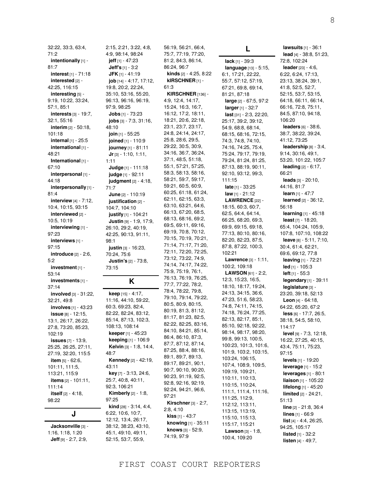32:22, 33:3, 63:4, 71:2 **intentionally** [1] - 81:7 **interest** [1] - 71:18 **interested** [2] - 42:25, 116:15 **interesting** [5] - 9:19, 10:22, 33:24, 57:1, 85:1 **interests** [3] - 19:7, 32:1, 55:16 **interim** [2] - 50:18, 101:18 **internal** [1] - 25:5 **international** [1] - 48:21 **International** [1] - 67:10 **interpersonal** [1] - 44:18 **interpersonally** [1] - 81:4 **interview** [4] - 7:12, 10:4, 10:15, 93:15 **interviewed** [2] - 10:5, 10:19 **interviewing** [1] - 97:23 **interviews** [1] - 97:15 **introduce** [2] - 2:6, 5:2 **investment** [1] - 53:14 **investments** [1] - 37:14 **involved** [3] - 31:22, 32:21, 49:8 **involves** [1] - 43:23 **issue** [8] - 12:15, 13:1, 26:17, 26:22, 27:8, 73:20, 85:23, 102:19 **issues** [7] - 13:9, 25:25, 26:25, 27:11, 27:19, 32:20, 115:5 **item** [5] - 62:6, 101:11, 111:5, 113:21, 115:9 **items** [2] - 101:11, 111:14 **itself** [2] - 4:18, 98:22 **J**

**Jacksonville** [3] -

1:16, 1:18, 1:20 **Jeff** [9] - 2:7, 2:9, 2:15, 2:21, 3:22, 4:8, 4:9, 98:14, 98:24 **jeff** [1] - 47:23 **Jeff's** [1] - 3:2 **JFK** [1] - 41:19 **job** [14] - 4:17, 17:12, 19:8, 20:2, 22:24, 35:10, 53:16, 55:20, 96:13, 96:16, 96:19, 97:9, 98:25 **Jobs** [1] - 73:23 **jobs** [3] - 7:3, 31:16, 48:10 **join** [1] - 55:25 **joined** [1] - 110:9 **journey** [1] - 81:11 **Jr** [3] - 1:10, 1:11, 1:11 **Judge** [1] - 111:18 **judge** [1] - 92:11 **judgment** [2] - 4:18, 71:7 **June** [2] - 110:19 **justification** [2] - 104:7, 104:10 **justify** [1] - 104:21 **Justin** [9] - 1:9, 17:9, 26:10, 29:2, 40:19, 42:25, 90:13, 91:11, 98:1 **justin** [3] - 16:23, 70:24, 75:6 **Justin's** [2] - 73:8, 73:15 **K**

#### **keep** [15] - 4:17, 11:16, 44:10, 59:22, 60:3, 69:23, 82:4, 82:22, 82:24, 83:12, 85:14, 87:13, 102:3, 108:13, 108:14 **keeper** [1] - 45:23 **keeping** [1] - 106:9 **Kelvin** [3] - 1:8, 14:4, 48:7 **Kennedy** [2] - 42:19, 43:11 **key** [7] - 3:13, 24:6, 25:7, 40:8, 40:11, 92:3, 106:21 **Kimberly** [2] - 1:8, 97:25 **kind** [28] - 3:14, 4:4, 6:22, 10:6, 10:7, 12:12, 13:4, 26:17,

38:12, 38:23, 43:10, 45:1, 49:10, 49:11, 52:15, 53:7, 55:9, 97:21

86:24, 96:7 **kinds** [2] - 4:25, 8:22 **kIRSCHNER** [1] - 61:3 **KIRSCHNER** [136] - 4:9, 12:4, 14:17, 15:24, 16:3, 16:7, 16:12, 17:2, 18:11, 18:21, 20:6, 22:18, 23:1, 23:7, 23:17, 24:8, 24:14, 24:17, 25:8, 28:6, 29:5, 29:22, 30:5, 30:9, 34:16, 36:7, 36:24, 37:1, 48:5, 51:18, 55:1, 57:21, 57:25, 58:3, 58:13, 58:16, 58:21, 59:7, 59:17, 59:21, 60:5, 60:9, 60:25, 61:18, 61:24, 62:11, 62:15, 63:3, 63:10, 63:21, 64:6, 66:13, 67:20, 68:5, 68:13, 68:16, 69:2, 69:5, 69:11, 69:16, 69:19, 70:8, 70:12, 70:15, 70:19, 70:21, 71:14, 71:17, 71:20, 72:11, 72:20, 72:25, 73:12, 73:22, 74:9, 74:14, 74:17, 74:22, 75:9, 75:19, 76:1, 76:13, 76:19, 76:25, 77:7, 77:22, 78:2, 78:4, 78:22, 79:8, 79:10, 79:14, 79:22, 80:5, 80:9, 80:15, 80:19, 81:3, 81:12, 81:17, 81:23, 82:5, 82:22, 82:25, 83:16, 84:10, 84:21, 85:14, 86:4, 86:10, 87:3, 87:7, 87:12, 87:14, 87:25, 88:4, 88:16, 89:1, 89:7, 89:13, 89:17, 89:21, 90:1, 90:7, 90:10, 90:20, 90:23, 91:19, 92:5, 92:8, 92:16, 92:19, 92:24, 94:21, 96:6, **Kirschner** [3] - 2:7, 2:8, 4:10 **kiss** [1] - 43:7 **knowing** [1] - 35:11 **knows** [3] - 52:9, 74:19, 97:9

56:19, 56:21, 66:4, 75:7, 77:19, 77:20, 81:2, 84:3, 86:14,

**L lack** [1] - 39:3 **language** [13] - 5:15, 6:1, 17:21, 22:22, 55:7, 57:12, 57:19, 67:21, 69:8, 69:14, 81:21, 87:18 **large** [2] - 67:5, 97:2 **larger** [1] - 32:7 **last** [31] - 2:3, 22:20, 25:17, 39:2, 39:12, 54:9, 68:8, 68:14, 68:15, 68:16, 72:15, 74:3, 74:8, 74:10, 74:16, 74:25, 75:4, 75:24, 79:17, 79:19, 79:24, 81:24, 81:25, 87:13, 88:19, 90:11, 92:10, 93:12, 99:3, 111:15 **late** [1] - 33:25 **law** [1] - 21:12 **LAWRENCE** [22] - 18:15, 60:3, 60:7, 62:5, 64:4, 64:14, 66:25, 68:20, 69:3, 69:9, 69:15, 69:18, 77:13, 80:10, 80:16, 82:20, 82:23, 87:5, 87:8, 87:22, 100:3, 102:21 **Lawrence** [3] - 1:11, 100:2, 109:18 **LAWSON** [61] - 2:2, 12:3, 15:23, 16:5, 18:10, 18:17, 19:24, 24:13, 34:15, 36:6, 47:23, 51:6, 58:23, 74:8, 74:11, 74:15, 74:18, 76:24, 77:25, 82:13, 82:17, 85:1, 85:10, 92:18, 92:22, 98:14, 98:17, 98:20, 99:8, 99:13, 100:5, 100:23, 101:3, 101:6, 101:9, 103:2, 103:15, 103:24, 106:15, 107:4, 108:9, 109:5, 109:19, 109:21, 110:11, 110:13, 110:15, 110:24, 111:1, 111:4, 111:16, 111:25, 112:9, 112:12, 113:11, 113:15, 113:19, 115:10, 115:13, 115:17, 115:21 **Lawson** [3] - 1:8, 100:4, 109:20

**lawsuits** [1] - 36:1 **lead** [4] - 38:8, 51:23, 72:8, 102:24 **leader** [23] - 4:6, 6:22, 6:24, 17:13, 23:13, 38:24, 39:1, 41:8, 52:5, 52:7, 52:15, 53:7, 53:15, 64:18, 66:11, 66:14, 66:16, 72:8, 75:11, 84:5, 87:10, 94:18, 106:20 **leaders** [6] - 38:6, 38:7, 38:22, 39:24, 41:12, 73:25 **leadership** [8] - 3:4, 9:14, 30:16, 49:1, 53:20, 101:22, 105:7 **leading** [2] - 6:17, 66:21 **leads** [3] - 20:10, 44:16, 81:7 **learn** [1] - 47:7 **learned** [2] - 36:12, 56:18 **learning** [1] - 45:18 **least** [7] - 18:20, 65:4, 104:24, 105:9, 107:8, 107:10, 108:22 **leave** [8] - 5:11, 7:10, 30:4, 61:4, 62:21, 69:6, 69:12, 77:8 **leaving** [1] - 72:21 **led** [1] - 105:3 **left** [1] - 55:3 **legendary** [1] - 39:11 **legislature** [3] - 23:20, 39:18, 52:13 **Leon** [4] - 64:18, 64:22, 65:20, 67:2 **less** [6] - 17:7, 26:5, 38:18, 54:5, 58:10, 114:17 **level** [9] - 7:3, 12:18, 16:22, 27:25, 40:15, 43:4, 75:11, 75:23, 97:15 **levels** [1] - 19:20 **leverage** [1] - 15:2 **leverages** [1] - 80:1 **liaison** [1] - 105:22 **lifelong** [1] - 45:20 **limited** [2] - 24:21, 51:13 **line** [2] - 21:8, 36:4 **lines** [1] - 66:9 **list** [4] - 4:4, 26:25, 94:25, 105:17 **listed** [1] - 32:2 **listen** [4] - 49:7,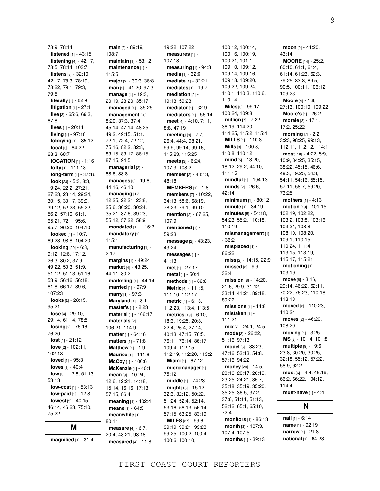78:9, 78:14 **listened** [1] - 43:15 **listening** [4] - 42:17, 78:5, 78:14, 103:7 **listens** [8] - 32:10, 42:17, 78:3, 78:19, 78:22, 79:1, 79:3, 79:5 **literally** [1] - 62:9 **litigation** [1] - 27:1 **live** [3] - 65:6, 66:3, 67:8 **lives** [1] - 20:11 **living** [1] - 97:18 **lobbying** [1] - 35:12 **local** [3] - 64:22, 68:3, 68:7 **lOCATION** [1] - 1:16 **lofty** [1] - 111:18 **long-term** [1] - 37:16 **look** [23] - 5:3, 8:3, 19:24, 22:2, 27:21, 27:23, 28:14, 29:24, 30:15, 30:17, 39:9, 39:12, 52:23, 55:22, 56:2, 57:10, 61:1, 65:21, 72:1, 95:6, 95:7, 96:20, 104:10 **looked** [4] - 10:7, 69:23, 98:8, 104:20 **looking** [20] - 6:3, 9:12, 12:6, 17:12, 26:3, 30:2, 37:9, 49:22, 50:3, 51:9, 51:12, 51:13, 51:16, 53:9, 56:16, 56:18, 61:8, 66:17, 89:6, 107:23 **looks** [2] - 28:15, 95:21 **lose** [4] - 29:10, 29:14, 61:14, 78:5 **losing** [2] - 76:16, 76:20 **lost** [1] - 21:12 **love** [2] - 102:11, 102:18 **loved** [1] - 95:3 **loves** [1] - 40:4 **low** [3] - 12:8, 51:13, 53:13 **low-cost** [1] - 53:13 **low-paid** [1] - 12:8 **lowest** [5] - 40:15, 46:14, 46:23, 75:10, 75:22

### **M**

**magnified** [1] - 31:4

**main** [2] - 89:19, 108:7 **maintain** [1] - 53:12 **maintenance** [1] - 115:5 **major** [2] - 30:3, 36:8 **man** [2] - 41:20, 97:3 **manage** [4] - 19:3, 20:19, 23:20, 35:17 **managed** [1] - 35:25 **management** [20] - 8:20, 37:3, 37:4, 45:14, 47:14, 48:25, 49:2, 49:15, 51:1, 72:1, 72:4, 72:12, 75:16, 82:2, 82:8, 83:15, 83:17, 86:15, 87:15, 94:5 **managerial** [2] - 88:6, 88:8 **manages** [3] - 19:6, 44:16, 46:10 **managing** [12] - 12:25, 22:21, 23:8, 25:6, 30:20, 30:24, 35:21, 37:6, 39:23, 55:12, 57:22, 58:9 **mandated** [1] - 115:2 **mandatory** [1] - 115:1 **manufacturing** [1] - 2:17 **margins** [1] - 49:24 **market** [4] - 43:25, 44:11, 80:2 **marketing** [1] - 44:14 **married** [1] - 97:9 **marry** [1] - 97:3 **Maryland** [1] - 3:1 **master's** [1] - 2:23 **material** [1] - 106:17 **materials** [2] - 106:21, 114:9 **matter** [1] - 64:16 **matters** [1] - 71:8 **Matthew** [1] - 1:9 **Maurice** [1] - 111:6 **McCoy** [1] - 100:6 **McKenzie** [1] - 40:1 **mean** [9] - 10:24, 12:6, 12:21, 14:18, 15:14, 16:16, 17:13, 57:15, 86:4 **meaning** [1] - 102:4 **means** [1] - 64:5 **meanwhile** [1] - 80:11 **measure** [4] - 6:7, 20:4, 48:21, 93:18

**measured** [4] - 11:8,

19:22, 107:22 **measures** [1] - 107:18 **measuring** [1] - 94:3 **media** [1] - 32:6 **mediate** [1] - 32:21 **mediates** [1] - 19:7 **mediation** [2] - 19:13, 59:23 **mediator** [1] - 32:9 **mediators** [1] - 56:14 **meet** [4] - 4:10, 7:11, 8:8, 47:19 **meeting** [9] - 7:7, 26:4, 44:4, 98:21, 99:9, 99:14, 99:16, 115:23, 115:25 **meets** [3] - 6:24, 107:3, 108:2 **member** [2] - 48:13, 48:18 **MEMBERS** [1] - 1:8 **members** [7] - 10:22, 34:13, 58:6, 68:19, 78:23, 79:1, 99:10 **mention** [2] - 67:25, 107:9 **mentioned** [1] - 59:23 **message** [2] - 43:23, 43:24 **messages** [1] - 41:13 **met** [1] - 27:17 **metal** [1] - 50:4 **methods** [1] - 66:6 **Metric** [4] - 111:5, 111:10, 112:17 **metric** [4] - 6:13, 112:23, 113:4, 113:5 **metrics** [19] - 6:10, 18:3, 19:25, 20:8, 22:4, 26:4, 27:14, 40:13, 47:15, 76:5, 76:11, 76:14, 86:17, 109:4, 112:15, 112:19, 112:20, 113:2 **Miami** [1] - 67:12 **micromanager** [1] - 75:12 **middle** [1] - 74:23 **might** [13] - 15:12, 32:3, 32:12, 50:22, 51:24, 52:4, 52:14, 53:16, 56:13, 56:14, 57:15, 63:25, 83:19 **MILES** [27] - 99:6, 99:19, 99:21, 99:23, 99:25, 100:2, 100:4, 100:6, 100:10,

100:12, 100:14, 100:16, 100:19, 100:21, 101:1, 109:10, 109:12, 109:14, 109:16, 109:18, 109:20, 109:22, 109:24, 110:1, 110:3, 110:6, 110:14 **Miles** [3] - 99:17, 100:24, 109:8 **million** [7] - 7:22, 36:19, 114:20, 114:25, 115:2, 115:4 **MILLS** [1] - 110:8 **Mills** [3] - 100:8, 110:8, 110:12 **mind** [5] - 13:20, 18:12, 29:2, 44:10, 111:15 **mindful** [1] - 104:13 **minds** [2] - 26:6,  $42.14$ **minimum** [1] - 80:12 **minute** [1] - 34:19 **minutes** [5] - 54:18, 54:23, 55:2, 110:18, 110:19 **mismanagement** [1] - 36:2 **misplaced** [1] - 86:22 **miss** [2] - 14:15, 22:9 **missed** [2] - 9:9, 32:4 **mission** [8] - 14:20, 21:6, 29:9, 31:12, 33:14, 41:21, 89:18, 89:22 **missions** [1] - 14:8 **mistaken** [1] - 111:21 **mix** [2] - 24:1, 24:5 **mode** [3] - 26:22, 51:16, 97:13 **model** [6] - 38:23, 47:16, 53:13, 54:8, 57:16, 94:22 **money** [20] - 14:5, 20:16, 20:17, 20:19, 23:25, 24:21, 35:7, 35:18, 35:19, 35:20, 35:25, 36:5, 37:2, 37:6, 51:11, 51:13, 52:12, 65:1, 65:10, 72:4 **monitors** [1] - 86:13 **month** [3] - 107:3, 107:4, 107:5 **months** [1] - 39:13

**moon** [2] - 41:20, 43:14 **MOORE** [14] - 25:2, 60:10, 61:1, 61:4, 61:14, 61:23, 62:3, 79:25, 83:8, 89:5, 90:5, 100:11, 106:12, 109:23 **Moore** [4] - 1:8, 27:13, 100:10, 109:22 **Moore's** [1] - 26:2 **morale** [3] - 17:1, 17:2, 25:22 **morning** [7] - 2:2, 3:23, 98:25, 99:13, 112:11, 112:12, 114:1 **most** [18] - 4:22, 5:9, 10:9, 34:25, 35:15, 38:22, 45:15, 46:6, 49:3, 49:25, 54:3, 54:11, 54:16, 55:15, 57:11, 58:7, 59:20, 73:25 **mothers** [1] - 4:13 **motion** [19] - 101:15, 102:19, 102:22, 103:2, 103:8, 103:16, 103:21, 108:8, 108:10, 108:20, 109:1, 110:15, 110:24, 111:4, 113:15, 113:19, 115:17, 115:21 **motioning** [1] - 103:19 **move** [8] - 3:16, 29:14, 46:22, 62:11, 70:22, 76:23, 110:18, 113:13 **moved** [2] - 110:23, 110:24 **moves** [2] - 46:20, 108:20 **moving** [1] - 3:25 **MS** [2] - 101:4, 101:8 **multiple** [9] - 19:6, 23:8, 30:20, 30:25, 32:18, 55:12, 57:22, 58:9, 92:2 **must** [6] - 4:4, 45:19, 66:2, 66:22, 104:12, 114:4 **must-have** [1] - 4:4

### **N**

**nail** [1] - 6:14 **name** [1] - 92:19 **narrow** [1] - 21:8 **national** [1] - 64:23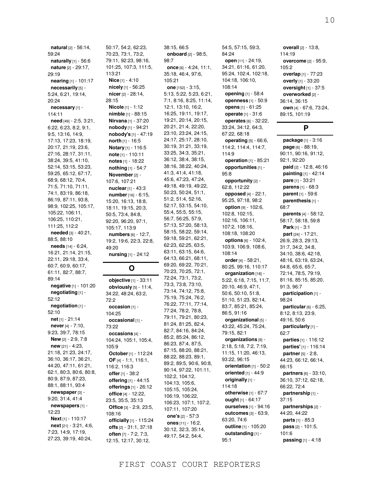59:24 **naturally** [1] - 56:6 **nature** [2] - 29:17, 29:19 **nearing** [1] - 101:17 **necessarily** [5] - 5:24, 6:21, 19:14, 20:24 **necessary** [1] - 114:11 **need** [49] - 2:5, 3:21, 6:22, 6:23, 8:2, 9:1, 9:5, 13:16, 14:9, 17:13, 17:23, 18:19, 20:17, 21:19, 23:6, 27:16, 28:17, 31:11, 38:24, 39:5, 41:10, 52:14, 53:15, 53:23, 59:25, 65:12, 67:17, 68:9, 68:12, 70:4, 71:5, 71:10, 71:11, 74:1, 83:19, 86:18, 86:19, 87:11, 93:8, 98:9, 102:25, 105:17, 105:22, 106:11, 106:25, 110:21, 111:25, 112:2 **needed** [3] - 40:21, 88:5, 88:10 **needs** [14] - 6:24, 16:21, 21:14, 21:15, 22:11, 29:18, 33:4, 60:7, 60:9, 60:17, 61:11, 82:7, 88:7, 89:14 **negative** [1] - 101:20 **negotiating** [1] - 52:12 **negotiation** [1] - 52:10 **net** [1] - 21:14 **never** [4] - 7:10, 9:23, 39:7, 78:15 **New** [2] - 2:9, 7:8 **new** [21] - 4:23, 21:18, 21:23, 24:17, 36:10, 36:17, 36:21, 44:20, 47:11, 61:21, 62:1, 80:3, 80:6, 80:8, 80:9, 87:9, 87:23, 88:1, 88:11, 93:4 **newspaper** [3] - 9:20, 31:4, 41:4 **newspapers** [1] - 12:23 **Next** [1] - 110:17 **next** [21] - 3:21, 4:6, 7:23, 14:9, 17:19,

27:23, 39:19, 40:24,

**natural** [2] - 56:14,

50:17, 54:2, 62:23, 70:23, 73:1, 73:2, 79:11, 92:23, 98:16, 101:25, 107:3, 111:5, 113:21 **Nice** [1] - 4:10 **nicely** [1] - 56:25 **nicer** [2] - 28:14, 28:15 **Nicole** [1] - 1:12 **nimble** [1] - 88:15 **Nirvana** [1] - 37:20 **nobody** [1] - 94:21 **nobody's** [1] - 47:19 **north** [1] - 16:5 **Notary** [1] - 116:5 **note** [1] - 110:11 **notes** [1] - 18:22 **nothing** [1] - 54:7 **November** [2] - 107:6, 107:21 **nuclear** [1] - 43:3 **number** [16] - 6:15, 15:20, 16:13, 18:8, 18:11, 19:15, 20:3, 50:5, 73:4, 84:8, 92:20, 96:20, 97:1, 105:17, 113:9 **numbers** [6] - 12:7, 19:2, 19:6, 22:3, 22:8, 49:20 **nursing** [1] - 24:12 **O objective** [1] - 33:11 **obviously** [5] - 11:4, 34:22, 48:24, 63:2, 72:2 **occasion** [1] - 104:25 **occasional** [1] - 73:22 **occasions** [4] - 104:24, 105:1, 105:4, 105:9 **October** [1] - 112:24 **OF** [4] - 1:1, 116:1, 116:2, 116:3 **offer** [1] - 38:2 **offering** [1] - 44:15 **offerings** [1] - 26:12 **office** [4] - 12:22, 23:5, 35:5, 35:13 **Office** [3] - 2:9, 23:5, 108:16 **officially** [1] - 115:24 **offs** [2] - 31:1, 37:18 **often** [7] - 7:2, 7:3, 12:15, 12:17, 30:12,

38:15, 66:5 **onboard** [2] - 98:5, 98:7 **once** [6] - 4:24, 11:1, 35:18, 46:4, 97:6, 105:21 **one** [152] - 3:15, 5:13, 5:22, 5:23, 6:21, 7:1, 8:16, 8:25, 11:14, 12:1, 13:10, 16:2, 16:25, 19:11, 19:17, 19:21, 20:14, 20:15, 20:21, 21:4, 22:20, 23:10, 23:24, 24:15, 24:17, 25:17, 28:10, 30:19, 31:21, 33:19, 33:25, 34:3, 35:21, 36:12, 38:4, 38:15, 38:16, 38:22, 40:24, 41:3, 41:4, 41:18, 45:6, 47:23, 47:24, 49:18, 49:19, 49:22, 50:23, 50:24, 51:1, 51:2, 51:4, 52:16, 52:17, 53:15, 54:10, 55:4, 55:5, 55:15, 56:7, 56:25, 57:9, 57:13, 57:20, 58:13, 58:15, 58:22, 59:14, 59:18, 59:21, 62:21, 62:23, 62:25, 63:5, 63:11, 63:15, 64:6, 64:13, 66:21, 68:11, 69:20, 69:22, 70:21, 70:23, 70:25, 72:1, 72:24, 73:1, 73:2, 73:3, 73:8, 73:10, 73:14, 74:12, 75:8, 75:19, 75:24, 76:2, 76:22, 77:11, 77:14, 77:24, 78:2, 78:8, 79:11, 79:21, 80:23, 81:24, 81:25, 82:4, 82:7, 84:16, 84:24, 85:2, 85:24, 86:12, 86:23, 87:4, 87:5, 87:15, 88:20, 88:21, 88:22, 88:23, 89:1, 89:2, 89:5, 90:6, 90:8, 90:14, 97:22, 101:11, 102:2, 104:12, 104:13, 105:6, 105:15, 105:24, 106:19, 106:22, 106:23, 107:1, 107:2, 107:11, 107:20 **one's** [2] - 57:3 **ones** [11] - 16:2, 30:12, 32:3, 35:14, 49:17, 54:2, 54:4,

54:5, 57:15, 59:3, 84:24 **open** [11] - 24:19, 34:21, 61:16, 61:20, 95:24, 102:4, 102:18, 104:18, 106:10, 108:14 **opening** [1] - 58:4 **openness** [1] - 50:9 **opens** [1] - 61:25 **operate** [1] - 31:6 **operates** [6] - 32:22, 33:24, 34:12, 64:3, 67:22, 68:18 **operating** [5] - 66:6, 114:2, 114:4, 114:7, 114:9 **operation** [1] - 85:21 **opportunities** [1] - 95:8 **opportunity** [2] - 62:8, 112:22 **opposed** [4] - 22:1, 95:25, 97:18, 98:2 **option** [9] - 102:6, 102:8, 102:15, 102:16, 106:11, 107:2, 108:16, 108:18, 108:20 **options** [6] - 102:4, 103:9, 106:9, 108:6, 108:14 **order** [4] - 58:21, 80:25, 99:16, 110:17 **organization** [18] -5:22, 6:18, 7:15, 11:7, 20:10, 46:9, 47:1, 50:6, 50:10, 51:8, 51:10, 51:23, 82:14, 83:7, 85:21, 85:24, 86:5, 91:16 **organizational** [5] - 43:22, 45:24, 75:24, 79:15, 82:1 **organizations** [9] - 2:18, 5:18, 7:2, 7:19, 11:15, 11:20, 46:13, 93:22, 96:15 **orientation** [1] - 50:2 **oriented** [1] - 44:9 **originally** [1] - 114:18 **otherwise** [1] - 67:7 **ought** [1] - 64:17 **ourselves** [1] - 94:16 **outcomes** [3] - 63:9, 63:20, 74:6 **outline** [1] - 105:20 **outstanding** [1] - 95:1

**overall** [2] - 13:8, 114:19 **overcome** [2] - 95:9, 105:2 **overlap** [1] - 77:23 **overly** [1] - 33:20 **oversight** [1] - 37:5 **overworked** [2] - 36:14, 36:15 **own** [4] - 67:6, 73:24, 89:15, 101:19

### **P**

**package** [1] - 3:16 **page** [6] - 88:19, 90:11, 90:16, 91:12, 92:1, 92:20 **paid** [2] - 12:8, 46:16 **painting** [1] - 42:14 **pare** [1] - 33:21 **parens** [1] - 68:3 **parent** [1] - 59:6 **parenthesis** [1] - 68:7 **parents** [4] - 58:12, 58:17, 58:18, 59:8 **Park** [1] - 3:1 **part** [24] - 17:21, 26:9, 28:3, 29:13, 31:7, 34:2, 34:8, 34:10, 38:6, 42:18, 48:16, 63:19, 63:24, 64:8, 65:6, 65:7, 72:14, 78:5, 79:19, 81:16, 85:15, 85:20, 91:3, 96:7 **participation** [1] - 98:24 **particular** [6] - 6:25, 8:12, 8:13, 23:9, 49:16, 50:6 **particularly** [1] -  $62.7$ **parties** [1] - 116:12 **parties'** [1] - 116:14 **partner** [5] - 2:8, 44:23, 66:12, 66:14, 66:15 **partners** [6] - 33:10, 36:10, 37:12, 62:18, 66:22, 72:4 **partnership** [1] - 37:15 **partnerships** [2] - 44:20, 44:22 **parts** [1] - 85:3 **pass** [2] - 101:5, 101:6 **passing** [1] - 4:18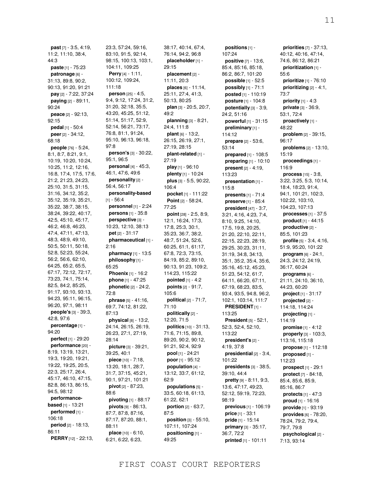**past** [7] - 3:5, 4:19, 11:2, 11:10, 38:4, 44:3 **paste** [1] - 75:23 **patronage** [6] - 31:13, 89:8, 90:2, 90:13, 91:20, 91:21 **pay** [2] - 7:22, 37:24 **paying** [2] - 89:11, 90:24 **peace** [2] - 92:13, 92:15 **pedal** [1] - 50:4 **peer** [2] - 34:12, 68:18 **people** [76] - 5:24, 8:1, 8:7, 8:21, 9:1, 10:19, 10:20, 10:24, 10:25, 11:2, 12:16, 16:8, 17:4, 17:5, 17:6, 21:2, 21:23, 24:23, 25:10, 31:5, 31:15, 31:16, 34:12, 35:2, 35:12, 35:19, 35:21, 35:22, 38:7, 38:15, 38:24, 39:22, 40:17, 42:5, 45:10, 45:17, 46:2, 46:8, 46:23, 47:4, 47:11, 47:13, 48:3, 48:9, 49:10, 50:5, 50:11, 50:18, 52:8, 52:23, 55:24, 56:2, 56:6, 62:10, 64:25, 65:2, 65:5, 67:17, 72:12, 72:17, 73:23, 74:1, 75:14, 82:5, 84:2, 85:25, 91:17, 93:10, 93:13, 94:23, 95:11, 96:15, 96:20, 97:1, 98:11 **people's** [3] - 39:3, 42:8, 97:6 **percentage** [1] - 94:20 **perfect** [1] - 29:20 **performance** [20] - 8:19, 13:19, 13:21, 19:3, 19:20, 19:21, 19:22, 19:25, 20:5, 22:3, 25:17, 26:4, 45:17, 46:10, 47:15, 82:8, 86:13, 86:15, 94:5, 98:12 **performancebased** [1] - 13:21 **performed** [1] - 106:18 **period** [2] - 18:13, 86:11 **PERRY** [12] - 22:13,

23:3, 57:24, 59:16, 83:10, 91:5, 92:14, 98:15, 100:13, 103:1, 104:11, 109:25 **Perry** [4] - 1:11, 100:12, 109:24, 111:18 **person** [25] - 4:5, 9:4, 9:12, 17:24, 31:2, 31:20, 32:18, 35:5, 43:20, 45:25, 51:12, 51:14, 51:17, 52:9, 52:14, 56:21, 73:17, 76:8, 81:1, 91:24, 95:10, 96:13, 96:18, 97:8 **person's** [3] - 30:22, 95:1, 96:5 **personal** [4] - 45:3, 46:1, 47:6, 49:6 **personality** [2] - 56:4, 56:17 **personality-based**  $[1] - 56:4$ **personnel** [1] - 2:24 **persons** [1] - 35:8 **perspective** [3] - 10:23, 12:10, 38:13 **pet** [2] - 31:17 **pharmaceutical** [1] - 2:16 **pharmacy** [1] - 13:5 **philosophy** [1] - 65:25 **Phoenix** [1] - 16:2 **phone** [1] - 47:25 **phonetic** [2] - 24:2, 72:8 **phrase** [5] - 41:16, 69:7, 74:12, 81:22, 87:13 **physical** [8] - 13:2, 24:14, 26:15, 26:19, 26:23, 27:1, 27:19, 28:14 **picture** [3] - 39:21, 39:25, 40:1 **piece** [10] - 7:18, 13:20, 18:1, 28:7, 31:7, 37:15, 45:21, 90:1, 97:21, 101:21 **pivot** [2] - 87:23, 88:6 **pivoting** [1] - 88:17 **pivots** [9] - 86:13, 87:7, 87:8, 87:16, 87:17, 87:20, 88:1, 88:11 **place** [10] - 6:10, 6:21, 6:22, 6:23,

38:17, 40:14, 67:4, 76:14, 94:2, 96:8 **placeholder** [1] - 29:15 **placement** [2] - 11:11, 20:3 **places** [6] - 11:14, 25:11, 27:4, 41:3, 50:13, 80:25 **plan** [3] - 20:5, 20:7, 49:2 **planning** [3] - 8:21, 24:4, 111:8 **plant** [6] - 13:2, 26:15, 26:19, 27:1, 27:19, 28:15 **plant-related** [1] - 27:19 **play** [1] - 96:10 **plenty** [1] - 10:24 **plus** [3] - 5:5, 90:22, 106:4 **pocket** [1] - 111:22 **Point** [2] - 58:24, 77:25 **point** [28] - 2:5, 8:9, 12:1, 16:24, 17:3, 17:8, 25:3, 30:1, 35:23, 36:7, 38:2, 48:7, 51:24, 52:6, 60:25, 61:1, 61:17, 67:8, 72:3, 73:15, 84:19, 85:2, 89:10, 90:13, 91:23, 109:2, 114:23, 115:22 **pointed** [1] - 4:2 **points** [2] - 91:7, 105:6 **political** [2] - 71:7, 71:10 **politically** [2] - 12:20, 71:5 **politics** [10] - 31:13, 71:6, 71:15, 89:8, 89:20, 90:2, 90:12, 91:21, 92:4, 92:9 **pool** [1] - 24:21 **poor** [1] - 95:12 **population** [4] - 13:12, 33:7, 61:12, 62:9 **populations** [5] - 33:5, 60:18, 61:13, 61:22, 62:1 **portion** [2] - 63:7, 87:5 **position** [3] - 55:10, 107:11, 107:24 **positioning** [1] - 49:25

**positions** [1] - 107:24 **positive** [7] - 13:6, 85:4, 85:16, 85:18, 86:2, 86:7, 101:20 **possible** [1] - 52:5 **possibly** [1] - 71:1 **posted** [1] - 110:19 **posture** [1] - 104:8 **potentially** [3] - 3:9, 24:2, 51:16 **powerful** [1] - 31:15 **preliminary** [1] - 114:12 **prepare** [2] - 53:6, 53:14 **prepared** [1] - 108:5 **preparing** [1] - 10:10 **present** [2] - 4:19, 113:23 **presentation** [1] - 115:8 **presents** [1] - 71:4 **preserve** [1] - 85:4 **president** [47] - 3:7, 3:21, 4:16, 4:23, 7:4, 8:10, 9:25, 14:10, 17:5, 19:8, 20:25, 21:20, 22:10, 22:11, 22:15, 22:23, 28:19, 29:25, 30:23, 31:11, 31:19, 34:8, 34:13, 35:1, 35:2, 35:4, 35:6, 35:16, 45:12, 45:23, 51:23, 54:12, 61:7, 64:11, 66:20, 67:11, 67:19, 68:23, 83:5, 93:4, 93:5, 94:8, 96:2, 102:1, 103:14, 111:7 **PRESIDENT** [1] - 113:25 **President** [5] - 52:1, 52:3, 52:4, 52:10, 113:22 **president's** [2] - 4:19, 37:8 **presidential** [2] - 3:4, 101:22 **presidents** [3] - 38:5, 39:10, 44:4 **pretty** [9] - 8:11, 9:3, 13:6, 47:17, 49:23, 52:12, 59:19, 72:23, 98:19 **previous** [1] - 106:19 **price** [1] - 33:1 **pride** [1] - 15:14 **primary** [3] - 35:17, 36:7, 72:2 **printed** [1] - 101:11

**priorities** [7] - 37:13, 40:12, 40:16, 47:14, 74:6, 86:12, 86:21 **prioritization** [1] - 55:6 **prioritize** [1] - 76:10 **prioritizing** [2] - 4:1, 73:7 **priority** [1] - 4:3 **private** [3] - 36:9, 53:1, 72:4 **proactively** [1] - 48:22 **problem** [2] - 39:15, 96:17 **problems** [2] - 13:10, 15:19 **proceedings** [1] - 116:9 **process** [15] - 3:8, 3:22, 3:25, 5:3, 10:14, 18:4, 18:23, 91:4, 94:1, 101:21, 102:3, 102:22, 103:10, 104:23, 107:13 **processes** [1] - 37:5 **product** [1] - 44:15 **productive** [2] - 85:5, 101:23 **profile** [5] - 3:4, 4:16, 51:9, 95:20, 101:22 **program** [6] - 24:1, 24:3, 24:12, 24:19, 36:17, 60:24 **programs** [6] - 21:11, 24:10, 36:10, 44:23, 60:20 **project** [1] - 31:17 **projected** [2] - 114:18, 114:24 **projecting** [1] - 114:19 **promise** [1] - 4:12 **properly** [3] - 103:3, 113:16, 115:18 **propose** [1] - 112:18 **proposed** [1] - 112:23 **prospect** [1] - 29:1 **protect** [7] - 84:18, 85:4, 85:6, 85:9, 85:16, 86:7 **protects** [1] - 47:3 **proud** [1] - 16:16 **provide** [1] - 93:19 **provides** [6] - 78:20, 78:24, 79:2, 79:4, 79:7, 79:8 **psychological** [2] -

7:13, 93:14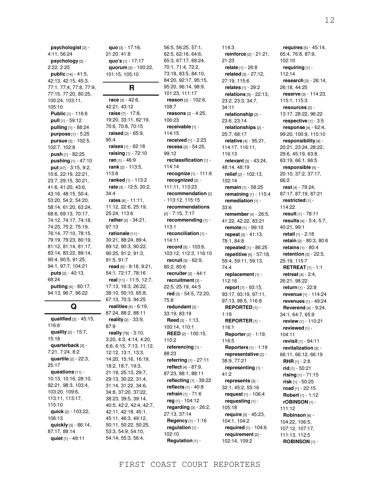**psychologist** [2] - 4:11, 56:24 **psychology** [2] - 2:22, 2:25 **public** [14] - 41:5, 42:13, 42:15, 45:3, 77:1, 77:4, 77:8, 77:9, 77:15, 77:20, 80:25, 100:24, 103:11, 105:10 **Public** [1] - 116:6 **pull** [1] - 59:12 **pulling** [1] - 88:24 **purpose** [1] - 5:25 **pursue** [3] - 102:5, 102:7, 102:8 **push** [1] - 82:25 **pushing** [1] - 47:10 **put** [47] - 3:15, 9:2, 10:6, 22:19, 22:21, 23:7, 29:15, 30:21, 41:6, 41:20, 43:6, 43:16, 48:15, 50:4, 53:20, 54:2, 54:20, 58:14, 61:20, 63:24, 68:6, 69:13, 70:17, 74:12, 74:17, 74:18, 74:23, 75:2, 75:19, 76:14, 77:10, 78:15, 79:19, 79:23, 80:19, 81:12, 81:14, 81:17, 83:14, 83:22, 89:14, 90:4, 90:5, 91:25, 94:1, 97:7, 104:21 **puts** [2] - 40:13, 68:24 **putting** [4] - 80:17, 94:13, 96:7, 96:22

# **Q**

**qualified** [2] - 45:15, 116:6 **quality** [2] - 15:7, 15:18 **quarterback** [3] - 7:21, 7:24, 8:2 **quartile** [2] - 22:3, 25:17 **questions** [11] - 10:13, 10:16, 28:10, 92:21, 98:3, 103:4, 103:20, 109:6, 113:11, 113:17, 115:10 **quick** [2] - 103:22, 106:13 **quickly** [3] - 86:14, 87:17, 88:14 **quiet** [1] - 49:11

**quo** [3] - 17:16, 21:20, 41:8 **quo's** [1] - 17:17 **quorum** [3] - 100:22, 101:15, 105:10

## **R**

**race** [3] - 42:6, 42:21, 43:12 **raise** [7] - 17:8, 19:20, 33:11, 62:19, 70:6, 70:8, 70:15 **raised** [2] - 65:9, 95:4 **raises** [1] - 62:18 **raising** [1] - 72:10 **ran** [1] - 46:9 **rank** [2] - 113:5, 113:8 **ranked** [1] - 113:2 **rate** [3] - 12:5, 20:2, 34:4 **rates** [6] - 11:11, 11:12, 22:6, 25:19, 25:24, 113:6 **rather** [2] - 34:21, 97:13 **rationale** [11] - 30:21, 88:24, 89:4, 89:12, 90:3, 90:22, 90:25, 91:2, 91:3, 91:5, 91:7 **read** [5] - 9:18, 9:21, 54:1, 72:17, 78:16 **real** [11] - 11:5, 12:7, 17:13, 18:3, 26:22, 38:10, 50:10, 65:8, 67:13, 70:3, 94:25 **realities** [4] - 6:19, 87:24, 88:2, 88:11 **reality** [2] - 33:9, 87:9 **really** [78] - 3:10, 3:20, 4:3, 4:14, 4:20, 6:6, 6:15, 7:13, 11:12, 12:12, 13:1, 13:3, 14:20, 15:16, 16:19, 18:2, 18:7, 19:3, 21:19, 25:13, 29:7, 29:13, 30:22, 31:4, 31:14, 31:22, 34:6, 34:8, 37:20, 37:22, 38:23, 39:5, 39:14, 40:5, 42:2, 42:4, 42:7,

42:11, 42:18, 45:1, 45:11, 46:3, 49:12, 50:11, 50:22, 50:25, 53:3, 54:9, 54:10, 54:14, 55:3, 56:4,

62:5, 62:16, 64:6, 65:3, 67:17, 69:24, 70:1, 71:4, 72:2, 73:18, 83:5, 84:10, 84:20, 92:17, 95:15, 95:20, 96:14, 98:9, 101:23, 111:17 **reason** [2] - 102:6, 108:7 **reasons** [2] - 4:25, 106:23 **receivable** [1] - 114:15 **received** [1] - 2:23 **recess** [2] - 54:25, 99:12 **reclassification** [1] - 114:14 **recognize** [1] - 111:6 **recognized** [2] - 111:11, 113:23 **recommendation** [2] - 113:12, 115:15 **recommendations** [2] - 7:15, 7:17 **recommending** [1] - 113:1 **reconciliation** [1] - 114:11 **record** [5] - 103:6, 103:12, 112:3, 116:10 **recruit** [3] - 62:9, 80:2, 80:6 **recruiter** [2] - 44:1 **recruitment** [3] - 22:5, 25:19, 44:5 **red** [3] - 54:5, 72:20, 75:8 **redundant** [2] - 33:19, 83:19 **Reed** [3] - 1:13, 100:14, 110:1 **REED** [2] - 100:15, 110:2 **referencing** [1] - 88:23 **referring** [1] - 27:11 **reflect** [4] - 87:9, 87:23, 88:1, 88:11 **reflecting** [1] - 39:22 **reflects** [1] - 40:8 **refrain** [1] - 71:6 **reg** [1] - 104:12 **regarding** [3] - 26:2, 27:13, 37:14 **Regency** [1] - 1:16 **regulation** [1] - 102:10 **Regulation** [1] -

56:5, 56:25, 57:1,

114:3 **reinforce** [2] - 21:21, 21:23 **relate** [1] - 26:8 **related** [3] - 27:12, 27:19, 115:6 **relates** [1] - 29:2 **relations** [5] - 22:13, 23:2, 23:3, 34:7, 34:11 **relationship** [2] - 23:6, 23:14 **relationships** [2] - 25:7, 68:17 **relative** [4] - 95:21, 114:17, 116:11, 116:13 **relevant** [3] - 43:24, 48:14, 48:19 **relief** [2] - 102:13, 102:14 **remain** [1] - 58:25 **remaining** [1] - 115:4 **remediation** [1] - 33:6 **remember** [4] - 26:5, 41:22, 42:22, 83:21 **remote** [1] - 99:10 **repeat** [3] - 41:13, 78:1, 84:8 **repeated** [1] - 86:25 **repetitive** [5] - 57:18, 59:4, 59:11, 59:13, 74:4 **replacement** [1] - 112:16 **report** [7] - 93:15, 93:17, 93:19, 97:11, 97:13, 98:5, 116:8 **REPORTED** [1] - 1:19 **REPORTER** [1] - 116:1 **Reporter** [2] - 1:19, 116:5 **Reporters** [1] - 1:19 **representative** [2] - 38:9, 77:21 **representing** [1] -  $41.2$ **represents** [3] - 32:1, 45:2, 55:16 **request** [1] - 106:4 **requesting** [1] - 105:18 **require** [3] - 45:23, 104:1, 104:2 **required** [1] - 104:6 **requirement** [2] - 102:14, 109:2

**requires** [5] - 45:14, 65:4, 76:8, 87:9, 102:10 **requiring** [1] - 112:14 **research** [3] - 26:14, 26:18, 44:25 **reserve** [3] - 114:23, 115:1, 115:3 **resources** [3] - 13:17, 28:22, 96:22 **respective** [1] - 3:5 **response** [4] - 62:4, 99:20, 100:9, 110:10 **responsibility** [9] - 20:21, 23:24, 28:22, 29:6, 45:19, 63:8, 63:19, 66:1, 66:5 **responsible** [4] - 20:10, 37:2, 37:17, 66:2 **rest** [4] - 79:24, 87:17, 87:19, 87:21 **restricted** [1] - 114:22 **result** [1] - 78:11 **results** [4] - 5:4, 5:7, 40:21, 99:1 **retail** [1] - 2:18 **retain** [2] - 80:3, 80:6 **retains** [1] - 80:4 **retention** [3] - 22:5, 25:19, 115:7 **RETREAT** [1] - 1:1 **retreat** [4] - 2:4, 26:21, 98:22 **return** [1] - 22:8 **revenue** [1] - 114:24 **revenues** [1] - 49:24 **Reverend** [4] - 9:24, 34:1, 64:7, 65:9 **review** [1] - 110:21 **reviewed** [1] - 104:11 **revisit** [1] - 94:11 **revitalization** [3] - 66:11, 66:12, 66:19 **RHR** [1] - 2:8 **rid** [1] - 50:21 **rising** [1] - 71:15 **risk** [1] - 50:25 **road** [1] - 22:15 **Robert** [1] - 1:12 **rOBINSON** [1] - 111:12 **Robinson** [6] - 104:22, 106:5, 107:12, 107:17, 111:13, 112:5 **ROBINSON** [1] -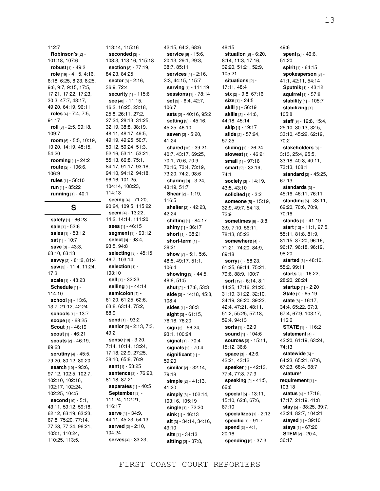13

112:7 **Robinson's** [2] - 101:18, 107:6 **robust** [1] - 49:2 **role** [19] - 4:15, 4:16, 6:18, 6:25, 8:23, 8:25, 9:6, 9:7, 9:15, 17:5, 17:21, 17:22, 17:23, 30:3, 47:7, 48:17, 49:20, 64:19, 96:11 **roles** [4] - 7:4, 7:5, 91:17 **roll** [3] - 2:5, 99:18, 109:7 **room** [6] - 5:5, 10:19, 10:20, 14:19, 48:15, 54:20 **rooming** [1] - 24:2 **route** [2] - 106:6, 106:9 **rules** [1] - 56:10 **run** [1] - 85:22 **running** [1] - 40:1

# **S**

**safety** [1] - 66:23 **sale** [1] - 53:6 **sales** [1] - 53:12 **sat** [1] - 10:7 **save** [3] - 43:3, 63:10, 63:13 **savvy** [2] - 81:2, 81:4 **saw** [3] - 11:4, 11:24, 17:3 **scale** [1] - 48:23 **Schedule** [1] - 114:10 **school** [4] - 13:6, 13:7, 21:12, 42:24 **schools** [1] - 13:7 **scope** [1] - 68:25 **Scout** [1] - 46:19 **scout** [1] - 46:21 **scouts** [2] - 46:19, 89:23 **scrutiny** [4] - 45:5, 79:20, 80:12, 80:20 **search** [10] - 93:6, 97:12, 102:5, 102:7, 102:10, 102:16, 102:17, 102:24, 102:25, 104:5 **second** [19] - 5:1, 43:11, 59:12, 59:18, 62:12, 63:19, 63:23, 67:8, 75:20, 77:14, 77:23, 77:24, 96:21, 103:1, 110:24, 110:25, 113:5,

113:14, 115:16 **seconded** [3] - 103:3, 113:16, 115:18 **section** [3] - 77:19, 84:23, 84:25 **sector** [3] - 2:16, 36:9, 72:4 **security** [1] - 115:6 **see** [40] - 11:15, 16:2, 16:25, 23:18, 25:8, 26:11, 27:2, 27:24, 28:13, 31:25, 32:19, 38:8, 38:19, 48:11, 48:17, 49:5, 49:19, 49:25, 50:7, 50:12, 50:24, 51:3, 52:16, 53:11, 53:21, 55:13, 66:8, 75:1, 84:17, 91:17, 93:18, 94:10, 94:12, 94:18, 96:16, 101:25, 104:14, 108:23, 114:13 **seeing** [4] - 71:20, 90:24, 109:5, 115:22 **seem** [4] - 13:22, 14:2, 14:14, 111:20 **sees** [1] - 46:15 **segment** [1] - 90:12 **select** [3] - 93:4, 93:5, 94:8 **selecting** [3] - 45:15, 46:7, 103:14 **selection** [1] - 103:10 **self** [1] - 32:23 **selling** [1] - 44:14 **semicolon** [7] - 61:20, 61:25, 62:6, 63:8, 63:14, 75:2, 88:9 **send** [1] - 93:2 **senior** [3] - 2:13, 7:3, 49:2 **sense** [10] - 3:20, 7:14, 10:14, 13:24, 17:18, 22:9, 27:25, 38:10, 65:8, 76:9 **sent** [1] - 53:25 **sentence** [3] - 76:20, 81:18, 87:21 **separates** [1] - 40:5 **September** [3] - 111:24, 112:21, 116:17 **serve** [4] - 34:9, 44:11, 45:23, 54:13 **served** [2] - 2:10, 104:24 **serves** [4] - 33:23,

42:15, 64:2, 68:6 **service** [6] - 15:6, 20:13, 29:1, 29:3, 38:7, 85:11 **services** [4] - 2:16, 3:3, 44:15, 115:7 **serving** [1] - 111:19 **sessions** [1] - 78:14 **set** [3] - 6:4, 42:7, 106:7 **sets** [2] - 40:16, 95:2 **setting** [3] - 45:16, 45:25, 46:10 **seven** [2] - 5:20, 41:24 **shared** [13] - 39:21, 40:7, 43:17, 69:25, 70:1, 70:6, 70:9, 70:16, 73:4, 73:19, 73:20, 74:2, 98:6 **sharing** [3] - 3:24, 43:19, 51:7 **Shear** [2] - 1:19, 116:5 **shelter** [2] - 42:23, 42:24 **shifting** [1] - 84:17 **shiny** [1] - 36:17 **short** [1] - 38:21 **short-term** [1] - 38:21 **show** [7] - 5:1, 5:6, 48:5, 49:17, 51:1, 106:4 **showing** [3] - 44:5, 48:8, 51:5 **shut** [2] - 17:6, 53:3 **side** [3] - 14:18, 45:8, 108:4 **sides** [1] - 36:3 **sight** [3] - 61:15, 76:16, 76:20 **sign** [3] - 56:24, 93:1, 100:24 **signal** [1] - 70:4 **signals** [1] - 70:4 **significant** [1] - 59:20 **similar** [2] - 32:14, 79:18 **simple** [2] - 41:13, 41:20 **simply** [3] - 102:14, 103:16, 105:19 **single** [1] - 72:20 **sink** [1] - 46:13 **sit** [3] - 34:14, 34:16, 49:10 **sits** [1] - 34:13 **sitting** [2] - 37:8,

48:15 **situation** [8] - 6:20, 8:14, 11:3, 17:16, 32:20, 51:21, 52:9, 105:21 **situations** [2] - 17:11, 48:4 **six** [2] - 9:8, 67:16 **size** [1] - 24:5 **skill** [1] - 56:19 **skills** [3] - 41:6, 44:18, 45:14 **skip** [1] - 19:17 **slide** [2] - 57:24, 57:25 **sliding** [1] - 26:24 **slowest** [1] - 46:21 **small** [1] - 97:16 **smart** [2] - 32:19, 74:1 **society** [3] - 14:19, 43:5, 43:10 **solicited** [1] - 3:2 **someone** [5] - 15:19, 32:9, 49:7, 54:13, 72:9 **sometimes** [6] - 3:8, 3:9, 7:10, 56:11, 78:13, 85:22 **somewhere** [4] - 71:21, 74:20, 84:9, 89:18 **sorry** [7] - 58:23, 61:25, 69:14, 75:21, 79:6, 88:9, 100:7 **sort** [19] - 6:14, 8:1, 14:25, 17:16, 21:20, 31:19, 31:22, 32:10, 34:19, 36:20, 39:22, 42:4, 47:21, 48:11, 51:2, 55:25, 57:18, 59:4, 94:13 **sorts** [1] - 62:9 **sound** [1] - 104:6 **sources** [3] - 15:11, 15:12, 36:8 **space** [3] - 42:6, 42:21, 43:12 **speaker** [4] - 42:13, 77:4, 77:8, 77:9 **speaking** [2] - 41:5, 62:6 **special** [5] - 13:11, 15:10, 62:8, 67:6, 87:10 **specializes** [1] - 2:12 **specific** [1] - 91:7 **spend** [2] - 4:1, 20:16 **spending** [2] - 37:3,

49:6 **spent** [2] - 46:6, 51:20 **spirit** [1] - 64:15 **spokesperson** [3] - 41:1, 42:11, 54:14 **Sputnik** [1] - 43:12 **squirrel** [1] - 57:8 **stability** [1] - 105:7 **stabilizing** [1] - 105:8 **staff** [9] - 12:8, 15:4, 25:10, 30:13, 32:5, 33:10, 45:22, 62:19, 70:2 **stakeholders** [8] - 3:13, 25:4, 25:5, 33:18, 40:8, 40:11, 73:13, 108:1 **standard** [2] - 45:25, 67:13 **standards** [3] - 45:16, 46:11, 76:11 **standing** [5] - 33:11, 62:20, 70:6, 70:9, 70:16 **stands** [1] - 41:19 **start** [12] - 11:1, 27:5, 55:11, 81:8, 81:9, 81:15, 87:20, 96:16, 96:17, 96:18, 96:19, 98:20 **started** [3] - 48:10, 55:2, 99:11 **starts** [3] - 16:22, 28:20, 28:24 **startup** [1] - 2:20 **State** [1] - 65:19 **state** [8] - 16:17, 34:4, 65:22, 67:3, 67:4, 67:9, 103:17, 116:6 **STATE** [1] - 116:2 **statement** [4] - 42:20, 61:19, 63:24, 74:13 **statewide** [6] - 64:23, 65:21, 67:6, 67:23, 68:4, 68:7 **stature/ requirement** [1] - 103:18 **status** [4] - 17:16, 17:17, 21:19, 41:8 **stay** [5] - 38:25, 39:7, 43:24, 82:7, 104:21 **stayed** [1] - 39:10 **stays** [1] - 67:20 **STEM** [2] - 20:4, 36:17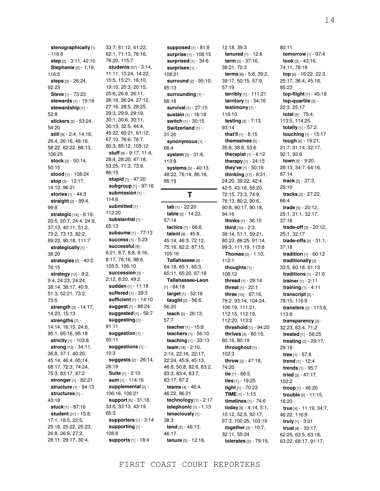**stenographically** [1]  $-116:8$ **step** [2] - 3:11, 42:10 **Stephanie** [2] - 1:19, 116:5 **steps** [2] - 26:24, 92:23 **Steve** [1] - 73:23 **stewards** [1] - 19:19 **stewardship** [1] - 52:8 **stickers** [2] - 53:24, 54:20 **still** [9] - 2:4, 14:18, 26:4, 26:16, 46:16, 58:22, 62:22, 88:13, 106:25 **stock** [2] - 50:14, 50:15 **stood** [1] - 108:24 **stop** [3] - 12:17, 14:13, 96:21 **stories** [1] - 44:3 **straight** [2] - 99:4, 99:8 **strategic** [14] - 6:19, 20:5, 20:7, 24:4, 24:9, 37:13, 40:11, 51:2, 73:2, 73:13, 82:2, 89:23, 90:18, 111:7 **strategically** [1] - 38:20 **strategies** [2] - 40:2, 76:15 **strategy** [12] - 9:2, 9:4, 24:23, 24:24, 38:14, 38:17, 40:9, 51:3, 52:21, 73:2, 73:5 **strength** [3] - 14:17, 14:23, 15:13 **strengths** [7] - 14:14, 16:15, 24:6, 95:1, 95:16, 95:18 **strictly** [1] - 103:8 **strong** [13] - 34:11, 36:8, 37:1, 40:20, 45:14, 46:4, 65:14, 68:17, 72:3, 74:24, 75:3, 83:17, 87:2 **stronger** [1] - 82:21 **structure** [1] - 94:13 **structures** [1] - 43:18 **stuck** [1] - 87:16 **student** [21] - 15:8, 17:1, 18:5, 22:5, 25:18, 25:22, 25:23, 26:8, 26:9, 27:2, 28:11, 29:17, 30:4,

33:7, 61:12, 61:22, 62:1, 71:13, 76:16, 76:20, 115:7 **students** [37] - 3:14, 11:11, 13:24, 14:22, 15:5, 15:21, 16:10, 19:10, 20:3, 20:15, 25:6, 26:8, 26:11, 26:16, 26:24, 27:12, 27:16, 28:5, 28:25, 29:3, 29:9, 29:19, 30:1, 30:6, 30:11, 30:13, 32:5, 44:4, 45:22, 60:21, 61:12, 67:10, 76:6, 76:7, 80:3, 85:12, 105:12 **stuff** [9] - 9:17, 11:4, 28:4, 28:20, 47:18, 53:25, 71:3, 73:9, 86:15 **stupid** [1] - 47:20 **subgroup** [1] - 97:16 **submission** [1] - 114:6 **submitted** [1] - 112:20 **substantial** [1] - 65:13 **subsume** [1] - 77:13 **success** [1] - 5:23 **successful** [9] - 6:21, 8:7, 8:8, 8:16, 8:17, 76:16, 98:6, 105:5, 106:10 **succession** [3] - 2:12, 8:20, 49:2 **sudden** [1] - 11:18 **suffered** [1] - 39:3 **sufficient** [1] - 14:10 **suggest** [1] - 88:24 **suggested** [1] - 59:7 **suggesting** [1] - 91:11 **suggestion** [1] - 93:11 **suggestions** [1] - 10:3 **suggests** [2] - 26:14, 26:19 **Suite** [1] - 2:10 **sum** [1] - 114:16 **supplemental** [2] - 106:16, 106:21 **support** [5] - 31:18, 33:6, 33:13, 43:19, 65:3 **supporters** [1] - 3:14 **supporting** [1] - 108:8 **supports** [1] - 18:4

**supposed** [1] - 81:8 **surprise** [1] - 108:15 **surprised** [1] - 34:6 **surprises** [1] - 108:21 **surround** [2] - 95:10, 95:13 **surrounding** [1] - 66:18 **survival** [1] - 27:15 **sustain** [1] - 16:18 **switch** [1] - 30:15 **Switzerland** [1] -31:20 **synonymous** [1] - 66:4 **system** [3] - 31:8, 113:8 **systems** [5] - 40:13, 48:22, 76:14, 86:18, 86:19 **T tab** [1] - 22:20 **table** [2] - 14:22, 57:14 **tactics** [1] - 66:6 **talent** [8] - 45:8, 45:14, 46:3, 72:12, 75:16, 82:2, 87:15, 105:16 **Tallahassee** [6] - 64:18, 65:1, 65:3, 65:11, 65:20, 67:18 **Tallahassee-Leon**  $[1] - 64:18$ **target** [1] - 52:19 **taught** [2] - 56:6, 56:20 **teach** [2] - 26:13, 57:7 **teacher** [1] - 15:8 **teachers** [1] - 56:10

**term** [3] - 37:16, 38:21, 70:3 **terms** [6] - 5:8, 39:2, 39:17, 50:15, 57:9, 57:19 **terribly** [1] - 111:21 **territory** [1] - 54:16 **testimony** [1] - 116:10 **testing** [2] - 7:13, 93:14 **that'll** [1] - 8:15 **themselves** [3] - 35:6, 38:8, 53:6 **therapist** [1] - 4:12 **therapy** [1] - 24:15 **they've** [1] - 50:16 **thinking** [17] - 8:21, 24:20, 39:22, 42:4, 42:5, 43:16, 55:20, 72:15, 73:3, 74:9, 76:13, 80:2, 90:6, 90:8, 90:17, 90:18, 94:16 **thinks** [1] - 36:15 **third** [10] - 2:3, 38:14, 51:1, 59:21, 80:23, 86:25, 91:14, 99:3, 111:19, 113:8 **Thomas** [2] - 1:10, 112:1 **thoughts** [1] - 108:12 **thread** [1] - 29:14 **threat** [1] - 22:1 **three** [10] - 67:16, 78:2, 93:14, 104:24, 106:19, 111:21, 112:15, 112:19, 112:20, 113:2 **threshold** [1] - 94:20 **thrives** [3] - 80:15, 80:16, 80:19 **throughout** [1] - 102:3 **throw** [2] - 47:18, 74:20 **tie** [1] - 66:5 **ties** [1] - 19:25 **tight** [1] - 70:23 **TIME** [1] - 1:15 **timelines** [1] - 74:6 **today** [8] - 4:14, 5:1, 10:12, 52:5, 92:17, 97:3, 100:25, 103:19 **together** [3] - 10:7, 32:11, 55:24 **tolerates** [2] - 79:19,

12:18, 39:3 **tenured** [1] - 12:8 80:11 **tomorrow** [1] - 97:4 **took** [3] - 43:16, 74:11, 78:18 **top** [6] - 16:22, 22:3, 25:17, 36:4, 45:18, 85:23 **top-flight** [1] - 45:18 **top-quartile** [2] - 22:3, 25:17 **total** [3] - 75:4, 113:5, 114:25 **totally** [1] - 57:2 **touching** [1] - 15:17 **tough** [6] - 19:21, 21:7, 31:14, 32:17, 92:1, 92:6 **town** [5] - 9:20, 28:13, 34:7, 64:16, 67:14 **track** [2] - 27:3, 29:10 **tracks** [2] - 27:22, 66:4 **trade** [5] - 20:12, 25:1, 31:1, 32:17, 37:18 **trade-off** [3] - 20:12, 25:1, 32:17 **trade-offs** [2] - 31:1, 37:18 **tradition** [1] - 60:12 **traditionally** [3] -33:5, 60:18, 61:13 **traditions** [1] - 21:6 **trainer** [1] - 2:11 **training** [1] - 4:11 **transcript** [2] - 78:15, 116:9 **transfers** [2] - 113:6, 113:9 **transparency** [3] - 32:23, 63:4, 71:2 **treated** [1] - 56:25 **treating** [2] - 29:17, 29:18 **tree** [1] - 57:8 **trend** [1] - 12:4 **trends** [1] - 95:7 **tried** [2] - 47:17, 102:2 **troop** [1] - 46:20 **trouble** [2] - 11:15, 16:20 **true** [4] - 11:19, 34:7, 46:22, 116:9 **truly** [1] - 3:21 **trust** [8] - 33:17, 62:25, 63:5, 63:18, 63:22, 68:17, 91:17,

**technology** [1] - 2:17 **telephonic** [1] - 1:13 **tenaciously** [1] -

**tend** [2] - 46:13,

**tenure** [3] - 12:16,

38:3

46:17

**teaching** [1] - 33:13 **team** [18] - 2:10, 2:14, 22:16, 22:17, 22:24, 45:9, 45:13, 46:8, 50:8, 82:6, 83:2, 83:3, 83:4, 83:7, 83:17, 87:2 **teams** [4] - 46:4, 46:22, 86:21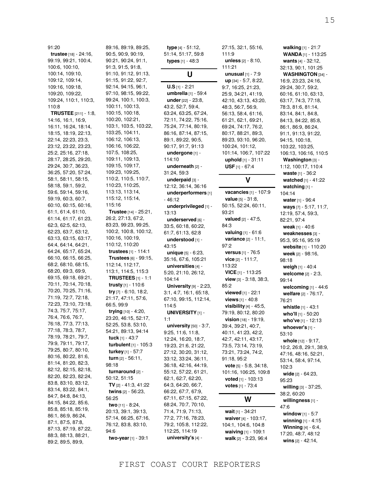91:20 **trustee** [18] - 24:16, 99:19, 99:21, 100:4, 100:6, 100:10, 100:14, 109:10, 109:12, 109:14, 109:16, 109:18, 109:20, 109:22, 109:24, 110:1, 110:3, 110:8 **TRUSTEE** [211] - 1:8, 14:16, 16:1, 16:9, 16:11, 16:24, 18:14, 18:15, 18:19, 22:13, 22:14, 22:23, 23:3, 23:12, 23:22, 23:23, 25:2, 25:16, 27:18, 28:17, 28:25, 29:20, 29:24, 30:7, 36:23, 36:25, 57:20, 57:24, 58:1, 58:11, 58:15, 58:18, 59:1, 59:2, 59:6, 59:14, 59:16, 59:19, 60:3, 60:7, 60:10, 60:15, 60:16, 61:1, 61:4, 61:10, 61:14, 61:17, 61:23, 62:3, 62:5, 62:13, 62:23, 63:7, 63:12, 63:13, 63:15, 63:17, 64:4, 64:14, 64:21, 64:24, 65:17, 65:24, 66:10, 66:15, 66:25, 68:2, 68:10, 68:15, 68:20, 69:3, 69:9, 69:15, 69:18, 69:21, 70:11, 70:14, 70:18, 70:20, 70:25, 71:16, 71:19, 72:7, 72:18, 72:23, 73:10, 73:18, 74:3, 75:7, 75:17, 76:4, 76:6, 76:7, 76:18, 77:3, 77:13, 77:18, 78:3, 78:7, 78:19, 78:21, 79:7, 79:9, 79:11, 79:17, 79:25, 80:7, 80:10, 80:16, 80:22, 81:6, 81:14, 81:20, 82:3, 82:12, 82:15, 82:18, 82:20, 82:23, 82:24, 83:8, 83:10, 83:12, 83:14, 83:22, 84:1, 84:7, 84:8, 84:13, 84:15, 84:22, 85:6, 85:8, 85:18, 85:19, 86:1, 86:9, 86:24, 87:1, 87:5, 87:8, 87:13, 87:19, 87:22, 88:3, 88:13, 88:21, 89:2, 89:5, 89:9,

89:16, 89:19, 89:25, 90:5, 90:9, 90:19, 90:21, 90:24, 91:1, 91:3, 91:5, 91:8, 91:10, 91:12, 91:13, 91:15, 91:22, 92:7, 92:14, 94:15, 96:1, 97:10, 98:15, 99:22, 99:24, 100:1, 100:3, 100:11, 100:13, 100:15, 100:18, 100:20, 102:21, 103:1, 103:5, 103:22, 103:25, 104:11, 106:12, 106:13, 106:16, 106:22, 107:5, 108:25, 109:11, 109:13, 109:15, 109:17, 109:23, 109:25, 110:2, 110:5, 110:7, 110:23, 110:25, 113:13, 113:14, 115:12, 115:14, 115:16 **Trustee** [14] - 25:21, 26:2, 27:13, 67:2, 83:23, 99:23, 99:25, 100:2, 100:8, 100:12, 100:16, 100:19, 110:12, 110:20 **trustees** [1] - 114:1 **Trustees** [6] - 99:15, 112:14, 112:17, 113:1, 114:5, 115:3 **TRUSTEES** [1] - 1:1 **trusty** [1] - 110:6 **try** [7] - 6:10, 18:2, 21:17, 47:11, 57:6, 66:5, 99:9 **trying** [10] - 4:20, 23:20, 46:15, 52:17, 52:25, 53:8, 53:10, 54:21, 89:13, 94:14 **tuck** [1] - 43:7 **turbulent** [1] - 105:3 **turkey** [1] - 57:7 **turn** [2] - 56:11, 98:18 **turnaround** [2] - 50:12, 51:15 **TV** [2] - 41:3, 41:22 **twins** [2] - 56:23, 56:25 **two** [11] - 8:24, 20:13, 39:1, 39:13, 57:14, 66:25, 67:16, 76:12, 83:8, 83:10, 94:6 **two-year** [1] - 39:1

**type** [4] - 51:12, 51:14, 51:17, 59:8 **types** [1] - 48:3 **U U.S** [1] - 2:21 **umbrella** [1] - 59:4 **under** [22] - 23:8, 43:2, 52:7, 59:4, 63:24, 63:25, 67:24, 72:11, 74:22, 75:16, 75:24, 77:14, 80:19, 86:16, 87:14, 87:15, 89:1, 89:22, 90:5, 90:17, 91:7, 91:13 **undergone** [1] - 114:10 **underneath** [2] - 31:24, 59:3 **underpaid** [3] - 12:12, 36:14, 36:16 **underperformers** [1]  $-46:12$ **underprivileged** [1] - 13:13 **underserved** [6] - 33:5, 60:18, 60:22, 61:7, 61:13, 62:8 **understood** [1] - 43:15 **unique** [5] - 6:23, 35:16, 67:6, 105:21 **universities** [4] - 5:20, 21:10, 26:12, 104:14 **University** [9] - 2:23, 3:1, 4:7, 16:1, 65:18, 67:10, 99:15, 112:14, 114:5 **UNIVERSITY** [1] - 1:1 **university** [50] - 3:7, 9:25, 11:6, 11:8, 12:24, 16:20, 18:7, 19:23, 21:6, 21:22, 27:12, 30:20, 31:12, 33:12, 33:24, 36:11, 36:18, 42:16, 44:19, 55:12, 57:22, 61:21, 62:1, 62:7, 62:20, 64:3, 64:20, 66:7, 66:22, 67:7, 67:9, 67:11, 67:15, 67:22, 68:24, 70:7, 70:10, 71:4, 71:9, 71:13, 77:2, 77:16, 78:23, 79:2, 105:8, 112:22, 112:25, 114:19 **university's** [4] -

27:15, 32:1, 55:16, 111:9 **unless** [2] - 8:10, 111:21 **unusual** [1] - 7:9 **up** [34] - 5:7, 8:22, 9:7, 16:25, 21:23, 25:9, 34:21, 41:19, 42:10, 43:13, 43:20, 48:3, 56:7, 56:9, 56:13, 58:4, 61:16, 61:21, 62:1, 69:21, 69:24, 74:17, 76:2, 80:17, 88:21, 89:3, 89:23, 93:10, 96:20, 100:24, 101:12, 101:14, 106:7, 107:22 **uphold** [1] - 31:11 **USF** [1] - 67:4

### **V**

**vacancies** [1] - 107:9 **value** [5] - 31:8, 50:15, 52:24, 60:11, 93:21 **valued** [2] - 47:5, 84:3 **valuing** [1] - 61:6 **variance** [2] - 11:1, 97:2 **versus** [1] - 76:5 **vice** [2] - 111:7, 113:22 **VICE** [1] - 113:25 **view** [3] - 3:18, 38:3, 85:2 **viewed** [1] - 22:1 **views** [1] - 40:8 **visibility** [4] - 45:5, 79:19, 80:12, 80:20 **vision** [18] - 19:19, 39:4, 39:21, 40:7, 40:11, 41:23, 42:2, 42:7, 42:11, 43:17, 73:5, 73:14, 73:19, 73:21, 73:24, 74:2, 91:18, 95:2 **vote** [5] - 5:8, 34:18, 101:16, 106:25, 109:8 **voted** [1] - 103:13 **votes** [1] - 73:4

### **W**

**wait** [1] - 34:21 **waiver** [4] - 103:17, 104:1, 104:6, 104:8 **waiving** [1] - 109:1 **walk** [2] - 3:23, 96:4

**walking** [1] - 21:7 **WANDA** [1] - 113:25 **wants** [4] - 32:12, 32:13, 90:1, 101:25 **WASHINGTON** [34] - 16:9, 23:23, 24:16, 29:24, 30:7, 59:2, 60:16, 61:10, 63:13, 63:17, 74:3, 77:18, 78:3, 81:6, 81:14, 83:14, 84:1, 84:8, 84:13, 84:22, 85:8, 86:1, 86:9, 86:24, 91:1, 91:13, 91:22, 94:15, 100:18, 103:22, 103:25, 106:13, 106:16, 110:5 **Washington** [3] - 1:12, 100:17, 110:4 **waste** [1] - 36:2 **watched** [1] - 41:22 **watching** [1] - 104:14 **water** [1] - 96:4 **ways** [7] - 5:17, 11:7, 12:19, 57:4, 59:3, 82:21, 97:4 **weak** [1] - 40:6 **weaknesses** [3] - 95:3, 95:16, 95:19 **website** [1] - 110:20 **week** [2] - 98:16, 98:18 **weigh** [1] - 40:4 **welcome** [2] - 2:3, 99:14 **welcoming** [1] - 44:6 **welfare** [2] - 76:17, 76:21 **whistle** [1] - 43:1 **who'll** [1] - 50:20 **who've** [1] - 12:13 **whoever's** [1] - 53:10 **whole** [12] - 9:17, 10:2, 26:8, 29:1, 38:9, 47:16, 48:16, 52:21, 53:14, 58:4, 97:14, 102:3 **wide** [2] - 64:23, 95:23 **willing** [3] - 37:25, 38:2, 60:20 **willingness** [1] - 47:6 **window** [1] - 5:7 **winning** [1] - 4:15 **Winning** [4] - 6:4,

17:20, 48:7, 48:12 **wins** [2] - 42:14,